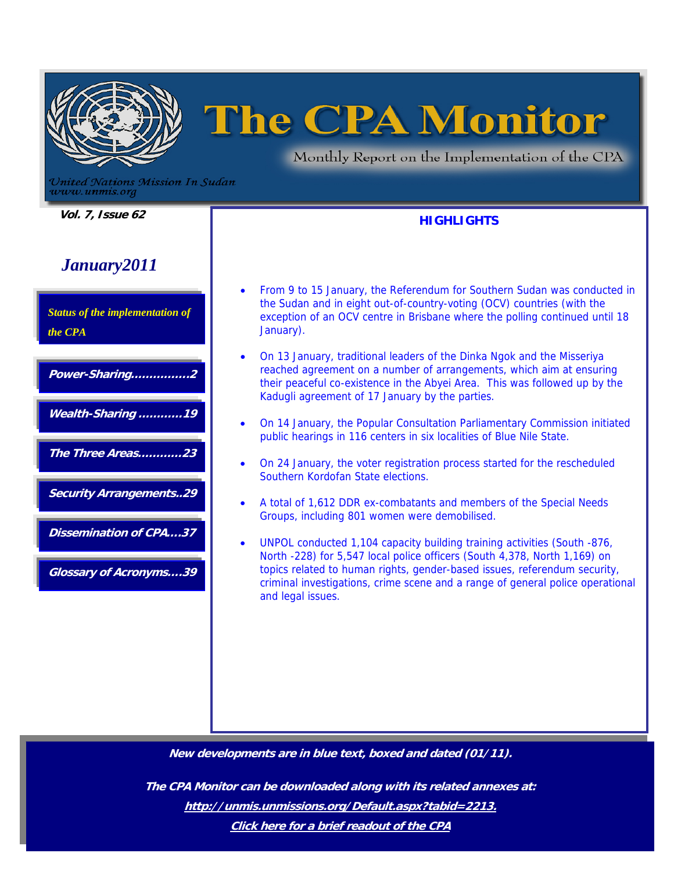

# **The CPA Monitor**

Monthly Report on the Implementation of the CPA

**HIGHLIGHTS** 

United Nations Mission In Sudan www.unmis.org

 **Vol. 7, Issue 62** 

# *January2011*

*Status of the implementation of the CPA* 

**Wealth-Sharing …………19** 

**Power-Sharing…………….2** 

**The Three Areas…………23** 

**Security Arrangements..29** 

**Dissemination of CPA….37** 

**Glossary of Acronyms….39** 

- From 9 to 15 January, the Referendum for Southern Sudan was conducted in the Sudan and in eight out-of-country-voting (OCV) countries (with the exception of an OCV centre in Brisbane where the polling continued until 18 January).
- On 13 January, traditional leaders of the Dinka Ngok and the Misseriya reached agreement on a number of arrangements, which aim at ensuring their peaceful co-existence in the Abyei Area. This was followed up by the Kadugli agreement of 17 January by the parties.
- On 14 January, the Popular Consultation Parliamentary Commission initiated public hearings in 116 centers in six localities of Blue Nile State.
- On 24 January, the voter registration process started for the rescheduled Southern Kordofan State elections.
- A total of 1,612 DDR ex-combatants and members of the Special Needs Groups, including 801 women were demobilised.
- UNPOL conducted 1,104 capacity building training activities (South -876, North -228) for 5,547 local police officers (South 4,378, North 1,169) on topics related to human rights, gender-based issues, referendum security, criminal investigations, crime scene and a range of general police operational and legal issues.

**New developments are in blue text, boxed and dated (01/11).** 

**The CPA Monitor can be downloaded along with its related annexes at: http://unmis.unmissions.org/Default.aspx?tabid=2213. Click here for a brief readout of the CPA**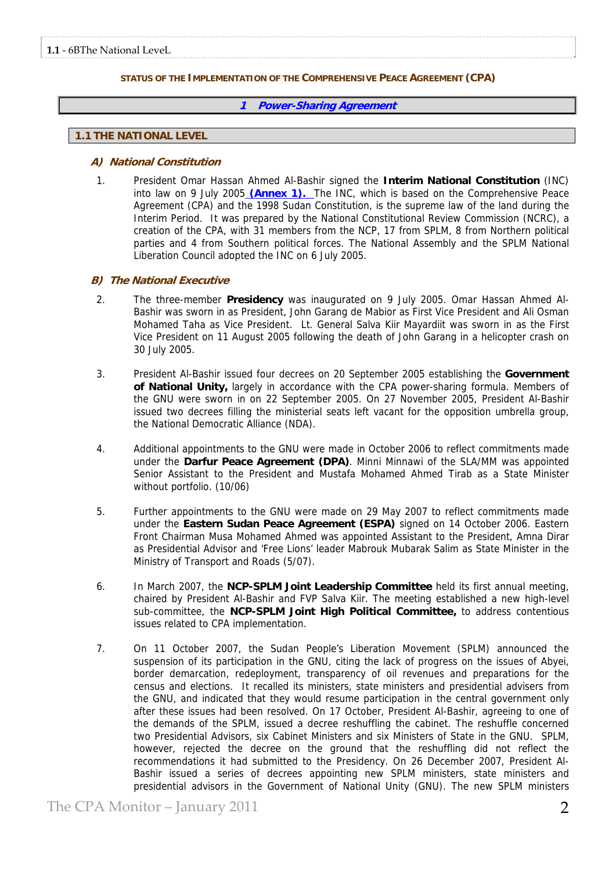# **STATUS OF THE IMPLEMENTATION OF THE COMPREHENSIVE PEACE AGREEMENT (CPA)**

# **1 Power-Sharing Agreement**

# **1.1 THE NATIONAL LEVEL**

# **A) National Constitution**

1. President Omar Hassan Ahmed Al-Bashir signed the **Interim National Constitution** (INC) into law on 9 July 2005 **(Annex 1).** The INC, which is based on the Comprehensive Peace Agreement (CPA) and the 1998 Sudan Constitution, is the supreme law of the land during the Interim Period. It was prepared by the National Constitutional Review Commission (NCRC), a creation of the CPA, with 31 members from the NCP, 17 from SPLM, 8 from Northern political parties and 4 from Southern political forces. The National Assembly and the SPLM National Liberation Council adopted the INC on 6 July 2005.

# **B) The National Executive**

- 2. The three-member **Presidency** was inaugurated on 9 July 2005. Omar Hassan Ahmed Al-Bashir was sworn in as President, John Garang de Mabior as First Vice President and Ali Osman Mohamed Taha as Vice President. Lt. General Salva Kiir Mayardiit was sworn in as the First Vice President on 11 August 2005 following the death of John Garang in a helicopter crash on 30 July 2005.
- 3. President Al-Bashir issued four decrees on 20 September 2005 establishing the **Government of National Unity,** largely in accordance with the CPA power-sharing formula. Members of the GNU were sworn in on 22 September 2005. On 27 November 2005, President Al-Bashir issued two decrees filling the ministerial seats left vacant for the opposition umbrella group, the National Democratic Alliance (NDA).
- 4. Additional appointments to the GNU were made in October 2006 to reflect commitments made under the **Darfur Peace Agreement (DPA)**. Minni Minnawi of the SLA/MM was appointed Senior Assistant to the President and Mustafa Mohamed Ahmed Tirab as a State Minister without portfolio. (10/06)
- 5. Further appointments to the GNU were made on 29 May 2007 to reflect commitments made under the **Eastern Sudan Peace Agreement (ESPA)** signed on 14 October 2006. Eastern Front Chairman Musa Mohamed Ahmed was appointed Assistant to the President, Amna Dirar as Presidential Advisor and 'Free Lions' leader Mabrouk Mubarak Salim as State Minister in the Ministry of Transport and Roads (5/07).
- 6. In March 2007, the **NCP-SPLM Joint Leadership Committee** held its first annual meeting, chaired by President Al-Bashir and FVP Salva Kiir. The meeting established a new high-level sub-committee, the **NCP-SPLM Joint High Political Committee,** to address contentious issues related to CPA implementation.
- 7. On 11 October 2007, the Sudan People's Liberation Movement (SPLM) announced the suspension of its participation in the GNU, citing the lack of progress on the issues of Abyei, border demarcation, redeployment, transparency of oil revenues and preparations for the census and elections. It recalled its ministers, state ministers and presidential advisers from the GNU, and indicated that they would resume participation in the central government only after these issues had been resolved. On 17 October, President Al-Bashir, agreeing to one of the demands of the SPLM, issued a decree reshuffling the cabinet. The reshuffle concerned two Presidential Advisors, six Cabinet Ministers and six Ministers of State in the GNU. SPLM, however, rejected the decree on the ground that the reshuffling did not reflect the recommendations it had submitted to the Presidency. On 26 December 2007, President Al-Bashir issued a series of decrees appointing new SPLM ministers, state ministers and presidential advisors in the Government of National Unity (GNU). The new SPLM ministers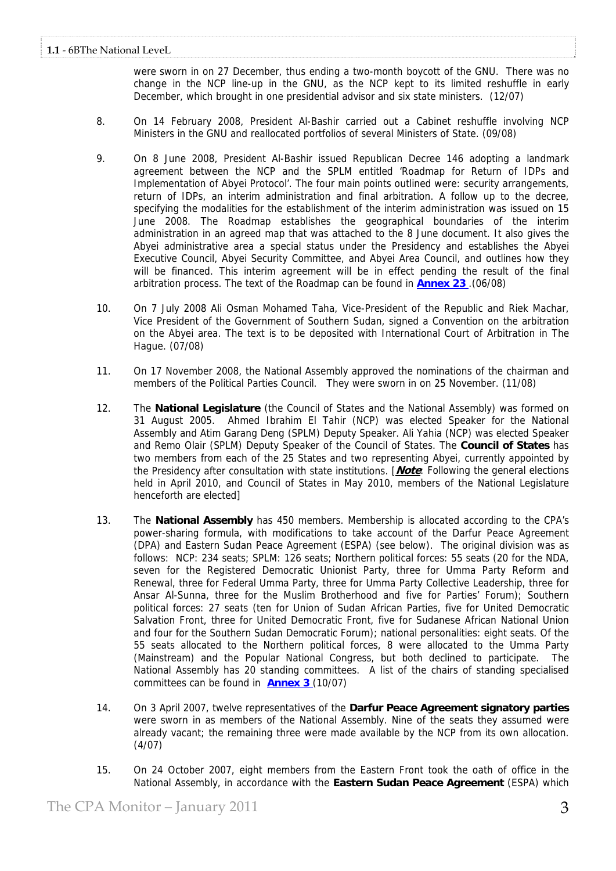were sworn in on 27 December, thus ending a two-month boycott of the GNU. There was no change in the NCP line-up in the GNU, as the NCP kept to its limited reshuffle in early December, which brought in one presidential advisor and six state ministers. (12/07)

- 8. On 14 February 2008, President Al-Bashir carried out a Cabinet reshuffle involving NCP Ministers in the GNU and reallocated portfolios of several Ministers of State. (09/08)
- 9. On 8 June 2008, President Al-Bashir issued Republican Decree 146 adopting a landmark agreement between the NCP and the SPLM entitled 'Roadmap for Return of IDPs and Implementation of Abyei Protocol'. The four main points outlined were: security arrangements, return of IDPs, an interim administration and final arbitration. A follow up to the decree, specifying the modalities for the establishment of the interim administration was issued on 15 June 2008. The Roadmap establishes the geographical boundaries of the interim administration in an agreed map that was attached to the 8 June document. It also gives the Abyei administrative area a special status under the Presidency and establishes the Abyei Executive Council, Abyei Security Committee, and Abyei Area Council, and outlines how they will be financed. This interim agreement will be in effect pending the result of the final arbitration process. The text of the Roadmap can be found in **Annex 23** .(06/08)
- 10. On 7 July 2008 Ali Osman Mohamed Taha, Vice-President of the Republic and Riek Machar, Vice President of the Government of Southern Sudan, signed a Convention on the arbitration on the Abyei area. The text is to be deposited with International Court of Arbitration in The Hague. (07/08)
- 11. On 17 November 2008, the National Assembly approved the nominations of the chairman and members of the Political Parties Council. They were sworn in on 25 November. (11/08)
- 12. The **National Legislature** (the Council of States and the National Assembly) was formed on 31 August 2005. Ahmed Ibrahim El Tahir (NCP) was elected Speaker for the National Assembly and Atim Garang Deng (SPLM) Deputy Speaker. Ali Yahia (NCP) was elected Speaker and Remo Olair (SPLM) Deputy Speaker of the Council of States. The **Council of States** has two members from each of the 25 States and two representing Abyei, currently appointed by the Presidency after consultation with state institutions. [**Note**: Following the general elections held in April 2010, and Council of States in May 2010, members of the National Legislature henceforth are elected]
- 13. The **National Assembly** has 450 members. Membership is allocated according to the CPA's power-sharing formula, with modifications to take account of the Darfur Peace Agreement (DPA) and Eastern Sudan Peace Agreement (ESPA) (see below). The original division was as follows: NCP: 234 seats; SPLM: 126 seats; Northern political forces: 55 seats (20 for the NDA, seven for the Registered Democratic Unionist Party, three for Umma Party Reform and Renewal, three for Federal Umma Party, three for Umma Party Collective Leadership, three for Ansar Al-Sunna, three for the Muslim Brotherhood and five for Parties' Forum); Southern political forces: 27 seats (ten for Union of Sudan African Parties, five for United Democratic Salvation Front, three for United Democratic Front, five for Sudanese African National Union and four for the Southern Sudan Democratic Forum); national personalities: eight seats. Of the 55 seats allocated to the Northern political forces, 8 were allocated to the Umma Party (Mainstream) and the Popular National Congress, but both declined to participate. The National Assembly has 20 standing committees. A list of the chairs of standing specialised committees can be found in **Annex 3** (10/07)
- 14. On 3 April 2007, twelve representatives of the **Darfur Peace Agreement signatory parties** were sworn in as members of the National Assembly. Nine of the seats they assumed were already vacant; the remaining three were made available by the NCP from its own allocation. (4/07)
- 15. On 24 October 2007, eight members from the Eastern Front took the oath of office in the National Assembly, in accordance with the **Eastern Sudan Peace Agreement** (ESPA) which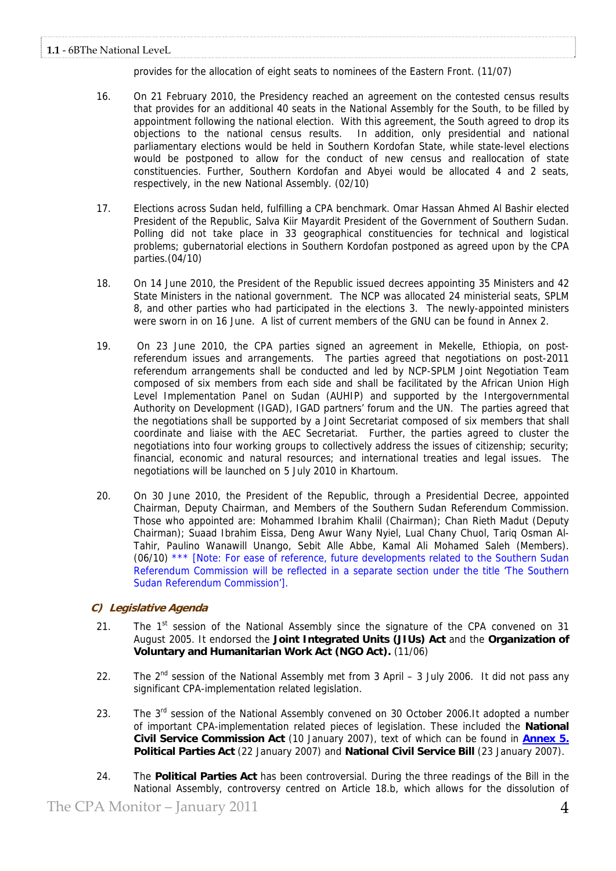provides for the allocation of eight seats to nominees of the Eastern Front. (11/07)

- 16. On 21 February 2010, the Presidency reached an agreement on the contested census results that provides for an additional 40 seats in the National Assembly for the South, to be filled by appointment following the national election. With this agreement, the South agreed to drop its objections to the national census results. In addition, only presidential and national parliamentary elections would be held in Southern Kordofan State, while state-level elections would be postponed to allow for the conduct of new census and reallocation of state constituencies. Further, Southern Kordofan and Abyei would be allocated 4 and 2 seats, respectively, in the new National Assembly. (02/10)
- 17. Elections across Sudan held, fulfilling a CPA benchmark. Omar Hassan Ahmed Al Bashir elected President of the Republic, Salva Kiir Mayardit President of the Government of Southern Sudan. Polling did not take place in 33 geographical constituencies for technical and logistical problems; gubernatorial elections in Southern Kordofan postponed as agreed upon by the CPA parties.(04/10)
- 18. On 14 June 2010, the President of the Republic issued decrees appointing 35 Ministers and 42 State Ministers in the national government. The NCP was allocated 24 ministerial seats, SPLM 8, and other parties who had participated in the elections 3. The newly-appointed ministers were sworn in on 16 June. A list of current members of the GNU can be found in Annex 2.
- 19. On 23 June 2010, the CPA parties signed an agreement in Mekelle, Ethiopia, on postreferendum issues and arrangements. The parties agreed that negotiations on post-2011 referendum arrangements shall be conducted and led by NCP-SPLM Joint Negotiation Team composed of six members from each side and shall be facilitated by the African Union High Level Implementation Panel on Sudan (AUHIP) and supported by the Intergovernmental Authority on Development (IGAD), IGAD partners' forum and the UN. The parties agreed that the negotiations shall be supported by a Joint Secretariat composed of six members that shall coordinate and liaise with the AEC Secretariat. Further, the parties agreed to cluster the negotiations into four working groups to collectively address the issues of citizenship; security; financial, economic and natural resources; and international treaties and legal issues. The negotiations will be launched on 5 July 2010 in Khartoum.
- 20. On 30 June 2010, the President of the Republic, through a Presidential Decree, appointed Chairman, Deputy Chairman, and Members of the Southern Sudan Referendum Commission. Those who appointed are: Mohammed Ibrahim Khalil (Chairman); Chan Rieth Madut (Deputy Chairman); Suaad Ibrahim Eissa, Deng Awur Wany Nyiel, Lual Chany Chuol, Tariq Osman Al-Tahir, Paulino Wanawill Unango, Sebit Alle Abbe, Kamal Ali Mohamed Saleh (Members). (06/10) \*\*\* [Note: For ease of reference, future developments related to the Southern Sudan Referendum Commission will be reflected in a separate section under the title 'The Southern Sudan Referendum Commission'].

# **C) Legislative Agenda**

- 21. The  $1<sup>st</sup>$  session of the National Assembly since the signature of the CPA convened on 31 August 2005. It endorsed the **Joint Integrated Units (JIUs) Act** and the **Organization of Voluntary and Humanitarian Work Act (NGO Act).** (11/06)
- 22. The  $2<sup>nd</sup>$  session of the National Assembly met from 3 April 3 July 2006. It did not pass any significant CPA-implementation related legislation.
- 23. The 3<sup>rd</sup> session of the National Assembly convened on 30 October 2006.It adopted a number of important CPA-implementation related pieces of legislation. These included the **National Civil Service Commission Act** (10 January 2007), text of which can be found in **Annex 5. Political Parties Act** (22 January 2007) and **National Civil Service Bill** (23 January 2007).
- 24. The **Political Parties Act** has been controversial. During the three readings of the Bill in the National Assembly, controversy centred on Article 18.b, which allows for the dissolution of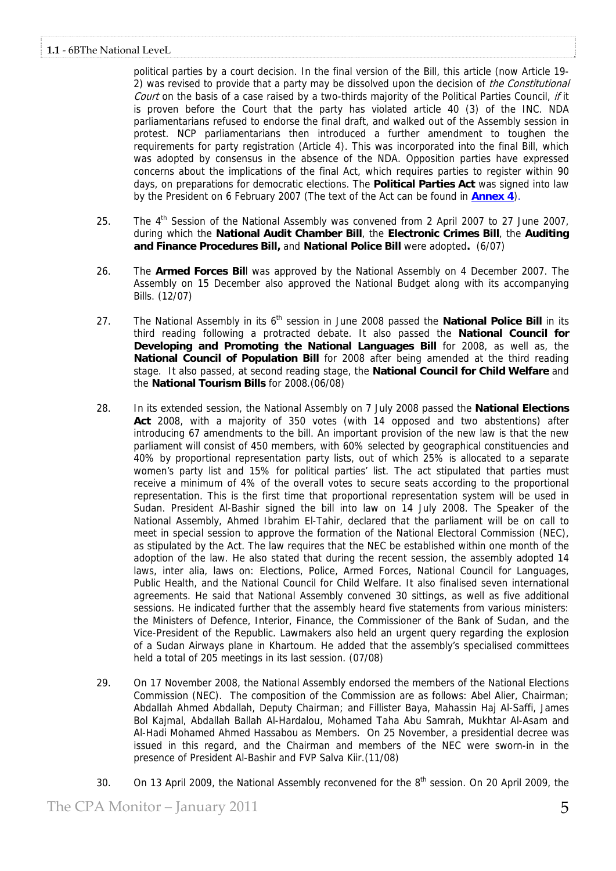political parties by a court decision. In the final version of the Bill, this article (now Article 19- 2) was revised to provide that a party may be dissolved upon the decision of the Constitutional Court on the basis of a case raised by a two-thirds majority of the Political Parties Council, if it is proven before the Court that the party has violated article 40 (3) of the INC. NDA parliamentarians refused to endorse the final draft, and walked out of the Assembly session in protest. NCP parliamentarians then introduced a further amendment to toughen the requirements for party registration (Article 4). This was incorporated into the final Bill, which was adopted by consensus in the absence of the NDA. Opposition parties have expressed concerns about the implications of the final Act, which requires parties to register within 90 days, on preparations for democratic elections. The **Political Parties Act** was signed into law by the President on 6 February 2007 (The text of the Act can be found in **Annex 4**).

- 25. The 4<sup>th</sup> Session of the National Assembly was convened from 2 April 2007 to 27 June 2007, during which the **National Audit Chamber Bill**, the **Electronic Crimes Bill**, the **Auditing and Finance Procedures Bill,** and **National Police Bill** were adopted**.** (6/07)
- 26. The **Armed Forces Bil**l was approved by the National Assembly on 4 December 2007. The Assembly on 15 December also approved the National Budget along with its accompanying Bills. (12/07)
- 27. The National Assembly in its 6<sup>th</sup> session in June 2008 passed the **National Police Bill** in its third reading following a protracted debate. It also passed the **National Council for Developing and Promoting the National Languages Bill** for 2008, as well as, the **National Council of Population Bill** for 2008 after being amended at the third reading stage. It also passed, at second reading stage, the **National Council for Child Welfare** and the **National Tourism Bills** for 2008.(06/08)
- 28. In its extended session, the National Assembly on 7 July 2008 passed the **National Elections Act** 2008, with a majority of 350 votes (with 14 opposed and two abstentions) after introducing 67 amendments to the bill. An important provision of the new law is that the new parliament will consist of 450 members, with 60% selected by geographical constituencies and 40% by proportional representation party lists, out of which 25% is allocated to a separate women's party list and 15% for political parties' list. The act stipulated that parties must receive a minimum of 4% of the overall votes to secure seats according to the proportional representation. This is the first time that proportional representation system will be used in Sudan. President Al-Bashir signed the bill into law on 14 July 2008. The Speaker of the National Assembly, Ahmed Ibrahim El-Tahir, declared that the parliament will be on call to meet in special session to approve the formation of the National Electoral Commission (NEC), as stipulated by the Act. The law requires that the NEC be established within one month of the adoption of the law. He also stated that during the recent session, the assembly adopted 14 laws, inter alia, laws on: Elections, Police, Armed Forces, National Council for Languages, Public Health, and the National Council for Child Welfare. It also finalised seven international agreements. He said that National Assembly convened 30 sittings, as well as five additional sessions. He indicated further that the assembly heard five statements from various ministers: the Ministers of Defence, Interior, Finance, the Commissioner of the Bank of Sudan, and the Vice-President of the Republic. Lawmakers also held an urgent query regarding the explosion of a Sudan Airways plane in Khartoum. He added that the assembly's specialised committees held a total of 205 meetings in its last session. (07/08)
- 29. On 17 November 2008, the National Assembly endorsed the members of the National Elections Commission (NEC). The composition of the Commission are as follows: Abel Alier, Chairman; Abdallah Ahmed Abdallah, Deputy Chairman; and Fillister Baya, Mahassin Haj Al-Saffi, James Bol Kajmal, Abdallah Ballah Al-Hardalou, Mohamed Taha Abu Samrah, Mukhtar Al-Asam and Al-Hadi Mohamed Ahmed Hassabou as Members. On 25 November, a presidential decree was issued in this regard, and the Chairman and members of the NEC were sworn-in in the presence of President Al-Bashir and FVP Salva Kiir.(11/08)
- 30. On 13 April 2009, the National Assembly reconvened for the 8<sup>th</sup> session. On 20 April 2009, the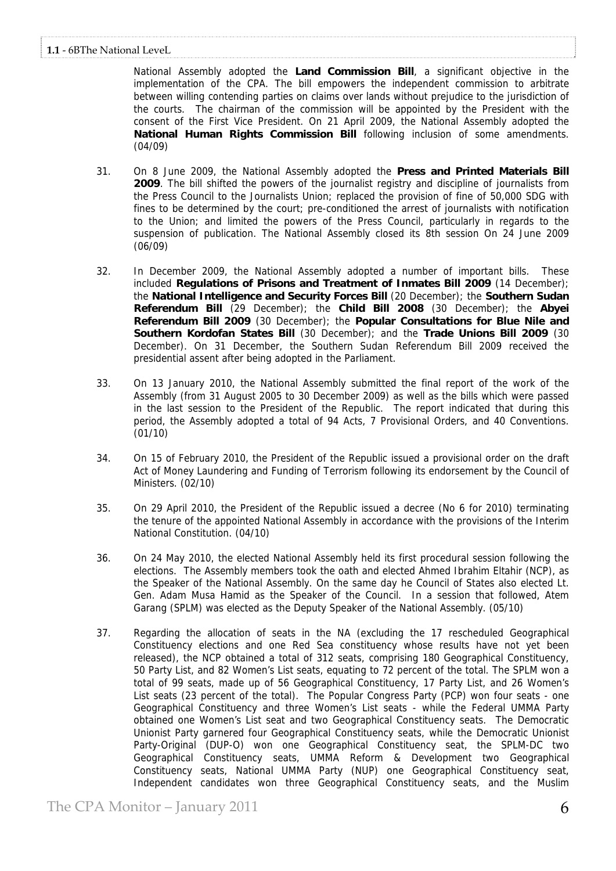National Assembly adopted the **Land Commission Bill**, a significant objective in the implementation of the CPA. The bill empowers the independent commission to arbitrate between willing contending parties on claims over lands without prejudice to the jurisdiction of the courts. The chairman of the commission will be appointed by the President with the consent of the First Vice President. On 21 April 2009, the National Assembly adopted the **National Human Rights Commission Bill** following inclusion of some amendments. (04/09)

- 31. On 8 June 2009, the National Assembly adopted the **Press and Printed Materials Bill 2009**. The bill shifted the powers of the journalist registry and discipline of journalists from the Press Council to the Journalists Union; replaced the provision of fine of 50,000 SDG with fines to be determined by the court; pre-conditioned the arrest of journalists with notification to the Union; and limited the powers of the Press Council, particularly in regards to the suspension of publication. The National Assembly closed its 8th session On 24 June 2009 (06/09)
- 32. In December 2009, the National Assembly adopted a number of important bills. These included **Regulations of Prisons and Treatment of Inmates Bill 2009** (14 December); the **National Intelligence and Security Forces Bill** (20 December); the **Southern Sudan Referendum Bill** (29 December); the **Child Bill 2008** (30 December); the **Abyei Referendum Bill 2009** (30 December); the **Popular Consultations for Blue Nile and Southern Kordofan States Bill** (30 December); and the **Trade Unions Bill 2009** (30 December). On 31 December, the Southern Sudan Referendum Bill 2009 received the presidential assent after being adopted in the Parliament.
- 33. On 13 January 2010, the National Assembly submitted the final report of the work of the Assembly (from 31 August 2005 to 30 December 2009) as well as the bills which were passed in the last session to the President of the Republic. The report indicated that during this period, the Assembly adopted a total of 94 Acts, 7 Provisional Orders, and 40 Conventions. (01/10)
- 34. On 15 of February 2010, the President of the Republic issued a provisional order on the draft Act of Money Laundering and Funding of Terrorism following its endorsement by the Council of Ministers. (02/10)
- 35. On 29 April 2010, the President of the Republic issued a decree (No 6 for 2010) terminating the tenure of the appointed National Assembly in accordance with the provisions of the Interim National Constitution. (04/10)
- 36. On 24 May 2010, the elected National Assembly held its first procedural session following the elections. The Assembly members took the oath and elected Ahmed Ibrahim Eltahir (NCP), as the Speaker of the National Assembly. On the same day he Council of States also elected Lt. Gen. Adam Musa Hamid as the Speaker of the Council. In a session that followed, Atem Garang (SPLM) was elected as the Deputy Speaker of the National Assembly. (05/10)
- 37. Regarding the allocation of seats in the NA (excluding the 17 rescheduled Geographical Constituency elections and one Red Sea constituency whose results have not yet been released), the NCP obtained a total of 312 seats, comprising 180 Geographical Constituency, 50 Party List, and 82 Women's List seats, equating to 72 percent of the total. The SPLM won a total of 99 seats, made up of 56 Geographical Constituency, 17 Party List, and 26 Women's List seats (23 percent of the total). The Popular Congress Party (PCP) won four seats - one Geographical Constituency and three Women's List seats - while the Federal UMMA Party obtained one Women's List seat and two Geographical Constituency seats. The Democratic Unionist Party garnered four Geographical Constituency seats, while the Democratic Unionist Party-Original (DUP-O) won one Geographical Constituency seat, the SPLM-DC two Geographical Constituency seats, UMMA Reform & Development two Geographical Constituency seats, National UMMA Party (NUP) one Geographical Constituency seat, Independent candidates won three Geographical Constituency seats, and the Muslim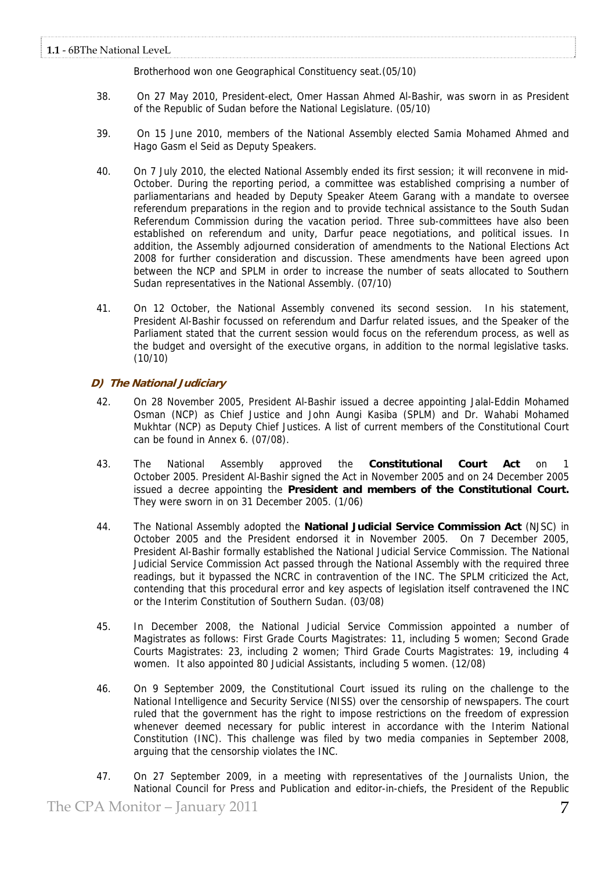Brotherhood won one Geographical Constituency seat.(05/10)

- 38. On 27 May 2010, President-elect, Omer Hassan Ahmed Al-Bashir, was sworn in as President of the Republic of Sudan before the National Legislature. (05/10)
- 39. On 15 June 2010, members of the National Assembly elected Samia Mohamed Ahmed and Hago Gasm el Seid as Deputy Speakers.
- 40. On 7 July 2010, the elected National Assembly ended its first session; it will reconvene in mid-October. During the reporting period, a committee was established comprising a number of parliamentarians and headed by Deputy Speaker Ateem Garang with a mandate to oversee referendum preparations in the region and to provide technical assistance to the South Sudan Referendum Commission during the vacation period. Three sub-committees have also been established on referendum and unity, Darfur peace negotiations, and political issues. In addition, the Assembly adjourned consideration of amendments to the National Elections Act 2008 for further consideration and discussion. These amendments have been agreed upon between the NCP and SPLM in order to increase the number of seats allocated to Southern Sudan representatives in the National Assembly. (07/10)
- 41. On 12 October, the National Assembly convened its second session. In his statement, President Al-Bashir focussed on referendum and Darfur related issues, and the Speaker of the Parliament stated that the current session would focus on the referendum process, as well as the budget and oversight of the executive organs, in addition to the normal legislative tasks. (10/10)

# **D) The National Judiciary**

- 42. On 28 November 2005, President Al-Bashir issued a decree appointing Jalal-Eddin Mohamed Osman (NCP) as Chief Justice and John Aungi Kasiba (SPLM) and Dr. Wahabi Mohamed Mukhtar (NCP) as Deputy Chief Justices. A list of current members of the Constitutional Court can be found in [Annex 6.](http://www.unmis.org/common/documents/cpa-monitor/Annexes/Annex%206%20-%20A%20list%20of%20members%20of%20theConstitutional%20Court.pdf) (07/08).
- 43. The National Assembly approved the **Constitutional Court Act** on 1 October 2005. President Al-Bashir signed the Act in November 2005 and on 24 December 2005 issued a decree appointing the **President and members of the Constitutional Court.** They were sworn in on 31 December 2005. (1/06)
- 44. The National Assembly adopted the **National Judicial Service Commission Act** (NJSC) in October 2005 and the President endorsed it in November 2005. On 7 December 2005, President Al-Bashir formally established the National Judicial Service Commission. The National Judicial Service Commission Act passed through the National Assembly with the required three readings, but it bypassed the NCRC in contravention of the INC. The SPLM criticized the Act, contending that this procedural error and key aspects of legislation itself contravened the INC or the Interim Constitution of Southern Sudan. (03/08)
- 45. In December 2008, the National Judicial Service Commission appointed a number of Magistrates as follows: First Grade Courts Magistrates: 11, including 5 women; Second Grade Courts Magistrates: 23, including 2 women; Third Grade Courts Magistrates: 19, including 4 women. It also appointed 80 Judicial Assistants, including 5 women. (12/08)
- 46. On 9 September 2009, the Constitutional Court issued its ruling on the challenge to the National Intelligence and Security Service (NISS) over the censorship of newspapers. The court ruled that the government has the right to impose restrictions on the freedom of expression whenever deemed necessary for public interest in accordance with the Interim National Constitution (INC). This challenge was filed by two media companies in September 2008, arguing that the censorship violates the INC.
- 47. On 27 September 2009, in a meeting with representatives of the Journalists Union, the National Council for Press and Publication and editor-in-chiefs, the President of the Republic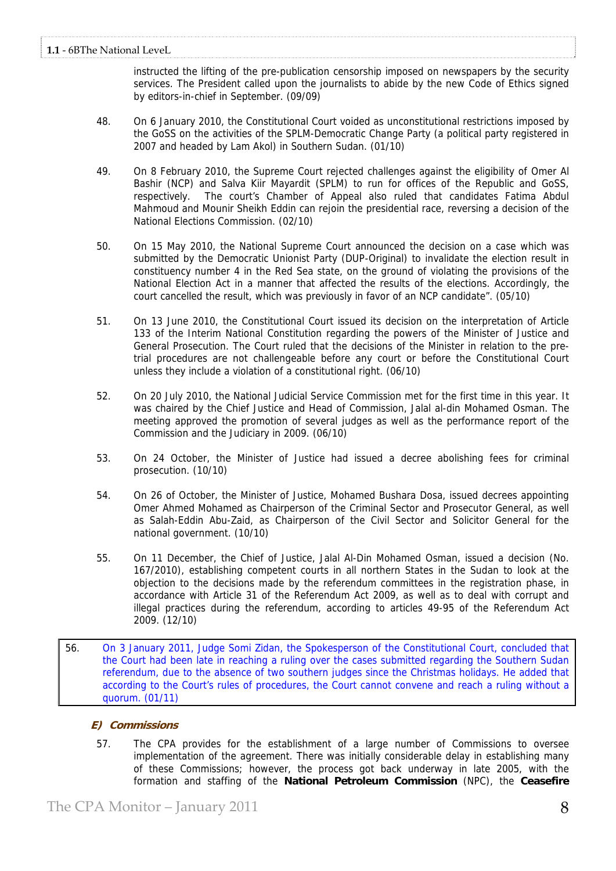instructed the lifting of the pre-publication censorship imposed on newspapers by the security services. The President called upon the journalists to abide by the new Code of Ethics signed by editors-in-chief in September. (09/09)

- 48. On 6 January 2010, the Constitutional Court voided as unconstitutional restrictions imposed by the GoSS on the activities of the SPLM-Democratic Change Party (a political party registered in 2007 and headed by Lam Akol) in Southern Sudan. (01/10)
- 49. On 8 February 2010, the Supreme Court rejected challenges against the eligibility of Omer Al Bashir (NCP) and Salva Kiir Mayardit (SPLM) to run for offices of the Republic and GoSS, respectively. The court's Chamber of Appeal also ruled that candidates Fatima Abdul Mahmoud and Mounir Sheikh Eddin can rejoin the presidential race, reversing a decision of the National Elections Commission. (02/10)
- 50. On 15 May 2010, the National Supreme Court announced the decision on a case which was submitted by the Democratic Unionist Party (DUP-Original) to invalidate the election result in constituency number 4 in the Red Sea state, on the ground of violating the provisions of the National Election Act in a manner that affected the results of the elections. Accordingly, the court cancelled the result, which was previously in favor of an NCP candidate". (05/10)
- 51. On 13 June 2010, the Constitutional Court issued its decision on the interpretation of Article 133 of the Interim National Constitution regarding the powers of the Minister of Justice and General Prosecution. The Court ruled that the decisions of the Minister in relation to the pretrial procedures are not challengeable before any court or before the Constitutional Court unless they include a violation of a constitutional right. (06/10)
- 52. On 20 July 2010, the National Judicial Service Commission met for the first time in this year. It was chaired by the Chief Justice and Head of Commission, Jalal al-din Mohamed Osman. The meeting approved the promotion of several judges as well as the performance report of the Commission and the Judiciary in 2009. (06/10)
- 53. On 24 October, the Minister of Justice had issued a decree abolishing fees for criminal prosecution. (10/10)
- 54. On 26 of October, the Minister of Justice, Mohamed Bushara Dosa, issued decrees appointing Omer Ahmed Mohamed as Chairperson of the Criminal Sector and Prosecutor General, as well as Salah-Eddin Abu-Zaid, as Chairperson of the Civil Sector and Solicitor General for the national government. (10/10)
- 55. On 11 December, the Chief of Justice, Jalal Al-Din Mohamed Osman, issued a decision (No. 167/2010), establishing competent courts in all northern States in the Sudan to look at the objection to the decisions made by the referendum committees in the registration phase, in accordance with Article 31 of the Referendum Act 2009, as well as to deal with corrupt and illegal practices during the referendum, according to articles 49-95 of the Referendum Act 2009. (12/10)
- 56. On 3 January 2011, Judge Somi Zidan, the Spokesperson of the Constitutional Court, concluded that the Court had been late in reaching a ruling over the cases submitted regarding the Southern Sudan referendum, due to the absence of two southern judges since the Christmas holidays. He added that according to the Court's rules of procedures, the Court cannot convene and reach a ruling without a quorum. (01/11)

# **E) Commissions**

57. The CPA provides for the establishment of a large number of Commissions to oversee implementation of the agreement. There was initially considerable delay in establishing many of these Commissions; however, the process got back underway in late 2005, with the formation and staffing of the **National Petroleum Commission** (NPC), the **Ceasefire**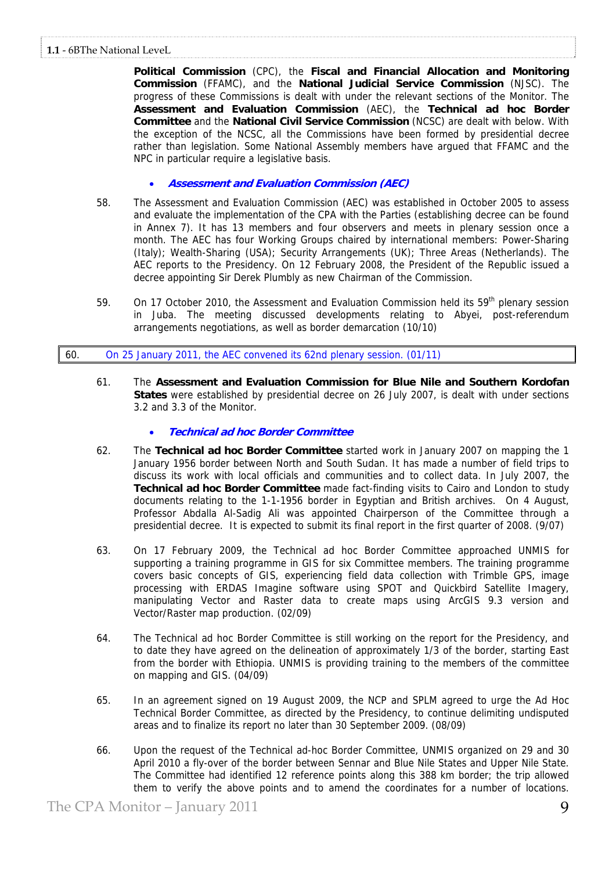**Political Commission** (CPC), the **Fiscal and Financial Allocation and Monitoring Commission** (FFAMC), and the **National Judicial Service Commission** (NJSC). The progress of these Commissions is dealt with under the relevant sections of the Monitor. The **Assessment and Evaluation Commission** (AEC), the **Technical ad hoc Border Committee** and the **National Civil Service Commission** (NCSC) are dealt with below. With the exception of the NCSC, all the Commissions have been formed by presidential decree rather than legislation. Some National Assembly members have argued that FFAMC and the NPC in particular require a legislative basis.

- **Assessment and Evaluation Commission (AEC)**
- 58. The Assessment and Evaluation Commission (AEC) was established in October 2005 to assess and evaluate the implementation of the CPA with the Parties (establishing decree can be found in Annex 7). It has 13 members and four observers and meets in plenary session once a month. The AEC has four Working Groups chaired by international members: Power-Sharing (Italy); Wealth-Sharing (USA); Security Arrangements (UK); Three Areas (Netherlands). The AEC reports to the Presidency. On 12 February 2008, the President of the Republic issued a decree appointing Sir Derek Plumbly as new Chairman of the Commission.
- 59. On 17 October 2010, the Assessment and Evaluation Commission held its 59<sup>th</sup> plenary session in Juba. The meeting discussed developments relating to Abyei, post-referendum arrangements negotiations, as well as border demarcation (10/10)

# 60. On 25 January 2011, the AEC convened its 62nd plenary session. (01/11)

61. The **Assessment and Evaluation Commission for Blue Nile and Southern Kordofan States** were established by presidential decree on 26 July 2007, is dealt with under sections 3.2 and 3.3 of the Monitor.

# • **Technical ad hoc Border Committee**

- 62. The **Technical ad hoc Border Committee** started work in January 2007 on mapping the 1 January 1956 border between North and South Sudan. It has made a number of field trips to discuss its work with local officials and communities and to collect data. In July 2007, the **Technical ad hoc Border Committee** made fact-finding visits to Cairo and London to study documents relating to the 1-1-1956 border in Egyptian and British archives. On 4 August, Professor Abdalla Al-Sadig Ali was appointed Chairperson of the Committee through a presidential decree. It is expected to submit its final report in the first quarter of 2008. (9/07)
- 63. On 17 February 2009, the Technical ad hoc Border Committee approached UNMIS for supporting a training programme in GIS for six Committee members. The training programme covers basic concepts of GIS, experiencing field data collection with Trimble GPS, image processing with ERDAS Imagine software using SPOT and Quickbird Satellite Imagery, manipulating Vector and Raster data to create maps using ArcGIS 9.3 version and Vector/Raster map production. (02/09)
- 64. The Technical ad hoc Border Committee is still working on the report for the Presidency, and to date they have agreed on the delineation of approximately 1/3 of the border, starting East from the border with Ethiopia. UNMIS is providing training to the members of the committee on mapping and GIS. (04/09)
- 65. In an agreement signed on 19 August 2009, the NCP and SPLM agreed to urge the Ad Hoc Technical Border Committee, as directed by the Presidency, to continue delimiting undisputed areas and to finalize its report no later than 30 September 2009. (08/09)
- 66. Upon the request of the Technical ad-hoc Border Committee, UNMIS organized on 29 and 30 April 2010 a fly-over of the border between Sennar and Blue Nile States and Upper Nile State. The Committee had identified 12 reference points along this 388 km border; the trip allowed them to verify the above points and to amend the coordinates for a number of locations.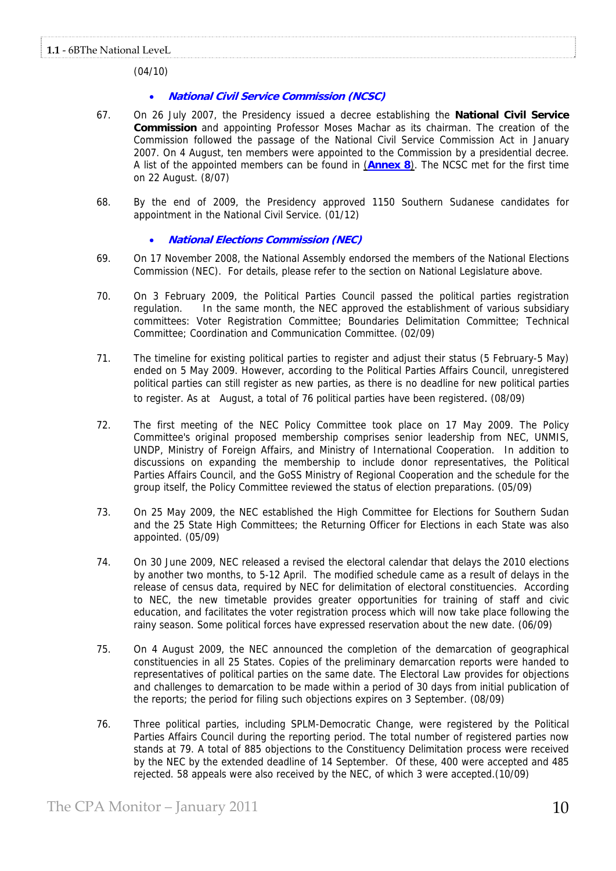(04/10)

# • **National Civil Service Commission (NCSC)**

- 67. On 26 July 2007, the Presidency issued a decree establishing the **National Civil Service Commission** and appointing Professor Moses Machar as its chairman. The creation of the Commission followed the passage of the National Civil Service Commission Act in January 2007. On 4 August, ten members were appointed to the Commission by a presidential decree. A list of the appointed members can be found in (**Annex 8**). The NCSC met for the first time on 22 August. (8/07)
- 68. By the end of 2009, the Presidency approved 1150 Southern Sudanese candidates for appointment in the National Civil Service. (01/12)

# • **National Elections Commission (NEC)**

- 69. On 17 November 2008, the National Assembly endorsed the members of the National Elections Commission (NEC). For details, please refer to the section on National Legislature above.
- 70. On 3 February 2009, the Political Parties Council passed the political parties registration regulation. In the same month, the NEC approved the establishment of various subsidiary committees: Voter Registration Committee; Boundaries Delimitation Committee; Technical Committee; Coordination and Communication Committee. (02/09)
- 71. The timeline for existing political parties to register and adjust their status (5 February-5 May) ended on 5 May 2009. However, according to the Political Parties Affairs Council, unregistered political parties can still register as new parties, as there is no deadline for new political parties to register. As at August, a total of 76 political parties have been registered. (08/09)
- 72. The first meeting of the NEC Policy Committee took place on 17 May 2009. The Policy Committee's original proposed membership comprises senior leadership from NEC, UNMIS, UNDP, Ministry of Foreign Affairs, and Ministry of International Cooperation. In addition to discussions on expanding the membership to include donor representatives, the Political Parties Affairs Council, and the GoSS Ministry of Regional Cooperation and the schedule for the group itself, the Policy Committee reviewed the status of election preparations. (05/09)
- 73. On 25 May 2009, the NEC established the High Committee for Elections for Southern Sudan and the 25 State High Committees; the Returning Officer for Elections in each State was also appointed. (05/09)
- 74. On 30 June 2009, NEC released a revised the electoral calendar that delays the 2010 elections by another two months, to 5-12 April. The modified schedule came as a result of delays in the release of census data, required by NEC for delimitation of electoral constituencies. According to NEC, the new timetable provides greater opportunities for training of staff and civic education, and facilitates the voter registration process which will now take place following the rainy season. Some political forces have expressed reservation about the new date. (06/09)
- 75. On 4 August 2009, the NEC announced the completion of the demarcation of geographical constituencies in all 25 States. Copies of the preliminary demarcation reports were handed to representatives of political parties on the same date. The Electoral Law provides for objections and challenges to demarcation to be made within a period of 30 days from initial publication of the reports; the period for filing such objections expires on 3 September. (08/09)
- 76. Three political parties, including SPLM-Democratic Change, were registered by the Political Parties Affairs Council during the reporting period. The total number of registered parties now stands at 79. A total of 885 objections to the Constituency Delimitation process were received by the NEC by the extended deadline of 14 September. Of these, 400 were accepted and 485 rejected. 58 appeals were also received by the NEC, of which 3 were accepted.(10/09)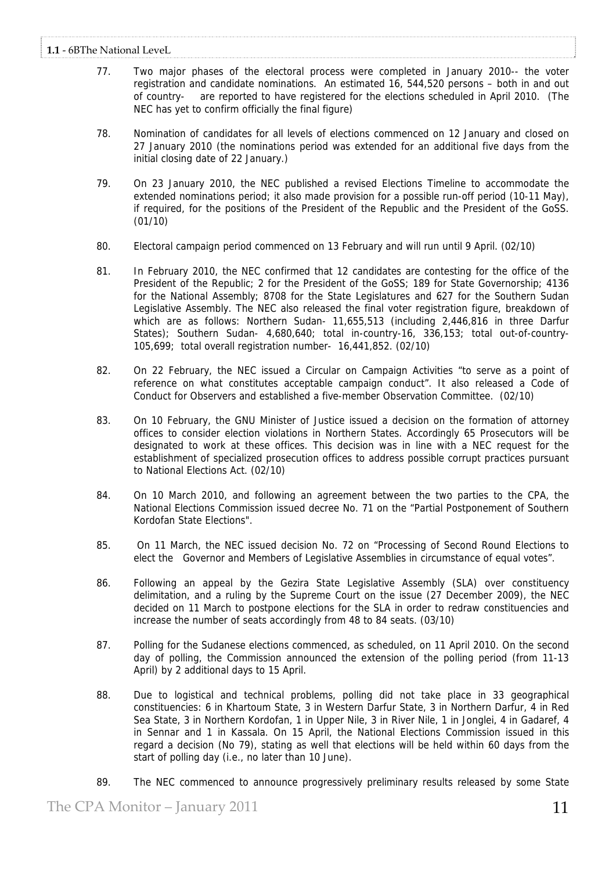- 77. Two major phases of the electoral process were completed in January 2010-- the voter registration and candidate nominations. An estimated 16, 544,520 persons – both in and out of country- are reported to have registered for the elections scheduled in April 2010. (The NEC has yet to confirm officially the final figure)
- 78. Nomination of candidates for all levels of elections commenced on 12 January and closed on 27 January 2010 (the nominations period was extended for an additional five days from the initial closing date of 22 January.)
- 79. On 23 January 2010, the NEC published a revised Elections Timeline to accommodate the extended nominations period; it also made provision for a possible run-off period (10-11 May), if required, for the positions of the President of the Republic and the President of the GoSS. (01/10)
- 80. Electoral campaign period commenced on 13 February and will run until 9 April. (02/10)
- 81. In February 2010, the NEC confirmed that 12 candidates are contesting for the office of the President of the Republic; 2 for the President of the GoSS; 189 for State Governorship; 4136 for the National Assembly; 8708 for the State Legislatures and 627 for the Southern Sudan Legislative Assembly. The NEC also released the final voter registration figure, breakdown of which are as follows: Northern Sudan- 11,655,513 (including 2,446,816 in three Darfur States); Southern Sudan- 4,680,640; total in-country-16, 336,153; total out-of-country-105,699; total overall registration number- 16,441,852. (02/10)
- 82. On 22 February, the NEC issued a Circular on Campaign Activities "to serve as a point of reference on what constitutes acceptable campaign conduct". It also released a Code of Conduct for Observers and established a five-member Observation Committee. (02/10)
- 83. On 10 February, the GNU Minister of Justice issued a decision on the formation of attorney offices to consider election violations in Northern States. Accordingly 65 Prosecutors will be designated to work at these offices. This decision was in line with a NEC request for the establishment of specialized prosecution offices to address possible corrupt practices pursuant to National Elections Act. (02/10)
- 84. On 10 March 2010, and following an agreement between the two parties to the CPA, the National Elections Commission issued decree No. 71 on the "Partial Postponement of Southern Kordofan State Elections".
- 85. On 11 March, the NEC issued decision No. 72 on "Processing of Second Round Elections to elect the Governor and Members of Legislative Assemblies in circumstance of equal votes".
- 86. Following an appeal by the Gezira State Legislative Assembly (SLA) over constituency delimitation, and a ruling by the Supreme Court on the issue (27 December 2009), the NEC decided on 11 March to postpone elections for the SLA in order to redraw constituencies and increase the number of seats accordingly from 48 to 84 seats. (03/10)
- 87. Polling for the Sudanese elections commenced, as scheduled, on 11 April 2010. On the second day of polling, the Commission announced the extension of the polling period (from 11-13 April) by 2 additional days to 15 April.
- 88. Due to logistical and technical problems, polling did not take place in 33 geographical constituencies: 6 in Khartoum State, 3 in Western Darfur State, 3 in Northern Darfur, 4 in Red Sea State, 3 in Northern Kordofan, 1 in Upper Nile, 3 in River Nile, 1 in Jonglei, 4 in Gadaref, 4 in Sennar and 1 in Kassala. On 15 April, the National Elections Commission issued in this regard a decision (No 79), stating as well that elections will be held within 60 days from the start of polling day (i.e., no later than 10 June).
- 89. The NEC commenced to announce progressively preliminary results released by some State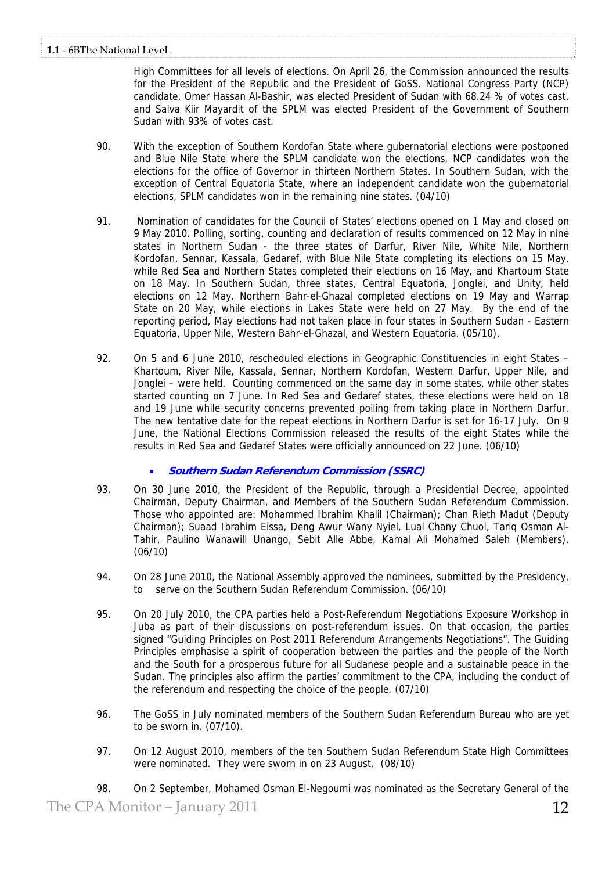High Committees for all levels of elections. On April 26, the Commission announced the results for the President of the Republic and the President of GoSS. National Congress Party (NCP) candidate, Omer Hassan Al-Bashir, was elected President of Sudan with 68.24 % of votes cast, and Salva Kiir Mayardit of the SPLM was elected President of the Government of Southern Sudan with 93% of votes cast.

- 90. With the exception of Southern Kordofan State where gubernatorial elections were postponed and Blue Nile State where the SPLM candidate won the elections, NCP candidates won the elections for the office of Governor in thirteen Northern States. In Southern Sudan, with the exception of Central Equatoria State, where an independent candidate won the gubernatorial elections, SPLM candidates won in the remaining nine states. (04/10)
- 91. Nomination of candidates for the Council of States' elections opened on 1 May and closed on 9 May 2010. Polling, sorting, counting and declaration of results commenced on 12 May in nine states in Northern Sudan - the three states of Darfur, River Nile, White Nile, Northern Kordofan, Sennar, Kassala, Gedaref, with Blue Nile State completing its elections on 15 May, while Red Sea and Northern States completed their elections on 16 May, and Khartoum State on 18 May. In Southern Sudan, three states, Central Equatoria, Jonglei, and Unity, held elections on 12 May. Northern Bahr-el-Ghazal completed elections on 19 May and Warrap State on 20 May, while elections in Lakes State were held on 27 May. By the end of the reporting period, May elections had not taken place in four states in Southern Sudan - Eastern Equatoria, Upper Nile, Western Bahr-el-Ghazal, and Western Equatoria. (05/10).
- 92. On 5 and 6 June 2010, rescheduled elections in Geographic Constituencies in eight States Khartoum, River Nile, Kassala, Sennar, Northern Kordofan, Western Darfur, Upper Nile, and Jonglei – were held. Counting commenced on the same day in some states, while other states started counting on 7 June. In Red Sea and Gedaref states, these elections were held on 18 and 19 June while security concerns prevented polling from taking place in Northern Darfur. The new tentative date for the repeat elections in Northern Darfur is set for 16-17 July. On 9 June, the National Elections Commission released the results of the eight States while the results in Red Sea and Gedaref States were officially announced on 22 June. (06/10)

# • **Southern Sudan Referendum Commission (SSRC)**

- 93. On 30 June 2010, the President of the Republic, through a Presidential Decree, appointed Chairman, Deputy Chairman, and Members of the Southern Sudan Referendum Commission. Those who appointed are: Mohammed Ibrahim Khalil (Chairman); Chan Rieth Madut (Deputy Chairman); Suaad Ibrahim Eissa, Deng Awur Wany Nyiel, Lual Chany Chuol, Tariq Osman Al-Tahir, Paulino Wanawill Unango, Sebit Alle Abbe, Kamal Ali Mohamed Saleh (Members). (06/10)
- 94. On 28 June 2010, the National Assembly approved the nominees, submitted by the Presidency, serve on the Southern Sudan Referendum Commission. (06/10)
- 95. On 20 July 2010, the CPA parties held a Post-Referendum Negotiations Exposure Workshop in Juba as part of their discussions on post-referendum issues. On that occasion, the parties signed "Guiding Principles on Post 2011 Referendum Arrangements Negotiations". The Guiding Principles emphasise a spirit of cooperation between the parties and the people of the North and the South for a prosperous future for all Sudanese people and a sustainable peace in the Sudan. The principles also affirm the parties' commitment to the CPA, including the conduct of the referendum and respecting the choice of the people. (07/10)
- 96. The GoSS in July nominated members of the Southern Sudan Referendum Bureau who are yet to be sworn in. (07/10).
- 97. On 12 August 2010, members of the ten Southern Sudan Referendum State High Committees were nominated. They were sworn in on 23 August. (08/10)

The CPA Monitor – January 2011  $12$ 98. On 2 September, Mohamed Osman El-Negoumi was nominated as the Secretary General of the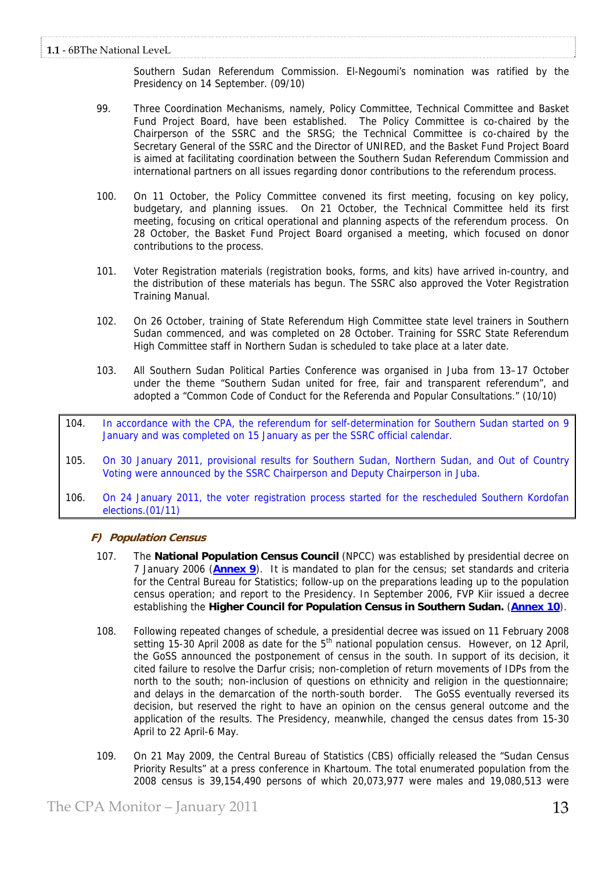Southern Sudan Referendum Commission. El-Negoumi's nomination was ratified by the Presidency on 14 September. (09/10)

- 99. Three Coordination Mechanisms, namely, Policy Committee, Technical Committee and Basket Fund Project Board, have been established. The Policy Committee is co-chaired by the Chairperson of the SSRC and the SRSG; the Technical Committee is co-chaired by the Secretary General of the SSRC and the Director of UNIRED, and the Basket Fund Project Board is aimed at facilitating coordination between the Southern Sudan Referendum Commission and international partners on all issues regarding donor contributions to the referendum process.
- 100. On 11 October, the Policy Committee convened its first meeting, focusing on key policy, budgetary, and planning issues. On 21 October, the Technical Committee held its first meeting, focusing on critical operational and planning aspects of the referendum process. On 28 October, the Basket Fund Project Board organised a meeting, which focused on donor contributions to the process.
- 101. Voter Registration materials (registration books, forms, and kits) have arrived in-country, and the distribution of these materials has begun. The SSRC also approved the Voter Registration Training Manual.
- 102. On 26 October, training of State Referendum High Committee state level trainers in Southern Sudan commenced, and was completed on 28 October. Training for SSRC State Referendum High Committee staff in Northern Sudan is scheduled to take place at a later date.
- 103. All Southern Sudan Political Parties Conference was organised in Juba from 13–17 October under the theme "Southern Sudan united for free, fair and transparent referendum", and adopted a "Common Code of Conduct for the Referenda and Popular Consultations." (10/10)
- 104. In accordance with the CPA, the referendum for self-determination for Southern Sudan started on 9 January and was completed on 15 January as per the SSRC official calendar.
- 105. On 30 January 2011, provisional results for Southern Sudan, Northern Sudan, and Out of Country Voting were announced by the SSRC Chairperson and Deputy Chairperson in Juba.
- 106. On 24 January 2011, the voter registration process started for the rescheduled Southern Kordofan elections.(01/11)

# **F) Population Census**

- 107. The **National Population Census Council** (NPCC) was established by presidential decree on 7 January 2006 (**Annex 9**). It is mandated to plan for the census; set standards and criteria for the Central Bureau for Statistics; follow-up on the preparations leading up to the population census operation; and report to the Presidency. In September 2006, FVP Kiir issued a decree establishing the **Higher Council for Population Census in Southern Sudan.** (**Annex 10**).
- 108. Following repeated changes of schedule, a presidential decree was issued on 11 February 2008 setting  $15-30$  April 2008 as date for the  $5<sup>th</sup>$  national population census. However, on 12 April, the GoSS announced the postponement of census in the south. In support of its decision, it cited failure to resolve the Darfur crisis; non-completion of return movements of IDPs from the north to the south; non-inclusion of questions on ethnicity and religion in the questionnaire; and delays in the demarcation of the north-south border. The GoSS eventually reversed its decision, but reserved the right to have an opinion on the census general outcome and the application of the results. The Presidency, meanwhile, changed the census dates from 15-30 April to 22 April-6 May.
- 109. On 21 May 2009, the Central Bureau of Statistics (CBS) officially released the "Sudan Census Priority Results" at a press conference in Khartoum. The total enumerated population from the 2008 census is 39,154,490 persons of which 20,073,977 were males and 19,080,513 were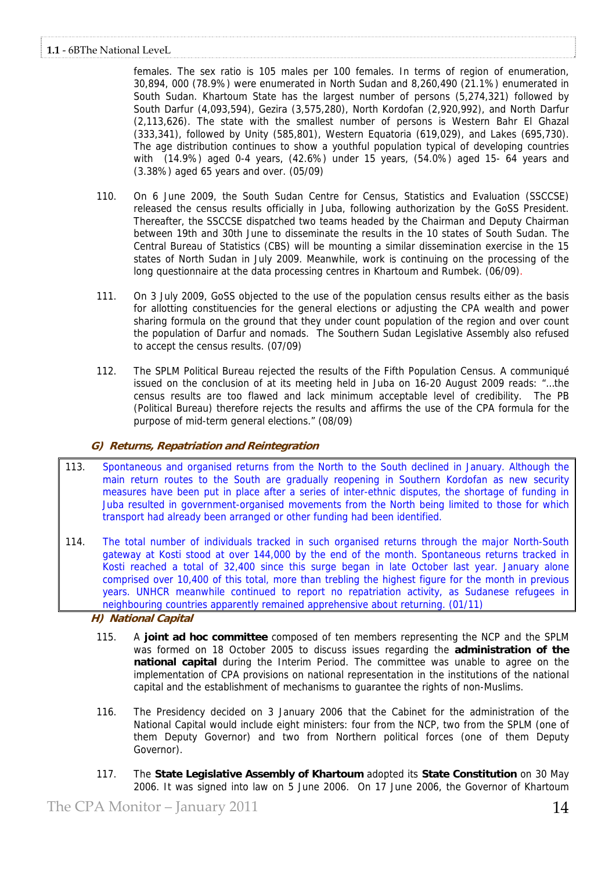# **1.1** ‐ 6BThe National LeveL

females. The sex ratio is 105 males per 100 females. In terms of region of enumeration, 30,894, 000 (78.9%) were enumerated in North Sudan and 8,260,490 (21.1%) enumerated in South Sudan. Khartoum State has the largest number of persons (5,274,321) followed by South Darfur (4,093,594), Gezira (3,575,280), North Kordofan (2,920,992), and North Darfur (2,113,626). The state with the smallest number of persons is Western Bahr El Ghazal (333,341), followed by Unity (585,801), Western Equatoria (619,029), and Lakes (695,730). The age distribution continues to show a youthful population typical of developing countries with (14.9%) aged 0-4 years, (42.6%) under 15 years, (54.0%) aged 15- 64 years and (3.38%) aged 65 years and over. (05/09)

- 110. On 6 June 2009, the South Sudan Centre for Census, Statistics and Evaluation (SSCCSE) released the census results officially in Juba, following authorization by the GoSS President. Thereafter, the SSCCSE dispatched two teams headed by the Chairman and Deputy Chairman between 19th and 30th June to disseminate the results in the 10 states of South Sudan. The Central Bureau of Statistics (CBS) will be mounting a similar dissemination exercise in the 15 states of North Sudan in July 2009. Meanwhile, work is continuing on the processing of the long questionnaire at the data processing centres in Khartoum and Rumbek. (06/09).
- 111. On 3 July 2009, GoSS objected to the use of the population census results either as the basis for allotting constituencies for the general elections or adjusting the CPA wealth and power sharing formula on the ground that they under count population of the region and over count the population of Darfur and nomads. The Southern Sudan Legislative Assembly also refused to accept the census results. (07/09)
- 112. The SPLM Political Bureau rejected the results of the Fifth Population Census. A communiqué issued on the conclusion of at its meeting held in Juba on 16-20 August 2009 reads: "…the census results are too flawed and lack minimum acceptable level of credibility. The PB (Political Bureau) therefore rejects the results and affirms the use of the CPA formula for the purpose of mid-term general elections." (08/09)

# **G) Returns, Repatriation and Reintegration**

- 113. Spontaneous and organised returns from the North to the South declined in January. Although the main return routes to the South are gradually reopening in Southern Kordofan as new security measures have been put in place after a series of inter-ethnic disputes, the shortage of funding in Juba resulted in government-organised movements from the North being limited to those for which transport had already been arranged or other funding had been identified.
- 114. The total number of individuals tracked in such organised returns through the major North-South gateway at Kosti stood at over 144,000 by the end of the month. Spontaneous returns tracked in Kosti reached a total of 32,400 since this surge began in late October last year. January alone comprised over 10,400 of this total, more than trebling the highest figure for the month in previous years. UNHCR meanwhile continued to report no repatriation activity, as Sudanese refugees in neighbouring countries apparently remained apprehensive about returning. (01/11)

**H) National Capital** 

- 115. A **joint ad hoc committee** composed of ten members representing the NCP and the SPLM was formed on 18 October 2005 to discuss issues regarding the **administration of the national capital** during the Interim Period. The committee was unable to agree on the implementation of CPA provisions on national representation in the institutions of the national capital and the establishment of mechanisms to guarantee the rights of non-Muslims.
- 116. The Presidency decided on 3 January 2006 that the Cabinet for the administration of the National Capital would include eight ministers: four from the NCP, two from the SPLM (one of them Deputy Governor) and two from Northern political forces (one of them Deputy Governor).
- 117. The **State Legislative Assembly of Khartoum** adopted its **State Constitution** on 30 May 2006. It was signed into law on 5 June 2006. On 17 June 2006, the Governor of Khartoum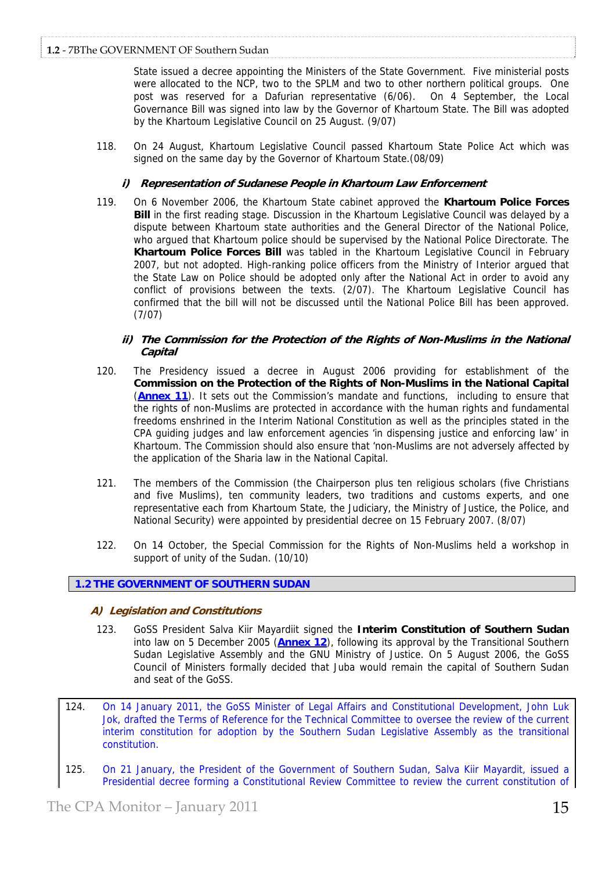State issued a decree appointing the Ministers of the State Government. Five ministerial posts were allocated to the NCP, two to the SPLM and two to other northern political groups. One post was reserved for a Dafurian representative (6/06). On 4 September, the Local Governance Bill was signed into law by the Governor of Khartoum State. The Bill was adopted by the Khartoum Legislative Council on 25 August. (9/07)

118. On 24 August, Khartoum Legislative Council passed Khartoum State Police Act which was signed on the same day by the Governor of Khartoum State.(08/09)

# **i) Representation of Sudanese People in Khartoum Law Enforcement**

119. On 6 November 2006, the Khartoum State cabinet approved the **Khartoum Police Forces Bill** in the first reading stage. Discussion in the Khartoum Legislative Council was delayed by a dispute between Khartoum state authorities and the General Director of the National Police, who argued that Khartoum police should be supervised by the National Police Directorate. The **Khartoum Police Forces Bill** was tabled in the Khartoum Legislative Council in February 2007, but not adopted. High-ranking police officers from the Ministry of Interior argued that the State Law on Police should be adopted only after the National Act in order to avoid any conflict of provisions between the texts. (2/07). The Khartoum Legislative Council has confirmed that the bill will not be discussed until the National Police Bill has been approved. (7/07)

# **ii) The Commission for the Protection of the Rights of Non-Muslims in the National Capital**

- 120. The Presidency issued a decree in August 2006 providing for establishment of the **Commission on the Protection of the Rights of Non-Muslims in the National Capital**  (**Annex 11**). It sets out the Commission's mandate and functions, including to ensure that the rights of non-Muslims are protected in accordance with the human rights and fundamental freedoms enshrined in the Interim National Constitution as well as the principles stated in the CPA guiding judges and law enforcement agencies 'in dispensing justice and enforcing law' in Khartoum. The Commission should also ensure that 'non-Muslims are not adversely affected by the application of the Sharia law in the National Capital.
- 121. The members of the Commission (the Chairperson plus ten religious scholars (five Christians and five Muslims), ten community leaders, two traditions and customs experts, and one representative each from Khartoum State, the Judiciary, the Ministry of Justice, the Police, and National Security) were appointed by presidential decree on 15 February 2007. (8/07)
- 122. On 14 October, the Special Commission for the Rights of Non-Muslims held a workshop in support of unity of the Sudan. (10/10)

# **1.2 THE GOVERNMENT OF SOUTHERN SUDAN**

# **A) Legislation and Constitutions**

- 123. GoSS President Salva Kiir Mayardiit signed the **Interim Constitution of Southern Sudan**  into law on 5 December 2005 (**Annex 12**), following its approval by the Transitional Southern Sudan Legislative Assembly and the GNU Ministry of Justice. On 5 August 2006, the GoSS Council of Ministers formally decided that Juba would remain the capital of Southern Sudan and seat of the GoSS.
- 124. On 14 January 2011, the GoSS Minister of Legal Affairs and Constitutional Development, John Luk Jok, drafted the Terms of Reference for the Technical Committee to oversee the review of the current interim constitution for adoption by the Southern Sudan Legislative Assembly as the transitional constitution.
- 125. On 21 January, the President of the Government of Southern Sudan, Salva Kiir Mayardit, issued a Presidential decree forming a Constitutional Review Committee to review the current constitution of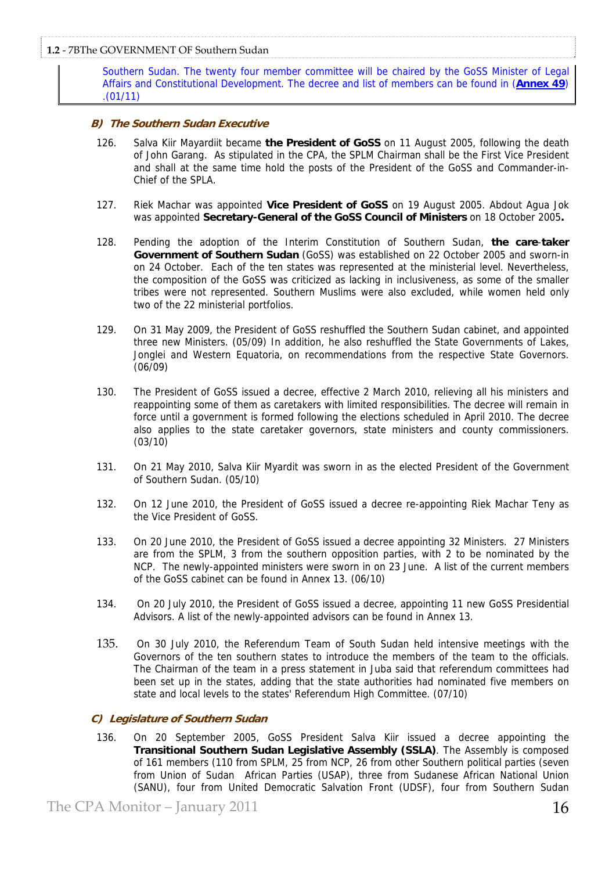Southern Sudan. The twenty four member committee will be chaired by the GoSS Minister of Legal Affairs and Constitutional Development. The decree and list of members can be found in (**Annex 49**) .(01/11)

# **B) The Southern Sudan Executive**

- 126. Salva Kiir Mayardiit became **the President of GoSS** on 11 August 2005, following the death of John Garang. As stipulated in the CPA, the SPLM Chairman shall be the First Vice President and shall at the same time hold the posts of the President of the GoSS and Commander-in-Chief of the SPLA.
- 127. Riek Machar was appointed **Vice President of GoSS** on 19 August 2005. Abdout Agua Jok was appointed **Secretary-General of the GoSS Council of Ministers** on 18 October 2005**.**
- 128. Pending the adoption of the Interim Constitution of Southern Sudan, **the care**-**taker Government of Southern Sudan** (GoSS) was established on 22 October 2005 and sworn-in on 24 October. Each of the ten states was represented at the ministerial level. Nevertheless, the composition of the GoSS was criticized as lacking in inclusiveness, as some of the smaller tribes were not represented. Southern Muslims were also excluded, while women held only two of the 22 ministerial portfolios.
- 129. On 31 May 2009, the President of GoSS reshuffled the Southern Sudan cabinet, and appointed three new Ministers. (05/09) In addition, he also reshuffled the State Governments of Lakes, Jonglei and Western Equatoria, on recommendations from the respective State Governors. (06/09)
- 130. The President of GoSS issued a decree, effective 2 March 2010, relieving all his ministers and reappointing some of them as caretakers with limited responsibilities. The decree will remain in force until a government is formed following the elections scheduled in April 2010. The decree also applies to the state caretaker governors, state ministers and county commissioners. (03/10)
- 131. On 21 May 2010, Salva Kiir Myardit was sworn in as the elected President of the Government of Southern Sudan. (05/10)
- 132. On 12 June 2010, the President of GoSS issued a decree re-appointing Riek Machar Teny as the Vice President of GoSS.
- 133. On 20 June 2010, the President of GoSS issued a decree appointing 32 Ministers. 27 Ministers are from the SPLM, 3 from the southern opposition parties, with 2 to be nominated by the NCP. The newly-appointed ministers were sworn in on 23 June. A list of the current members of the GoSS cabinet can be found in Annex 13. (06/10)
- 134. On 20 July 2010, the President of GoSS issued a decree, appointing 11 new GoSS Presidential Advisors. A list of the newly-appointed advisors can be found in Annex 13.
- 135. On 30 July 2010, the Referendum Team of South Sudan held intensive meetings with the Governors of the ten southern states to introduce the members of the team to the officials. The Chairman of the team in a press statement in Juba said that referendum committees had been set up in the states, adding that the state authorities had nominated five members on state and local levels to the states' Referendum High Committee. (07/10)

# **C) Legislature of Southern Sudan**

136. On 20 September 2005, GoSS President Salva Kiir issued a decree appointing the **Transitional Southern Sudan Legislative Assembly (SSLA)**. The Assembly is composed of 161 members (110 from SPLM, 25 from NCP, 26 from other Southern political parties (seven from Union of Sudan African Parties (USAP), three from Sudanese African National Union (SANU), four from United Democratic Salvation Front (UDSF), four from Southern Sudan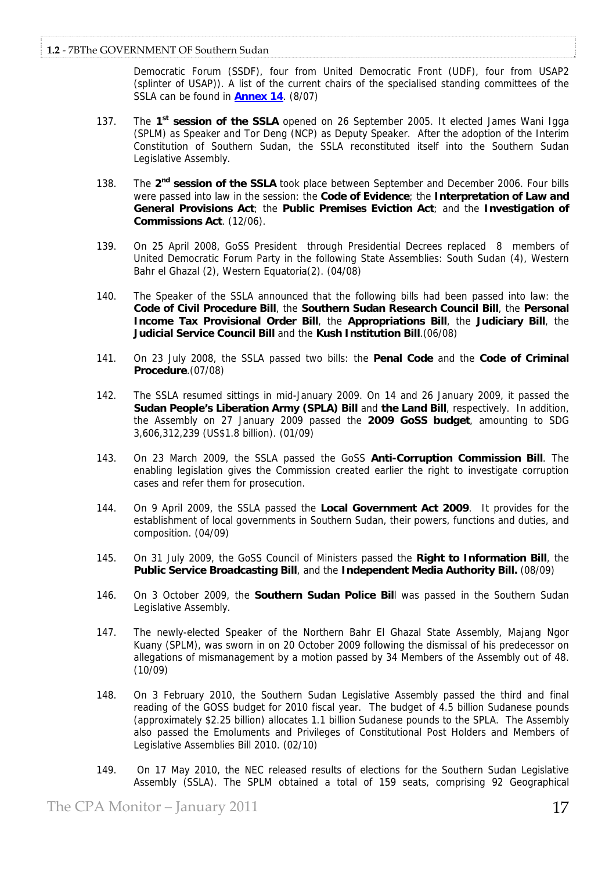Democratic Forum (SSDF), four from United Democratic Front (UDF), four from USAP2 (splinter of USAP)). A list of the current chairs of the specialised standing committees of the SSLA can be found in **Annex 14**. (8/07)

- 137. The **1st session of the SSLA** opened on 26 September 2005. It elected James Wani Igga (SPLM) as Speaker and Tor Deng (NCP) as Deputy Speaker. After the adoption of the Interim Constitution of Southern Sudan, the SSLA reconstituted itself into the Southern Sudan Legislative Assembly.
- 138. The **2nd session of the SSLA** took place between September and December 2006. Four bills were passed into law in the session: the **Code of Evidence**; the **Interpretation of Law and General Provisions Act**; the **Public Premises Eviction Act**; and the **Investigation of Commissions Act**. (12/06).
- 139. On 25 April 2008, GoSS President through Presidential Decrees replaced 8 members of United Democratic Forum Party in the following State Assemblies: South Sudan (4), Western Bahr el Ghazal (2), Western Equatoria(2). (04/08)
- 140. The Speaker of the SSLA announced that the following bills had been passed into law: the **Code of Civil Procedure Bill**, the **Southern Sudan Research Council Bill**, the **Personal Income Tax Provisional Order Bill**, the **Appropriations Bill**, the **Judiciary Bill**, the **Judicial Service Council Bill** and the **Kush Institution Bill**.(06/08)
- 141. On 23 July 2008, the SSLA passed two bills: the **Penal Code** and the **Code of Criminal Procedure**.(07/08)
- 142. The SSLA resumed sittings in mid-January 2009. On 14 and 26 January 2009, it passed the **Sudan People's Liberation Army (SPLA) Bill** and **the Land Bill**, respectively. In addition, the Assembly on 27 January 2009 passed the **2009 GoSS budget**, amounting to SDG 3,606,312,239 (US\$1.8 billion). (01/09)
- 143. On 23 March 2009, the SSLA passed the GoSS **Anti-Corruption Commission Bill**. The enabling legislation gives the Commission created earlier the right to investigate corruption cases and refer them for prosecution.
- 144. On 9 April 2009, the SSLA passed the **Local Government Act 2009**. It provides for the establishment of local governments in Southern Sudan, their powers, functions and duties, and composition. (04/09)
- 145. On 31 July 2009, the GoSS Council of Ministers passed the **Right to Information Bill**, the **Public Service Broadcasting Bill**, and the **Independent Media Authority Bill.** (08/09)
- 146. On 3 October 2009, the **Southern Sudan Police Bil**l was passed in the Southern Sudan Legislative Assembly.
- 147. The newly-elected Speaker of the Northern Bahr El Ghazal State Assembly, Majang Ngor Kuany (SPLM), was sworn in on 20 October 2009 following the dismissal of his predecessor on allegations of mismanagement by a motion passed by 34 Members of the Assembly out of 48. (10/09)
- 148. On 3 February 2010, the Southern Sudan Legislative Assembly passed the third and final reading of the GOSS budget for 2010 fiscal year. The budget of 4.5 billion Sudanese pounds (approximately \$2.25 billion) allocates 1.1 billion Sudanese pounds to the SPLA. The Assembly also passed the Emoluments and Privileges of Constitutional Post Holders and Members of Legislative Assemblies Bill 2010. (02/10)
- 149. On 17 May 2010, the NEC released results of elections for the Southern Sudan Legislative Assembly (SSLA). The SPLM obtained a total of 159 seats, comprising 92 Geographical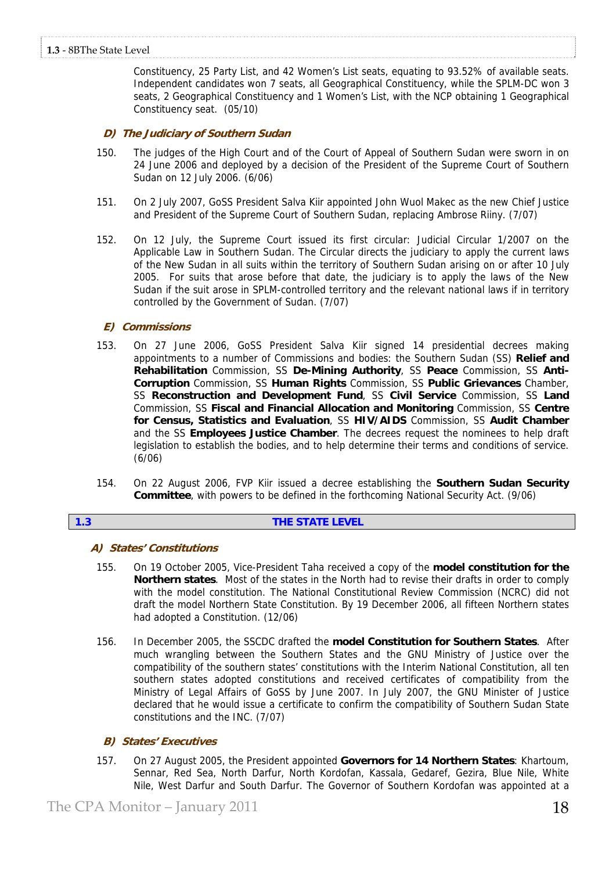Constituency, 25 Party List, and 42 Women's List seats, equating to 93.52% of available seats. Independent candidates won 7 seats, all Geographical Constituency, while the SPLM-DC won 3 seats, 2 Geographical Constituency and 1 Women's List, with the NCP obtaining 1 Geographical Constituency seat. (05/10)

# **D) The Judiciary of Southern Sudan**

- 150. The judges of the High Court and of the Court of Appeal of Southern Sudan were sworn in on 24 June 2006 and deployed by a decision of the President of the Supreme Court of Southern Sudan on 12 July 2006. (6/06)
- 151. On 2 July 2007, GoSS President Salva Kiir appointed John Wuol Makec as the new Chief Justice and President of the Supreme Court of Southern Sudan, replacing Ambrose Riiny. (7/07)
- 152. On 12 July, the Supreme Court issued its first circular: Judicial Circular 1/2007 on the Applicable Law in Southern Sudan. The Circular directs the judiciary to apply the current laws of the New Sudan in all suits within the territory of Southern Sudan arising on or after 10 July 2005. For suits that arose before that date, the judiciary is to apply the laws of the New Sudan if the suit arose in SPLM-controlled territory and the relevant national laws if in territory controlled by the Government of Sudan. (7/07)

# **E) Commissions**

- 153. On 27 June 2006, GoSS President Salva Kiir signed 14 presidential decrees making appointments to a number of Commissions and bodies: the Southern Sudan (SS) **Relief and Rehabilitation** Commission, SS **De-Mining Authority**, SS **Peace** Commission, SS **Anti-Corruption** Commission, SS **Human Rights** Commission, SS **Public Grievances** Chamber, SS **Reconstruction and Development Fund**, SS **Civil Service** Commission, SS **Land**  Commission, SS **Fiscal and Financial Allocation and Monitoring** Commission, SS **Centre for Census, Statistics and Evaluation**, SS **HIV/AIDS** Commission, SS **Audit Chamber**  and the SS **Employees Justice Chamber**. The decrees request the nominees to help draft legislation to establish the bodies, and to help determine their terms and conditions of service. (6/06)
- 154. On 22 August 2006, FVP Kiir issued a decree establishing the **Southern Sudan Security Committee**, with powers to be defined in the forthcoming National Security Act. (9/06)

# **1.3 THE STATE LEVEL**

# **A) States' Constitutions**

- 155. On 19 October 2005, Vice-President Taha received a copy of the **model constitution for the Northern states**. Most of the states in the North had to revise their drafts in order to comply with the model constitution. The National Constitutional Review Commission (NCRC) did not draft the model Northern State Constitution. By 19 December 2006, all fifteen Northern states had adopted a Constitution. (12/06)
- 156. In December 2005, the SSCDC drafted the **model Constitution for Southern States**. After much wrangling between the Southern States and the GNU Ministry of Justice over the compatibility of the southern states' constitutions with the Interim National Constitution, all ten southern states adopted constitutions and received certificates of compatibility from the Ministry of Legal Affairs of GoSS by June 2007. In July 2007, the GNU Minister of Justice declared that he would issue a certificate to confirm the compatibility of Southern Sudan State constitutions and the INC. (7/07)

# **B) States' Executives**

157. On 27 August 2005, the President appointed **Governors for 14 Northern States**: Khartoum, Sennar, Red Sea, North Darfur, North Kordofan, Kassala, Gedaref, Gezira, Blue Nile, White Nile, West Darfur and South Darfur. The Governor of Southern Kordofan was appointed at a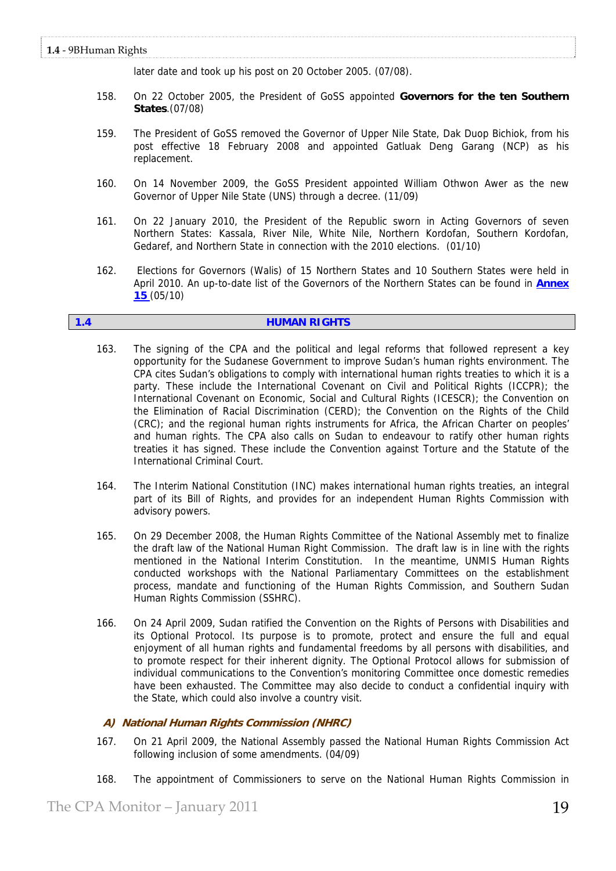later date and took up his post on 20 October 2005. (07/08).

- 158. On 22 October 2005, the President of GoSS appointed **Governors for the ten Southern States**.(07/08)
- 159. The President of GoSS removed the Governor of Upper Nile State, Dak Duop Bichiok, from his post effective 18 February 2008 and appointed Gatluak Deng Garang (NCP) as his replacement.
- 160. On 14 November 2009, the GoSS President appointed William Othwon Awer as the new Governor of Upper Nile State (UNS) through a decree. (11/09)
- 161. On 22 January 2010, the President of the Republic sworn in Acting Governors of seven Northern States: Kassala, River Nile, White Nile, Northern Kordofan, Southern Kordofan, Gedaref, and Northern State in connection with the 2010 elections. (01/10)
- 162. Elections for Governors (Walis) of 15 Northern States and 10 Southern States were held in April 2010. An up-to-date list of the Governors of the Northern States can be found in **Annex 15** (05/10)

### **1.4 HUMAN RIGHTS**

- 163. The signing of the CPA and the political and legal reforms that followed represent a key opportunity for the Sudanese Government to improve Sudan's human rights environment. The CPA cites Sudan's obligations to comply with international human rights treaties to which it is a party. These include the International Covenant on Civil and Political Rights (ICCPR); the International Covenant on Economic, Social and Cultural Rights (ICESCR); the Convention on the Elimination of Racial Discrimination (CERD); the Convention on the Rights of the Child (CRC); and the regional human rights instruments for Africa, the African Charter on peoples' and human rights. The CPA also calls on Sudan to endeavour to ratify other human rights treaties it has signed. These include the Convention against Torture and the Statute of the International Criminal Court.
- 164. The Interim National Constitution (INC) makes international human rights treaties, an integral part of its Bill of Rights, and provides for an independent Human Rights Commission with advisory powers.
- 165. On 29 December 2008, the Human Rights Committee of the National Assembly met to finalize the draft law of the National Human Right Commission. The draft law is in line with the rights mentioned in the National Interim Constitution. In the meantime, UNMIS Human Rights conducted workshops with the National Parliamentary Committees on the establishment process, mandate and functioning of the Human Rights Commission, and Southern Sudan Human Rights Commission (SSHRC).
- 166. On 24 April 2009, Sudan ratified the Convention on the Rights of Persons with Disabilities and its Optional Protocol. Its purpose is to promote, protect and ensure the full and equal enjoyment of all human rights and fundamental freedoms by all persons with disabilities, and to promote respect for their inherent dignity. The Optional Protocol allows for submission of individual communications to the Convention's monitoring Committee once domestic remedies have been exhausted. The Committee may also decide to conduct a confidential inquiry with the State, which could also involve a country visit.

# **A) National Human Rights Commission (NHRC)**

- 167. On 21 April 2009, the National Assembly passed the National Human Rights Commission Act following inclusion of some amendments. (04/09)
- 168. The appointment of Commissioners to serve on the National Human Rights Commission in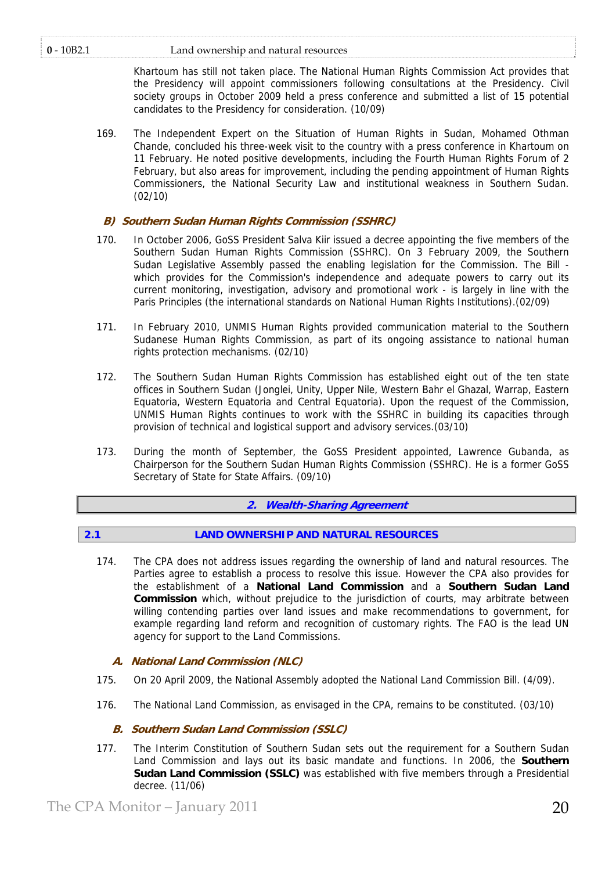# **0** ‐ 10B2.1 Land ownership and natural resources

Khartoum has still not taken place. The National Human Rights Commission Act provides that the Presidency will appoint commissioners following consultations at the Presidency. Civil society groups in October 2009 held a press conference and submitted a list of 15 potential candidates to the Presidency for consideration. (10/09)

169. The Independent Expert on the Situation of Human Rights in Sudan, Mohamed Othman Chande, concluded his three-week visit to the country with a press conference in Khartoum on 11 February. He noted positive developments, including the Fourth Human Rights Forum of 2 February, but also areas for improvement, including the pending appointment of Human Rights Commissioners, the National Security Law and institutional weakness in Southern Sudan. (02/10)

# **B) Southern Sudan Human Rights Commission (SSHRC)**

- 170. In October 2006, GoSS President Salva Kiir issued a decree appointing the five members of the Southern Sudan Human Rights Commission (SSHRC). On 3 February 2009, the Southern Sudan Legislative Assembly passed the enabling legislation for the Commission. The Bill which provides for the Commission's independence and adequate powers to carry out its current monitoring, investigation, advisory and promotional work - is largely in line with the Paris Principles (the international standards on National Human Rights Institutions).(02/09)
- 171. In February 2010, UNMIS Human Rights provided communication material to the Southern Sudanese Human Rights Commission, as part of its ongoing assistance to national human rights protection mechanisms. (02/10)
- 172. The Southern Sudan Human Rights Commission has established eight out of the ten state offices in Southern Sudan (Jonglei, Unity, Upper Nile, Western Bahr el Ghazal, Warrap, Eastern Equatoria, Western Equatoria and Central Equatoria). Upon the request of the Commission, UNMIS Human Rights continues to work with the SSHRC in building its capacities through provision of technical and logistical support and advisory services.(03/10)
- 173. During the month of September, the GoSS President appointed, Lawrence Gubanda, as Chairperson for the Southern Sudan Human Rights Commission (SSHRC). He is a former GoSS Secretary of State for State Affairs. (09/10)

# **2. Wealth-Sharing Agreement**

# **2.1 LAND OWNERSHIP AND NATURAL RESOURCES**

174. The CPA does not address issues regarding the ownership of land and natural resources. The Parties agree to establish a process to resolve this issue. However the CPA also provides for the establishment of a **National Land Commission** and a **Southern Sudan Land Commission** which, without prejudice to the jurisdiction of courts, may arbitrate between willing contending parties over land issues and make recommendations to government, for example regarding land reform and recognition of customary rights. The FAO is the lead UN agency for support to the Land Commissions.

# **A. National Land Commission (NLC)**

- 175. On 20 April 2009, the National Assembly adopted the National Land Commission Bill. (4/09).
- 176. The National Land Commission, as envisaged in the CPA, remains to be constituted. (03/10)

# **B. Southern Sudan Land Commission (SSLC)**

177. The Interim Constitution of Southern Sudan sets out the requirement for a Southern Sudan Land Commission and lays out its basic mandate and functions. In 2006, the **Southern Sudan Land Commission (SSLC)** was established with five members through a Presidential decree. (11/06)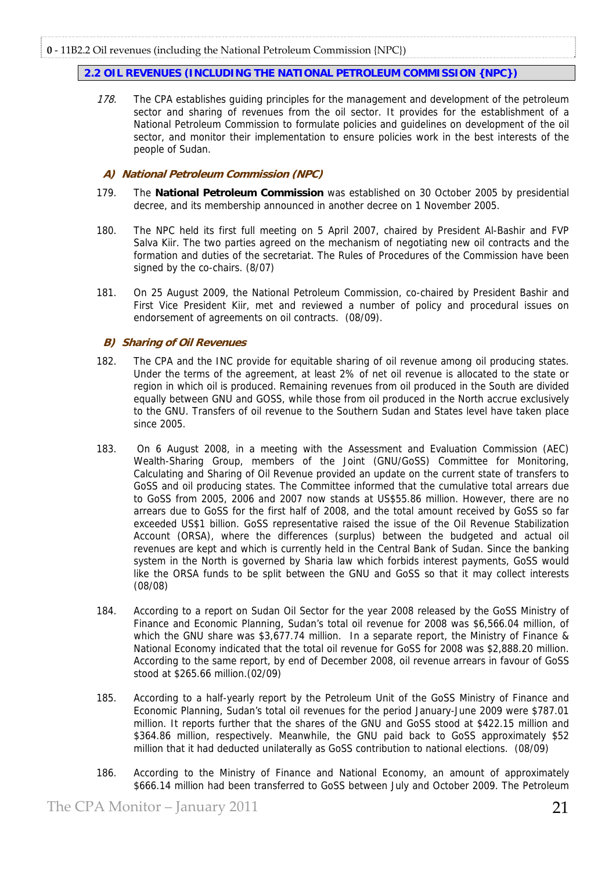# **2.2 OIL REVENUES (INCLUDING THE NATIONAL PETROLEUM COMMISSION {NPC})**

178. The CPA establishes quiding principles for the management and development of the petroleum sector and sharing of revenues from the oil sector. It provides for the establishment of a National Petroleum Commission to formulate policies and guidelines on development of the oil sector, and monitor their implementation to ensure policies work in the best interests of the people of Sudan.

# **A) National Petroleum Commission (NPC)**

- 179. The **National Petroleum Commission** was established on 30 October 2005 by presidential decree, and its membership announced in another decree on 1 November 2005.
- 180. The NPC held its first full meeting on 5 April 2007, chaired by President Al-Bashir and FVP Salva Kiir. The two parties agreed on the mechanism of negotiating new oil contracts and the formation and duties of the secretariat. The Rules of Procedures of the Commission have been signed by the co-chairs. (8/07)
- 181. On 25 August 2009, the National Petroleum Commission, co-chaired by President Bashir and First Vice President Kiir, met and reviewed a number of policy and procedural issues on endorsement of agreements on oil contracts. (08/09).

# **B) Sharing of Oil Revenues**

- 182. The CPA and the INC provide for equitable sharing of oil revenue among oil producing states. Under the terms of the agreement, at least 2% of net oil revenue is allocated to the state or region in which oil is produced. Remaining revenues from oil produced in the South are divided equally between GNU and GOSS, while those from oil produced in the North accrue exclusively to the GNU. Transfers of oil revenue to the Southern Sudan and States level have taken place since 2005.
- 183. On 6 August 2008, in a meeting with the Assessment and Evaluation Commission (AEC) Wealth-Sharing Group, members of the Joint (GNU/GoSS) Committee for Monitoring, Calculating and Sharing of Oil Revenue provided an update on the current state of transfers to GoSS and oil producing states. The Committee informed that the cumulative total arrears due to GoSS from 2005, 2006 and 2007 now stands at US\$55.86 million. However, there are no arrears due to GoSS for the first half of 2008, and the total amount received by GoSS so far exceeded US\$1 billion. GoSS representative raised the issue of the Oil Revenue Stabilization Account (ORSA), where the differences (surplus) between the budgeted and actual oil revenues are kept and which is currently held in the Central Bank of Sudan. Since the banking system in the North is governed by Sharia law which forbids interest payments, GoSS would like the ORSA funds to be split between the GNU and GoSS so that it may collect interests (08/08)
- 184. According to a report on Sudan Oil Sector for the year 2008 released by the GoSS Ministry of Finance and Economic Planning, Sudan's total oil revenue for 2008 was \$6,566.04 million, of which the GNU share was \$3,677.74 million. In a separate report, the Ministry of Finance & National Economy indicated that the total oil revenue for GoSS for 2008 was \$2,888.20 million. According to the same report, by end of December 2008, oil revenue arrears in favour of GoSS stood at \$265.66 million.(02/09)
- 185. According to a half-yearly report by the Petroleum Unit of the GoSS Ministry of Finance and Economic Planning, Sudan's total oil revenues for the period January-June 2009 were \$787.01 million. It reports further that the shares of the GNU and GoSS stood at \$422.15 million and \$364.86 million, respectively. Meanwhile, the GNU paid back to GoSS approximately \$52 million that it had deducted unilaterally as GoSS contribution to national elections. (08/09)
- 186. According to the Ministry of Finance and National Economy, an amount of approximately \$666.14 million had been transferred to GoSS between July and October 2009. The Petroleum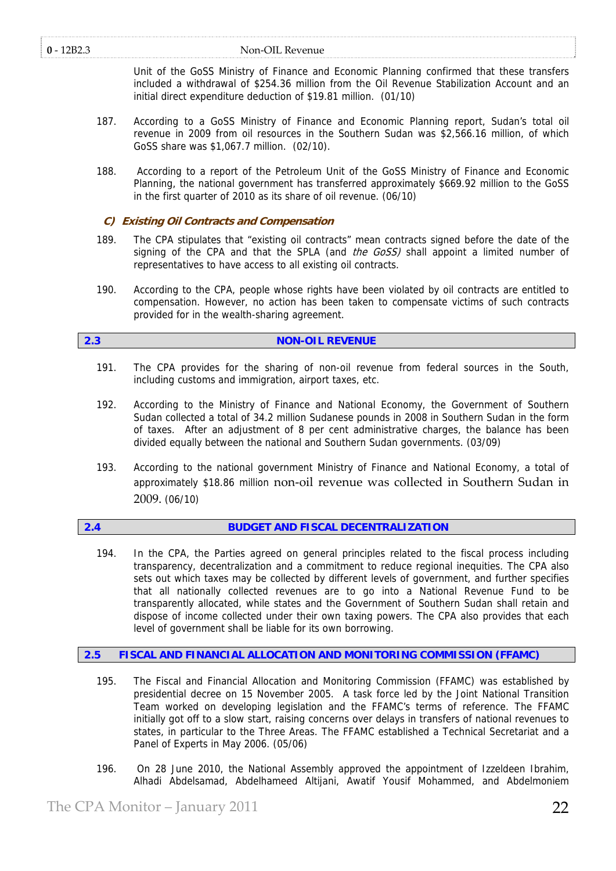## **0** ‐ 12B2.3 Non‐OIL Revenue

Unit of the GoSS Ministry of Finance and Economic Planning confirmed that these transfers included a withdrawal of \$254.36 million from the Oil Revenue Stabilization Account and an initial direct expenditure deduction of \$19.81 million. (01/10)

- 187. According to a GoSS Ministry of Finance and Economic Planning report, Sudan's total oil revenue in 2009 from oil resources in the Southern Sudan was \$2,566.16 million, of which GoSS share was \$1,067.7 million. (02/10).
- 188. According to a report of the Petroleum Unit of the GoSS Ministry of Finance and Economic Planning, the national government has transferred approximately \$669.92 million to the GoSS in the first quarter of 2010 as its share of oil revenue. (06/10)

# **C) Existing Oil Contracts and Compensation**

- 189. The CPA stipulates that "existing oil contracts" mean contracts signed before the date of the signing of the CPA and that the SPLA (and the  $G$ oSS) shall appoint a limited number of representatives to have access to all existing oil contracts.
- 190. According to the CPA, people whose rights have been violated by oil contracts are entitled to compensation. However, no action has been taken to compensate victims of such contracts provided for in the wealth-sharing agreement.

# **2.3 NON-OIL REVENUE**

- 191. The CPA provides for the sharing of non-oil revenue from federal sources in the South, including customs and immigration, airport taxes, etc.
- 192. According to the Ministry of Finance and National Economy, the Government of Southern Sudan collected a total of 34.2 million Sudanese pounds in 2008 in Southern Sudan in the form of taxes. After an adjustment of 8 per cent administrative charges, the balance has been divided equally between the national and Southern Sudan governments. (03/09)
- 193. According to the national government Ministry of Finance and National Economy, a total of approximately \$18.86 million non‐oil revenue was collected in Southern Sudan in 2009. (06/10)

# **2.4 BUDGET AND FISCAL DECENTRALIZATION**

194. In the CPA, the Parties agreed on general principles related to the fiscal process including transparency, decentralization and a commitment to reduce regional inequities. The CPA also sets out which taxes may be collected by different levels of government, and further specifies that all nationally collected revenues are to go into a National Revenue Fund to be transparently allocated, while states and the Government of Southern Sudan shall retain and dispose of income collected under their own taxing powers. The CPA also provides that each level of government shall be liable for its own borrowing.

# **2.5 FISCAL AND FINANCIAL ALLOCATION AND MONITORING COMMISSION (FFAMC)**

- 195. The Fiscal and Financial Allocation and Monitoring Commission (FFAMC) was established by presidential decree on 15 November 2005. A task force led by the Joint National Transition Team worked on developing legislation and the FFAMC's terms of reference. The FFAMC initially got off to a slow start, raising concerns over delays in transfers of national revenues to states, in particular to the Three Areas. The FFAMC established a Technical Secretariat and a Panel of Experts in May 2006. (05/06)
- 196. On 28 June 2010, the National Assembly approved the appointment of Izzeldeen Ibrahim, Alhadi Abdelsamad, Abdelhameed Altijani, Awatif Yousif Mohammed, and Abdelmoniem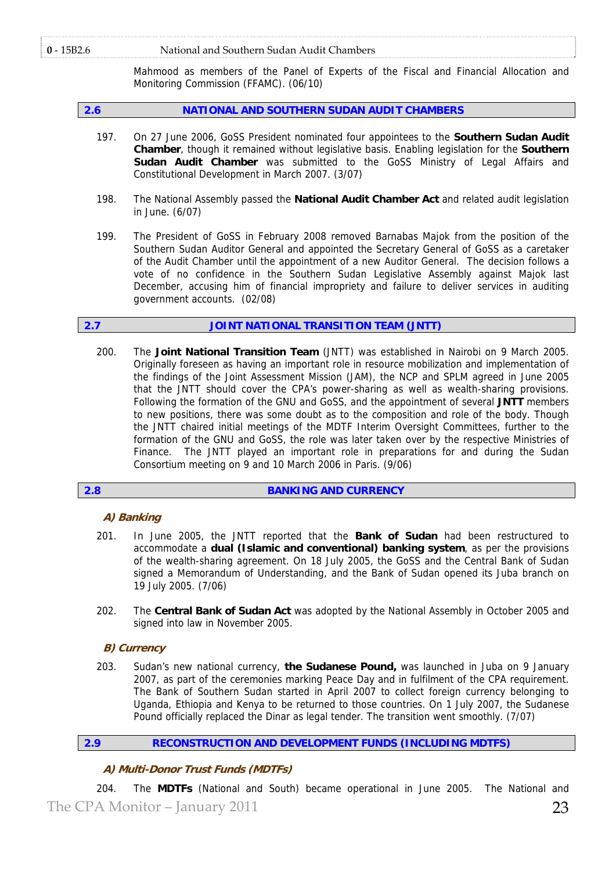### **0** ‐ 15B2.6 National and Southern Sudan Audit Chambers

Mahmood as members of the Panel of Experts of the Fiscal and Financial Allocation and Monitoring Commission (FFAMC). (06/10)

# **2.6 NATIONAL AND SOUTHERN SUDAN AUDIT CHAMBERS**

- 197. On 27 June 2006, GoSS President nominated four appointees to the **Southern Sudan Audit Chamber**, though it remained without legislative basis. Enabling legislation for the **Southern Sudan Audit Chamber** was submitted to the GoSS Ministry of Legal Affairs and Constitutional Development in March 2007. (3/07)
- 198. The National Assembly passed the **National Audit Chamber Act** and related audit legislation in June. (6/07)
- 199. The President of GoSS in February 2008 removed Barnabas Majok from the position of the Southern Sudan Auditor General and appointed the Secretary General of GoSS as a caretaker of the Audit Chamber until the appointment of a new Auditor General. The decision follows a vote of no confidence in the Southern Sudan Legislative Assembly against Majok last December, accusing him of financial impropriety and failure to deliver services in auditing government accounts. (02/08)

# **2.7 JOINT NATIONAL TRANSITION TEAM (JNTT)**

200. The **Joint National Transition Team** (JNTT) was established in Nairobi on 9 March 2005. Originally foreseen as having an important role in resource mobilization and implementation of the findings of the Joint Assessment Mission (JAM), the NCP and SPLM agreed in June 2005 that the JNTT should cover the CPA's power-sharing as well as wealth-sharing provisions. Following the formation of the GNU and GoSS, and the appointment of several **JNTT** members to new positions, there was some doubt as to the composition and role of the body. Though the JNTT chaired initial meetings of the MDTF Interim Oversight Committees, further to the formation of the GNU and GoSS, the role was later taken over by the respective Ministries of Finance. The JNTT played an important role in preparations for and during the Sudan Consortium meeting on 9 and 10 March 2006 in Paris. (9/06)

# **2.8 BANKING AND CURRENCY**

# **A) Banking**

- 201. In June 2005, the JNTT reported that the **Bank of Sudan** had been restructured to accommodate a **dual (Islamic and conventional) banking system**, as per the provisions of the wealth-sharing agreement. On 18 July 2005, the GoSS and the Central Bank of Sudan signed a Memorandum of Understanding, and the Bank of Sudan opened its Juba branch on 19 July 2005. (7/06)
- 202. The **Central Bank of Sudan Act** was adopted by the National Assembly in October 2005 and signed into law in November 2005.

# **B) Currency**

203. Sudan's new national currency, **the Sudanese Pound,** was launched in Juba on 9 January 2007, as part of the ceremonies marking Peace Day and in fulfilment of the CPA requirement. The Bank of Southern Sudan started in April 2007 to collect foreign currency belonging to Uganda, Ethiopia and Kenya to be returned to those countries. On 1 July 2007, the Sudanese Pound officially replaced the Dinar as legal tender. The transition went smoothly. (7/07)

# **2.9 RECONSTRUCTION AND DEVELOPMENT FUNDS (INCLUDING MDTFS)**

# **A) Multi-Donor Trust Funds (MDTFs)**

The CPA Monitor – January 2011 23 204. The **MDTFs** (National and South) became operational in June 2005. The National and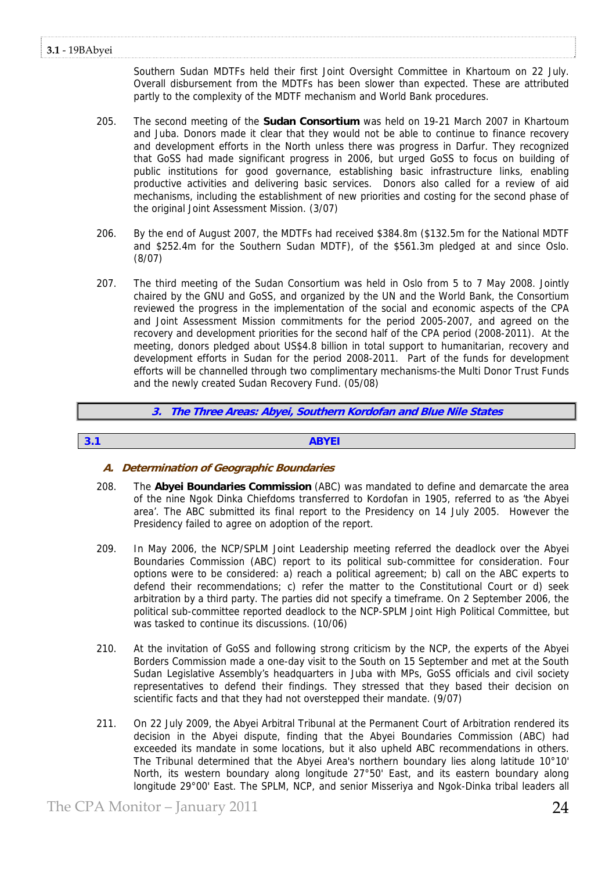Southern Sudan MDTFs held their first Joint Oversight Committee in Khartoum on 22 July. Overall disbursement from the MDTFs has been slower than expected. These are attributed partly to the complexity of the MDTF mechanism and World Bank procedures.

- 205. The second meeting of the **Sudan Consortium** was held on 19-21 March 2007 in Khartoum and Juba. Donors made it clear that they would not be able to continue to finance recovery and development efforts in the North unless there was progress in Darfur. They recognized that GoSS had made significant progress in 2006, but urged GoSS to focus on building of public institutions for good governance, establishing basic infrastructure links, enabling productive activities and delivering basic services. Donors also called for a review of aid mechanisms, including the establishment of new priorities and costing for the second phase of the original Joint Assessment Mission. (3/07)
- 206. By the end of August 2007, the MDTFs had received \$384.8m (\$132.5m for the National MDTF and \$252.4m for the Southern Sudan MDTF), of the \$561.3m pledged at and since Oslo. (8/07)
- 207. The third meeting of the Sudan Consortium was held in Oslo from 5 to 7 May 2008. Jointly chaired by the GNU and GoSS, and organized by the UN and the World Bank, the Consortium reviewed the progress in the implementation of the social and economic aspects of the CPA and Joint Assessment Mission commitments for the period 2005-2007, and agreed on the recovery and development priorities for the second half of the CPA period (2008-2011). At the meeting, donors pledged about US\$4.8 billion in total support to humanitarian, recovery and development efforts in Sudan for the period 2008-2011. Part of the funds for development efforts will be channelled through two complimentary mechanisms-the Multi Donor Trust Funds and the newly created Sudan Recovery Fund. (05/08)

**3. The Three Areas: Abyei, Southern Kordofan and Blue Nile States** 

# **3.1 ABYEI**

# **A. Determination of Geographic Boundaries**

- 208. The **Abyei Boundaries Commission** (ABC) was mandated to define and demarcate the area of the nine Ngok Dinka Chiefdoms transferred to Kordofan in 1905, referred to as 'the Abyei area'. The ABC submitted its final report to the Presidency on 14 July 2005. However the Presidency failed to agree on adoption of the report.
- 209. In May 2006, the NCP/SPLM Joint Leadership meeting referred the deadlock over the Abyei Boundaries Commission (ABC) report to its political sub-committee for consideration. Four options were to be considered: a) reach a political agreement; b) call on the ABC experts to defend their recommendations; c) refer the matter to the Constitutional Court or d) seek arbitration by a third party. The parties did not specify a timeframe. On 2 September 2006, the political sub-committee reported deadlock to the NCP-SPLM Joint High Political Committee, but was tasked to continue its discussions. (10/06)
- 210. At the invitation of GoSS and following strong criticism by the NCP, the experts of the Abyei Borders Commission made a one-day visit to the South on 15 September and met at the South Sudan Legislative Assembly's headquarters in Juba with MPs, GoSS officials and civil society representatives to defend their findings. They stressed that they based their decision on scientific facts and that they had not overstepped their mandate. (9/07)
- 211. On 22 July 2009, the Abyei Arbitral Tribunal at the Permanent Court of Arbitration rendered its decision in the Abyei dispute, finding that the Abyei Boundaries Commission (ABC) had exceeded its mandate in some locations, but it also upheld ABC recommendations in others. The Tribunal determined that the Abyei Area's northern boundary lies along latitude 10°10' North, its western boundary along longitude 27°50' East, and its eastern boundary along longitude 29°00' East. The SPLM, NCP, and senior Misseriya and Ngok-Dinka tribal leaders all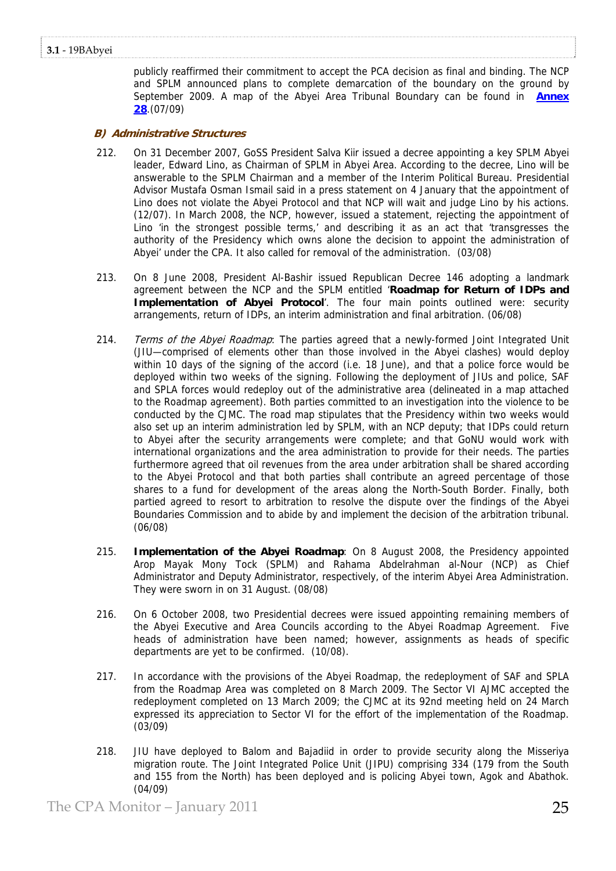publicly reaffirmed their commitment to accept the PCA decision as final and binding. The NCP and SPLM announced plans to complete demarcation of the boundary on the ground by September 2009. A map of the Abyei Area Tribunal Boundary can be found in **Annex 28**.(07/09)

# **B) Administrative Structures**

- 212. On 31 December 2007, GoSS President Salva Kiir issued a decree appointing a key SPLM Abyei leader, Edward Lino, as Chairman of SPLM in Abyei Area. According to the decree, Lino will be answerable to the SPLM Chairman and a member of the Interim Political Bureau. Presidential Advisor Mustafa Osman Ismail said in a press statement on 4 January that the appointment of Lino does not violate the Abyei Protocol and that NCP will wait and judge Lino by his actions. (12/07). In March 2008, the NCP, however, issued a statement, rejecting the appointment of Lino 'in the strongest possible terms,' and describing it as an act that 'transgresses the authority of the Presidency which owns alone the decision to appoint the administration of Abyei' under the CPA. It also called for removal of the administration. (03/08)
- 213. On 8 June 2008, President Al-Bashir issued Republican Decree 146 adopting a landmark agreement between the NCP and the SPLM entitled '**Roadmap for Return of IDPs and Implementation of Abyei Protocol**'. The four main points outlined were: security arrangements, return of IDPs, an interim administration and final arbitration. (06/08)
- 214. Terms of the Abyei Roadmap: The parties agreed that a newly-formed Joint Integrated Unit (JIU—comprised of elements other than those involved in the Abyei clashes) would deploy within 10 days of the signing of the accord (i.e. 18 June), and that a police force would be deployed within two weeks of the signing. Following the deployment of JIUs and police, SAF and SPLA forces would redeploy out of the administrative area (delineated in a map attached to the Roadmap agreement). Both parties committed to an investigation into the violence to be conducted by the CJMC. The road map stipulates that the Presidency within two weeks would also set up an interim administration led by SPLM, with an NCP deputy; that IDPs could return to Abyei after the security arrangements were complete; and that GoNU would work with international organizations and the area administration to provide for their needs. The parties furthermore agreed that oil revenues from the area under arbitration shall be shared according to the Abyei Protocol and that both parties shall contribute an agreed percentage of those shares to a fund for development of the areas along the North-South Border. Finally, both partied agreed to resort to arbitration to resolve the dispute over the findings of the Abyei Boundaries Commission and to abide by and implement the decision of the arbitration tribunal. (06/08)
- 215. **Implementation of the Abyei Roadmap**: On 8 August 2008, the Presidency appointed Arop Mayak Mony Tock (SPLM) and Rahama Abdelrahman al-Nour (NCP) as Chief Administrator and Deputy Administrator, respectively, of the interim Abyei Area Administration. They were sworn in on 31 August. (08/08)
- 216. On 6 October 2008, two Presidential decrees were issued appointing remaining members of the Abyei Executive and Area Councils according to the Abyei Roadmap Agreement. Five heads of administration have been named; however, assignments as heads of specific departments are yet to be confirmed. (10/08).
- 217. In accordance with the provisions of the Abyei Roadmap, the redeployment of SAF and SPLA from the Roadmap Area was completed on 8 March 2009. The Sector VI AJMC accepted the redeployment completed on 13 March 2009; the CJMC at its 92nd meeting held on 24 March expressed its appreciation to Sector VI for the effort of the implementation of the Roadmap. (03/09)
- 218. JIU have deployed to Balom and Bajadiid in order to provide security along the Misseriya migration route. The Joint Integrated Police Unit (JIPU) comprising 334 (179 from the South and 155 from the North) has been deployed and is policing Abyei town, Agok and Abathok. (04/09)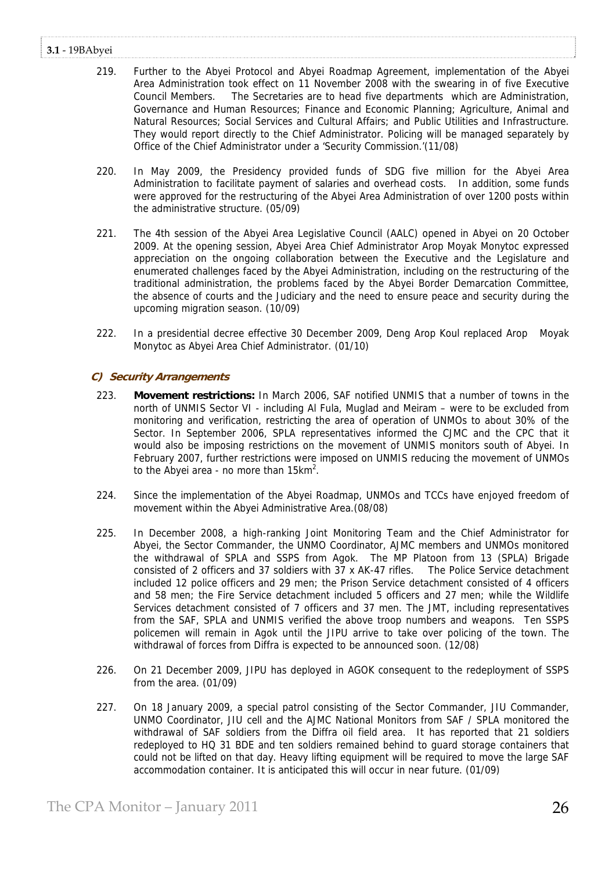# **3.1** ‐ 19BAbyei

- 219. Further to the Abyei Protocol and Abyei Roadmap Agreement, implementation of the Abyei Area Administration took effect on 11 November 2008 with the swearing in of five Executive Council Members. The Secretaries are to head five departments which are Administration, Governance and Human Resources; Finance and Economic Planning; Agriculture, Animal and Natural Resources; Social Services and Cultural Affairs; and Public Utilities and Infrastructure. They would report directly to the Chief Administrator. Policing will be managed separately by Office of the Chief Administrator under a 'Security Commission.'(11/08)
- 220. In May 2009, the Presidency provided funds of SDG five million for the Abyei Area Administration to facilitate payment of salaries and overhead costs. In addition, some funds were approved for the restructuring of the Abyei Area Administration of over 1200 posts within the administrative structure. (05/09)
- 221. The 4th session of the Abyei Area Legislative Council (AALC) opened in Abyei on 20 October 2009. At the opening session, Abyei Area Chief Administrator Arop Moyak Monytoc expressed appreciation on the ongoing collaboration between the Executive and the Legislature and enumerated challenges faced by the Abyei Administration, including on the restructuring of the traditional administration, the problems faced by the Abyei Border Demarcation Committee, the absence of courts and the Judiciary and the need to ensure peace and security during the upcoming migration season. (10/09)
- 222. In a presidential decree effective 30 December 2009, Deng Arop Koul replaced Arop Moyak Monytoc as Abyei Area Chief Administrator. (01/10)

# **C) Security Arrangements**

- 223. **Movement restrictions:** In March 2006, SAF notified UNMIS that a number of towns in the north of UNMIS Sector VI - including Al Fula, Muglad and Meiram – were to be excluded from monitoring and verification, restricting the area of operation of UNMOs to about 30% of the Sector. In September 2006, SPLA representatives informed the CJMC and the CPC that it would also be imposing restrictions on the movement of UNMIS monitors south of Abyei. In February 2007, further restrictions were imposed on UNMIS reducing the movement of UNMOs to the Abyei area - no more than  $15km^2$ .
- 224. Since the implementation of the Abyei Roadmap, UNMOs and TCCs have enjoyed freedom of movement within the Abyei Administrative Area.(08/08)
- 225. In December 2008, a high-ranking Joint Monitoring Team and the Chief Administrator for Abyei, the Sector Commander, the UNMO Coordinator, AJMC members and UNMOs monitored the withdrawal of SPLA and SSPS from Agok. The MP Platoon from 13 (SPLA) Brigade consisted of 2 officers and 37 soldiers with 37 x AK-47 rifles. The Police Service detachment included 12 police officers and 29 men; the Prison Service detachment consisted of 4 officers and 58 men; the Fire Service detachment included 5 officers and 27 men; while the Wildlife Services detachment consisted of 7 officers and 37 men. The JMT, including representatives from the SAF, SPLA and UNMIS verified the above troop numbers and weapons. Ten SSPS policemen will remain in Agok until the JIPU arrive to take over policing of the town. The withdrawal of forces from Diffra is expected to be announced soon. (12/08)
- 226. On 21 December 2009, JIPU has deployed in AGOK consequent to the redeployment of SSPS from the area. (01/09)
- 227. On 18 January 2009, a special patrol consisting of the Sector Commander, JIU Commander, UNMO Coordinator, JIU cell and the AJMC National Monitors from SAF / SPLA monitored the withdrawal of SAF soldiers from the Diffra oil field area. It has reported that 21 soldiers redeployed to HQ 31 BDE and ten soldiers remained behind to guard storage containers that could not be lifted on that day. Heavy lifting equipment will be required to move the large SAF accommodation container. It is anticipated this will occur in near future. (01/09)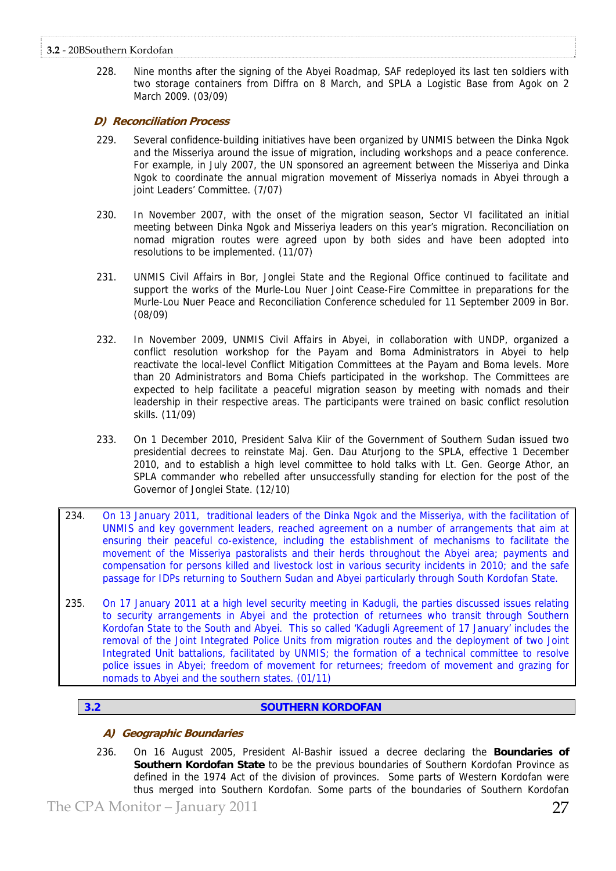# **3.2** ‐ 20BSouthern Kordofan

228. Nine months after the signing of the Abyei Roadmap, SAF redeployed its last ten soldiers with two storage containers from Diffra on 8 March, and SPLA a Logistic Base from Agok on 2 March 2009. (03/09)

# **D) Reconciliation Process**

- 229. Several confidence-building initiatives have been organized by UNMIS between the Dinka Ngok and the Misseriya around the issue of migration, including workshops and a peace conference. For example, in July 2007, the UN sponsored an agreement between the Misseriya and Dinka Ngok to coordinate the annual migration movement of Misseriya nomads in Abyei through a joint Leaders' Committee. (7/07)
- 230. In November 2007, with the onset of the migration season, Sector VI facilitated an initial meeting between Dinka Ngok and Misseriya leaders on this year's migration. Reconciliation on nomad migration routes were agreed upon by both sides and have been adopted into resolutions to be implemented. (11/07)
- 231. UNMIS Civil Affairs in Bor, Jonglei State and the Regional Office continued to facilitate and support the works of the Murle-Lou Nuer Joint Cease-Fire Committee in preparations for the Murle-Lou Nuer Peace and Reconciliation Conference scheduled for 11 September 2009 in Bor. (08/09)
- 232. In November 2009, UNMIS Civil Affairs in Abyei, in collaboration with UNDP, organized a conflict resolution workshop for the Payam and Boma Administrators in Abyei to help reactivate the local-level Conflict Mitigation Committees at the Payam and Boma levels. More than 20 Administrators and Boma Chiefs participated in the workshop. The Committees are expected to help facilitate a peaceful migration season by meeting with nomads and their leadership in their respective areas. The participants were trained on basic conflict resolution skills. (11/09)
- 233. On 1 December 2010, President Salva Kiir of the Government of Southern Sudan issued two presidential decrees to reinstate Maj. Gen. Dau Aturjong to the SPLA, effective 1 December 2010, and to establish a high level committee to hold talks with Lt. Gen. George Athor, an SPLA commander who rebelled after unsuccessfully standing for election for the post of the Governor of Jonglei State. (12/10)
- 234. On 13 January 2011, traditional leaders of the Dinka Ngok and the Misseriya, with the facilitation of UNMIS and key government leaders, reached agreement on a number of arrangements that aim at ensuring their peaceful co-existence, including the establishment of mechanisms to facilitate the movement of the Misseriya pastoralists and their herds throughout the Abyei area; payments and compensation for persons killed and livestock lost in various security incidents in 2010; and the safe passage for IDPs returning to Southern Sudan and Abyei particularly through South Kordofan State.
- 235. On 17 January 2011 at a high level security meeting in Kadugli, the parties discussed issues relating to security arrangements in Abyei and the protection of returnees who transit through Southern Kordofan State to the South and Abyei. This so called 'Kadugli Agreement of 17 January' includes the removal of the Joint Integrated Police Units from migration routes and the deployment of two Joint Integrated Unit battalions, facilitated by UNMIS; the formation of a technical committee to resolve police issues in Abyei; freedom of movement for returnees; freedom of movement and grazing for nomads to Abyei and the southern states. (01/11)

# **3.2 SOUTHERN KORDOFAN**

# **A) Geographic Boundaries**

236. On 16 August 2005, President Al-Bashir issued a decree declaring the **Boundaries of Southern Kordofan State** to be the previous boundaries of Southern Kordofan Province as defined in the 1974 Act of the division of provinces. Some parts of Western Kordofan were thus merged into Southern Kordofan. Some parts of the boundaries of Southern Kordofan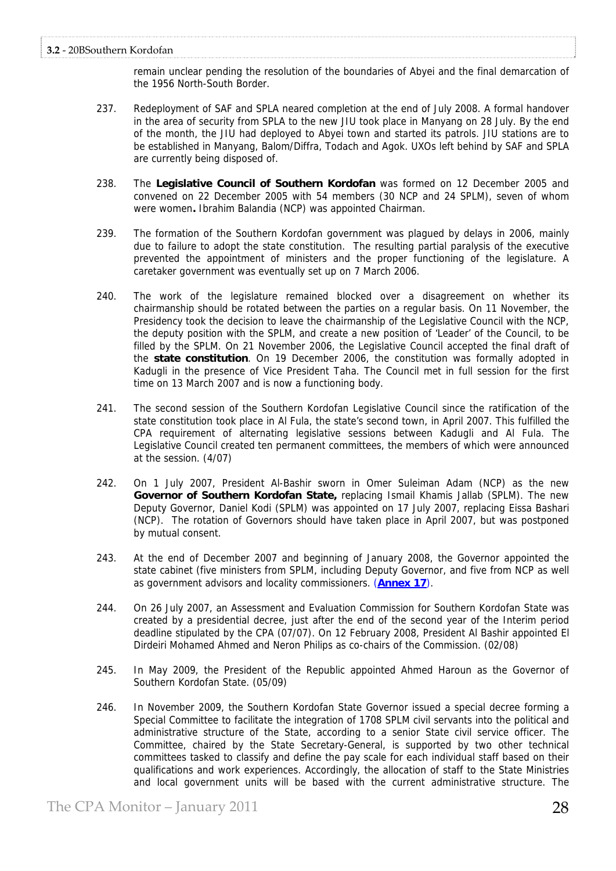remain unclear pending the resolution of the boundaries of Abyei and the final demarcation of the 1956 North-South Border.

- 237. Redeployment of SAF and SPLA neared completion at the end of July 2008. A formal handover in the area of security from SPLA to the new JIU took place in Manyang on 28 July. By the end of the month, the JIU had deployed to Abyei town and started its patrols. JIU stations are to be established in Manyang, Balom/Diffra, Todach and Agok. UXOs left behind by SAF and SPLA are currently being disposed of.
- 238. The **Legislative Council of Southern Kordofan** was formed on 12 December 2005 and convened on 22 December 2005 with 54 members (30 NCP and 24 SPLM), seven of whom were women**.** Ibrahim Balandia (NCP) was appointed Chairman.
- 239. The formation of the Southern Kordofan government was plagued by delays in 2006, mainly due to failure to adopt the state constitution. The resulting partial paralysis of the executive prevented the appointment of ministers and the proper functioning of the legislature. A caretaker government was eventually set up on 7 March 2006.
- 240. The work of the legislature remained blocked over a disagreement on whether its chairmanship should be rotated between the parties on a regular basis. On 11 November, the Presidency took the decision to leave the chairmanship of the Legislative Council with the NCP, the deputy position with the SPLM, and create a new position of 'Leader' of the Council, to be filled by the SPLM. On 21 November 2006, the Legislative Council accepted the final draft of the **state constitution**. On 19 December 2006, the constitution was formally adopted in Kadugli in the presence of Vice President Taha. The Council met in full session for the first time on 13 March 2007 and is now a functioning body.
- 241. The second session of the Southern Kordofan Legislative Council since the ratification of the state constitution took place in Al Fula, the state's second town, in April 2007. This fulfilled the CPA requirement of alternating legislative sessions between Kadugli and Al Fula. The Legislative Council created ten permanent committees, the members of which were announced at the session. (4/07)
- 242. On 1 July 2007, President Al-Bashir sworn in Omer Suleiman Adam (NCP) as the new **Governor of Southern Kordofan State,** replacing Ismail Khamis Jallab (SPLM). The new Deputy Governor, Daniel Kodi (SPLM) was appointed on 17 July 2007, replacing Eissa Bashari (NCP). The rotation of Governors should have taken place in April 2007, but was postponed by mutual consent.
- 243. At the end of December 2007 and beginning of January 2008, the Governor appointed the state cabinet (five ministers from SPLM, including Deputy Governor, and five from NCP as well as government advisors and locality commissioners. (**Annex 17**).
- 244. On 26 July 2007, an Assessment and Evaluation Commission for Southern Kordofan State was created by a presidential decree, just after the end of the second year of the Interim period deadline stipulated by the CPA (07/07). On 12 February 2008, President Al Bashir appointed El Dirdeiri Mohamed Ahmed and Neron Philips as co-chairs of the Commission. (02/08)
- 245. In May 2009, the President of the Republic appointed Ahmed Haroun as the Governor of Southern Kordofan State. (05/09)
- 246. In November 2009, the Southern Kordofan State Governor issued a special decree forming a Special Committee to facilitate the integration of 1708 SPLM civil servants into the political and administrative structure of the State, according to a senior State civil service officer. The Committee, chaired by the State Secretary-General, is supported by two other technical committees tasked to classify and define the pay scale for each individual staff based on their qualifications and work experiences. Accordingly, the allocation of staff to the State Ministries and local government units will be based with the current administrative structure. The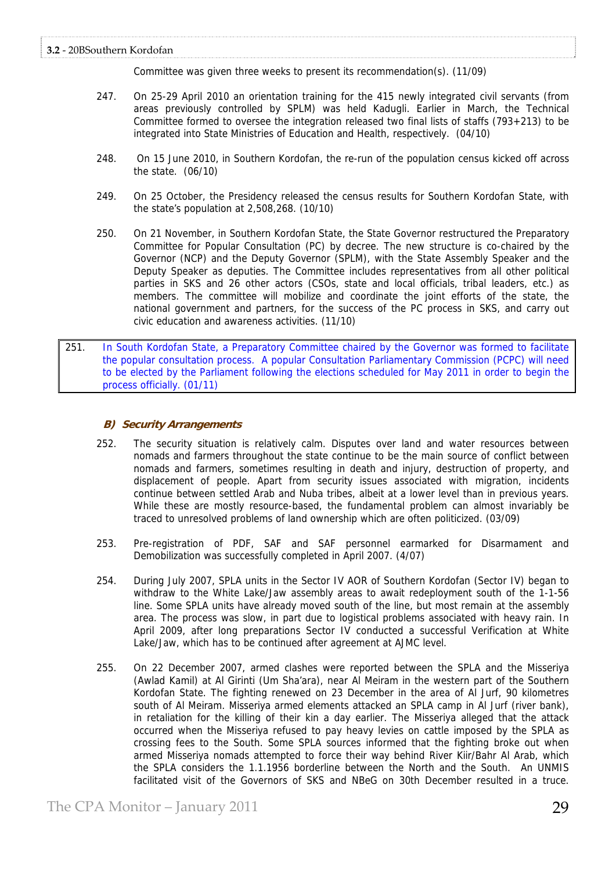Committee was given three weeks to present its recommendation(s). (11/09)

- 247. On 25-29 April 2010 an orientation training for the 415 newly integrated civil servants (from areas previously controlled by SPLM) was held Kadugli. Earlier in March, the Technical Committee formed to oversee the integration released two final lists of staffs (793+213) to be integrated into State Ministries of Education and Health, respectively. (04/10)
- 248. On 15 June 2010, in Southern Kordofan, the re-run of the population census kicked off across the state. (06/10)
- 249. On 25 October, the Presidency released the census results for Southern Kordofan State, with the state's population at 2,508,268. (10/10)
- 250. On 21 November, in Southern Kordofan State, the State Governor restructured the Preparatory Committee for Popular Consultation (PC) by decree. The new structure is co-chaired by the Governor (NCP) and the Deputy Governor (SPLM), with the State Assembly Speaker and the Deputy Speaker as deputies. The Committee includes representatives from all other political parties in SKS and 26 other actors (CSOs, state and local officials, tribal leaders, etc.) as members. The committee will mobilize and coordinate the joint efforts of the state, the national government and partners, for the success of the PC process in SKS, and carry out civic education and awareness activities. (11/10)
- 251. In South Kordofan State, a Preparatory Committee chaired by the Governor was formed to facilitate the popular consultation process. A popular Consultation Parliamentary Commission (PCPC) will need to be elected by the Parliament following the elections scheduled for May 2011 in order to begin the process officially. (01/11)

# **B) Security Arrangements**

- 252. The security situation is relatively calm. Disputes over land and water resources between nomads and farmers throughout the state continue to be the main source of conflict between nomads and farmers, sometimes resulting in death and injury, destruction of property, and displacement of people. Apart from security issues associated with migration, incidents continue between settled Arab and Nuba tribes, albeit at a lower level than in previous years. While these are mostly resource-based, the fundamental problem can almost invariably be traced to unresolved problems of land ownership which are often politicized. (03/09)
- 253. Pre-registration of PDF, SAF and SAF personnel earmarked for Disarmament and Demobilization was successfully completed in April 2007. (4/07)
- 254. During July 2007, SPLA units in the Sector IV AOR of Southern Kordofan (Sector IV) began to withdraw to the White Lake/Jaw assembly areas to await redeployment south of the 1-1-56 line. Some SPLA units have already moved south of the line, but most remain at the assembly area. The process was slow, in part due to logistical problems associated with heavy rain. In April 2009, after long preparations Sector IV conducted a successful Verification at White Lake/Jaw, which has to be continued after agreement at AJMC level.
- 255. On 22 December 2007, armed clashes were reported between the SPLA and the Misseriya (Awlad Kamil) at Al Girinti (Um Sha'ara), near Al Meiram in the western part of the Southern Kordofan State. The fighting renewed on 23 December in the area of Al Jurf, 90 kilometres south of Al Meiram. Misseriya armed elements attacked an SPLA camp in Al Jurf (river bank), in retaliation for the killing of their kin a day earlier. The Misseriya alleged that the attack occurred when the Misseriya refused to pay heavy levies on cattle imposed by the SPLA as crossing fees to the South. Some SPLA sources informed that the fighting broke out when armed Misseriya nomads attempted to force their way behind River Kiir/Bahr Al Arab, which the SPLA considers the 1.1.1956 borderline between the North and the South. An UNMIS facilitated visit of the Governors of SKS and NBeG on 30th December resulted in a truce.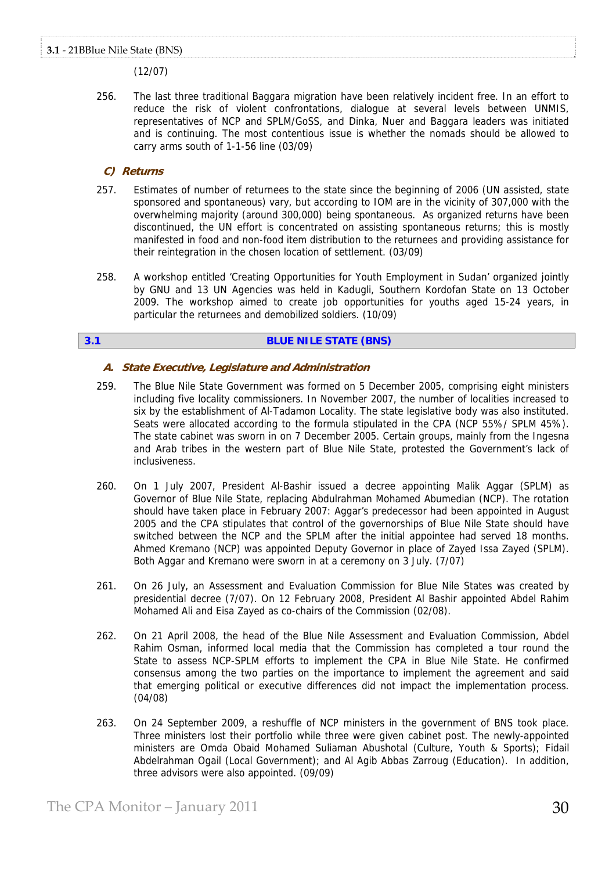(12/07)

256. The last three traditional Baggara migration have been relatively incident free. In an effort to reduce the risk of violent confrontations, dialogue at several levels between UNMIS, representatives of NCP and SPLM/GoSS, and Dinka, Nuer and Baggara leaders was initiated and is continuing. The most contentious issue is whether the nomads should be allowed to carry arms south of 1-1-56 line (03/09)

# **C) Returns**

- 257. Estimates of number of returnees to the state since the beginning of 2006 (UN assisted, state sponsored and spontaneous) vary, but according to IOM are in the vicinity of 307,000 with the overwhelming majority (around 300,000) being spontaneous. As organized returns have been discontinued, the UN effort is concentrated on assisting spontaneous returns; this is mostly manifested in food and non-food item distribution to the returnees and providing assistance for their reintegration in the chosen location of settlement. (03/09)
- 258. A workshop entitled 'Creating Opportunities for Youth Employment in Sudan' organized jointly by GNU and 13 UN Agencies was held in Kadugli, Southern Kordofan State on 13 October 2009. The workshop aimed to create job opportunities for youths aged 15-24 years, in particular the returnees and demobilized soldiers. (10/09)

# **3.1 BLUE NILE STATE (BNS)**

# **A. State Executive, Legislature and Administration**

- 259. The Blue Nile State Government was formed on 5 December 2005, comprising eight ministers including five locality commissioners. In November 2007, the number of localities increased to six by the establishment of Al-Tadamon Locality. The state legislative body was also instituted. Seats were allocated according to the formula stipulated in the CPA (NCP 55%/ SPLM 45%). The state cabinet was sworn in on 7 December 2005. Certain groups, mainly from the Ingesna and Arab tribes in the western part of Blue Nile State, protested the Government's lack of inclusiveness.
- 260. On 1 July 2007, President Al-Bashir issued a decree appointing Malik Aggar (SPLM) as Governor of Blue Nile State, replacing Abdulrahman Mohamed Abumedian (NCP). The rotation should have taken place in February 2007: Aggar's predecessor had been appointed in August 2005 and the CPA stipulates that control of the governorships of Blue Nile State should have switched between the NCP and the SPLM after the initial appointee had served 18 months. Ahmed Kremano (NCP) was appointed Deputy Governor in place of Zayed Issa Zayed (SPLM). Both Aggar and Kremano were sworn in at a ceremony on 3 July. (7/07)
- 261. On 26 July, an Assessment and Evaluation Commission for Blue Nile States was created by presidential decree (7/07). On 12 February 2008, President Al Bashir appointed Abdel Rahim Mohamed Ali and Eisa Zayed as co-chairs of the Commission (02/08).
- 262. On 21 April 2008, the head of the Blue Nile Assessment and Evaluation Commission, Abdel Rahim Osman, informed local media that the Commission has completed a tour round the State to assess NCP-SPLM efforts to implement the CPA in Blue Nile State. He confirmed consensus among the two parties on the importance to implement the agreement and said that emerging political or executive differences did not impact the implementation process. (04/08)
- 263. On 24 September 2009, a reshuffle of NCP ministers in the government of BNS took place. Three ministers lost their portfolio while three were given cabinet post. The newly-appointed ministers are Omda Obaid Mohamed Suliaman Abushotal (Culture, Youth & Sports); Fidail Abdelrahman Ogail (Local Government); and Al Agib Abbas Zarroug (Education). In addition, three advisors were also appointed. (09/09)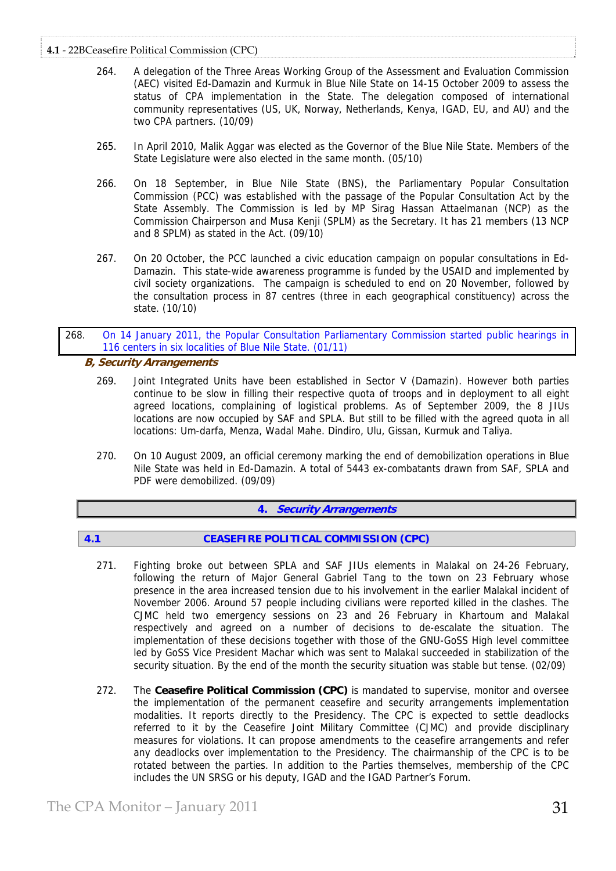# **4.1** ‐ 22BCeasefire Political Commission (CPC)

- 264. A delegation of the Three Areas Working Group of the Assessment and Evaluation Commission (AEC) visited Ed-Damazin and Kurmuk in Blue Nile State on 14-15 October 2009 to assess the status of CPA implementation in the State. The delegation composed of international community representatives (US, UK, Norway, Netherlands, Kenya, IGAD, EU, and AU) and the two CPA partners. (10/09)
- 265. In April 2010, Malik Aggar was elected as the Governor of the Blue Nile State. Members of the State Legislature were also elected in the same month. (05/10)
- 266. On 18 September, in Blue Nile State (BNS), the Parliamentary Popular Consultation Commission (PCC) was established with the passage of the Popular Consultation Act by the State Assembly. The Commission is led by MP Sirag Hassan Attaelmanan (NCP) as the Commission Chairperson and Musa Kenji (SPLM) as the Secretary. It has 21 members (13 NCP and 8 SPLM) as stated in the Act. (09/10)
- 267. On 20 October, the PCC launched a civic education campaign on popular consultations in Ed-Damazin. This state-wide awareness programme is funded by the USAID and implemented by civil society organizations. The campaign is scheduled to end on 20 November, followed by the consultation process in 87 centres (three in each geographical constituency) across the state. (10/10)
- 268. On 14 January 2011, the Popular Consultation Parliamentary Commission started public hearings in 116 centers in six localities of Blue Nile State. (01/11)

# **B, Security Arrangements**

- 269. Joint Integrated Units have been established in Sector V (Damazin). However both parties continue to be slow in filling their respective quota of troops and in deployment to all eight agreed locations, complaining of logistical problems. As of September 2009, the 8 JIUs locations are now occupied by SAF and SPLA. But still to be filled with the agreed quota in all locations: Um-darfa, Menza, Wadal Mahe. Dindiro, Ulu, Gissan, Kurmuk and Taliya.
- 270. On 10 August 2009, an official ceremony marking the end of demobilization operations in Blue Nile State was held in Ed-Damazin. A total of 5443 ex-combatants drawn from SAF, SPLA and PDF were demobilized. (09/09)

# **4. Security Arrangements**

# **4.1 CEASEFIRE POLITICAL COMMISSION (CPC)**

- 271. Fighting broke out between SPLA and SAF JIUs elements in Malakal on 24-26 February, following the return of Major General Gabriel Tang to the town on 23 February whose presence in the area increased tension due to his involvement in the earlier Malakal incident of November 2006. Around 57 people including civilians were reported killed in the clashes. The CJMC held two emergency sessions on 23 and 26 February in Khartoum and Malakal respectively and agreed on a number of decisions to de-escalate the situation. The implementation of these decisions together with those of the GNU-GoSS High level committee led by GoSS Vice President Machar which was sent to Malakal succeeded in stabilization of the security situation. By the end of the month the security situation was stable but tense. (02/09)
- 272. The **Ceasefire Political Commission (CPC)** is mandated to supervise, monitor and oversee the implementation of the permanent ceasefire and security arrangements implementation modalities. It reports directly to the Presidency. The CPC is expected to settle deadlocks referred to it by the Ceasefire Joint Military Committee (CJMC) and provide disciplinary measures for violations. It can propose amendments to the ceasefire arrangements and refer any deadlocks over implementation to the Presidency. The chairmanship of the CPC is to be rotated between the parties. In addition to the Parties themselves, membership of the CPC includes the UN SRSG or his deputy, IGAD and the IGAD Partner's Forum.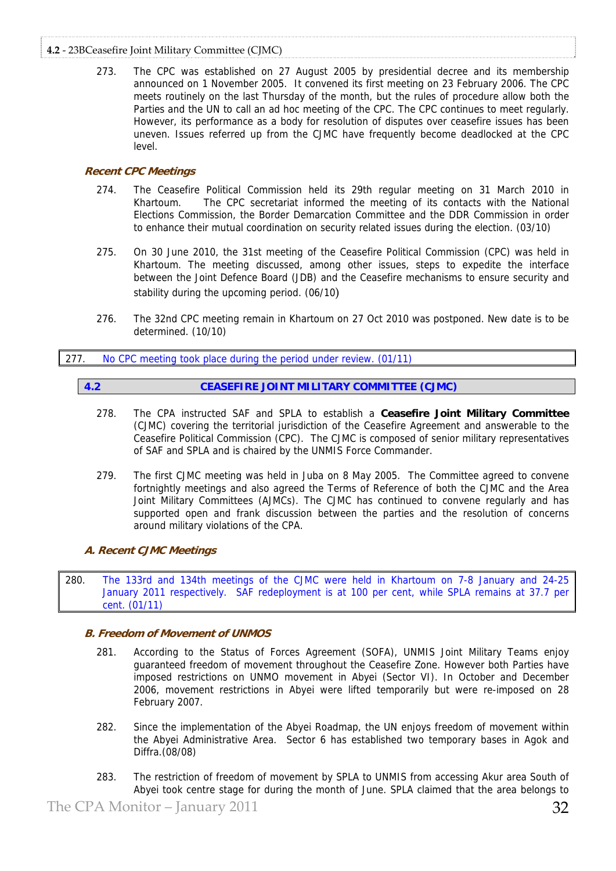# **4.2** ‐ 23BCeasefire Joint Military Committee (CJMC)

273. The CPC was established on 27 August 2005 by presidential decree and its membership announced on 1 November 2005. It convened its first meeting on 23 February 2006. The CPC meets routinely on the last Thursday of the month, but the rules of procedure allow both the Parties and the UN to call an ad hoc meeting of the CPC. The CPC continues to meet regularly. However, its performance as a body for resolution of disputes over ceasefire issues has been uneven. Issues referred up from the CJMC have frequently become deadlocked at the CPC level.

# **Recent CPC Meetings**

- 274. The Ceasefire Political Commission held its 29th regular meeting on 31 March 2010 in Khartoum. The CPC secretariat informed the meeting of its contacts with the National Elections Commission, the Border Demarcation Committee and the DDR Commission in order to enhance their mutual coordination on security related issues during the election. (03/10)
- 275. On 30 June 2010, the 31st meeting of the Ceasefire Political Commission (CPC) was held in Khartoum. The meeting discussed, among other issues, steps to expedite the interface between the Joint Defence Board (JDB) and the Ceasefire mechanisms to ensure security and stability during the upcoming period. (06/10)
- 276. The 32nd CPC meeting remain in Khartoum on 27 Oct 2010 was postponed. New date is to be determined. (10/10)

# 277. No CPC meeting took place during the period under review. (01/11)

# **4.2 CEASEFIRE JOINT MILITARY COMMITTEE (CJMC)**

- 278. The CPA instructed SAF and SPLA to establish a **Ceasefire Joint Military Committee** (CJMC) covering the territorial jurisdiction of the Ceasefire Agreement and answerable to the Ceasefire Political Commission (CPC). The CJMC is composed of senior military representatives of SAF and SPLA and is chaired by the UNMIS Force Commander.
- 279. The first CJMC meeting was held in Juba on 8 May 2005. The Committee agreed to convene fortnightly meetings and also agreed the Terms of Reference of both the CJMC and the Area Joint Military Committees (AJMCs). The CJMC has continued to convene regularly and has supported open and frank discussion between the parties and the resolution of concerns around military violations of the CPA.

# **A. Recent CJMC Meetings**

280. The 133rd and 134th meetings of the CJMC were held in Khartoum on 7-8 January and 24-25 January 2011 respectively. SAF redeployment is at 100 per cent, while SPLA remains at 37.7 per cent. (01/11)

# **B. Freedom of Movement of UNMOS**

- 281. According to the Status of Forces Agreement (SOFA), UNMIS Joint Military Teams enjoy guaranteed freedom of movement throughout the Ceasefire Zone. However both Parties have imposed restrictions on UNMO movement in Abyei (Sector VI). In October and December 2006, movement restrictions in Abyei were lifted temporarily but were re-imposed on 28 February 2007.
- 282. Since the implementation of the Abyei Roadmap, the UN enjoys freedom of movement within the Abyei Administrative Area. Sector 6 has established two temporary bases in Agok and Diffra.(08/08)
- 283. The restriction of freedom of movement by SPLA to UNMIS from accessing Akur area South of Abyei took centre stage for during the month of June. SPLA claimed that the area belongs to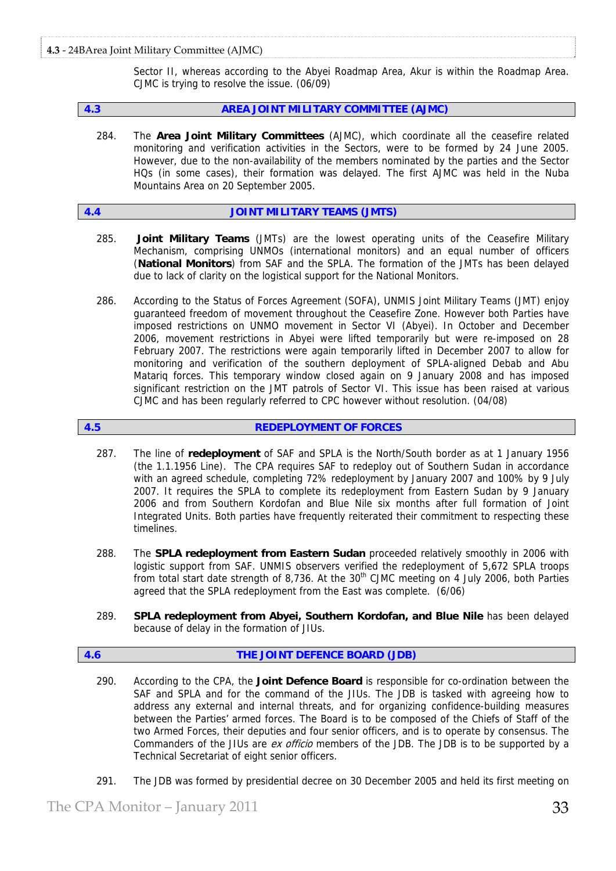# **4.3** ‐ 24BArea Joint Military Committee (AJMC)

Sector II, whereas according to the Abyei Roadmap Area, Akur is within the Roadmap Area. CJMC is trying to resolve the issue. (06/09)

**4.3 AREA JOINT MILITARY COMMITTEE (AJMC)** 

284. The **Area Joint Military Committees** (AJMC), which coordinate all the ceasefire related monitoring and verification activities in the Sectors, were to be formed by 24 June 2005. However, due to the non-availability of the members nominated by the parties and the Sector HQs (in some cases), their formation was delayed. The first AJMC was held in the Nuba Mountains Area on 20 September 2005.

# **4.4 JOINT MILITARY TEAMS (JMTS)**

- 285. **Joint Military Teams** (JMTs) are the lowest operating units of the Ceasefire Military Mechanism, comprising UNMOs (international monitors) and an equal number of officers (**National Monitors**) from SAF and the SPLA. The formation of the JMTs has been delayed due to lack of clarity on the logistical support for the National Monitors.
- 286. According to the Status of Forces Agreement (SOFA), UNMIS Joint Military Teams (JMT) enjoy guaranteed freedom of movement throughout the Ceasefire Zone. However both Parties have imposed restrictions on UNMO movement in Sector VI (Abyei). In October and December 2006, movement restrictions in Abyei were lifted temporarily but were re-imposed on 28 February 2007. The restrictions were again temporarily lifted in December 2007 to allow for monitoring and verification of the southern deployment of SPLA-aligned Debab and Abu Matariq forces. This temporary window closed again on 9 January 2008 and has imposed significant restriction on the JMT patrols of Sector VI. This issue has been raised at various CJMC and has been regularly referred to CPC however without resolution. (04/08)

# **4.5 REDEPLOYMENT OF FORCES**

- 287. The line of **redeployment** of SAF and SPLA is the North/South border as at 1 January 1956 (the 1.1.1956 Line). The CPA requires SAF to redeploy out of Southern Sudan in accordance with an agreed schedule, completing 72% redeployment by January 2007 and 100% by 9 July 2007. It requires the SPLA to complete its redeployment from Eastern Sudan by 9 January 2006 and from Southern Kordofan and Blue Nile six months after full formation of Joint Integrated Units. Both parties have frequently reiterated their commitment to respecting these timelines.
- 288. The **SPLA redeployment from Eastern Sudan** proceeded relatively smoothly in 2006 with logistic support from SAF. UNMIS observers verified the redeployment of 5,672 SPLA troops from total start date strength of 8,736. At the  $30<sup>th</sup>$  CJMC meeting on 4 July 2006, both Parties agreed that the SPLA redeployment from the East was complete. (6/06)
- 289. **SPLA redeployment from Abyei, Southern Kordofan, and Blue Nile** has been delayed because of delay in the formation of JIUs.

# **4.6 THE JOINT DEFENCE BOARD (JDB)**

- 290. According to the CPA, the **Joint Defence Board** is responsible for co-ordination between the SAF and SPLA and for the command of the JIUs. The JDB is tasked with agreeing how to address any external and internal threats, and for organizing confidence-building measures between the Parties' armed forces. The Board is to be composed of the Chiefs of Staff of the two Armed Forces, their deputies and four senior officers, and is to operate by consensus. The Commanders of the JIUs are *ex officio* members of the JDB. The JDB is to be supported by a Technical Secretariat of eight senior officers.
- 291. The JDB was formed by presidential decree on 30 December 2005 and held its first meeting on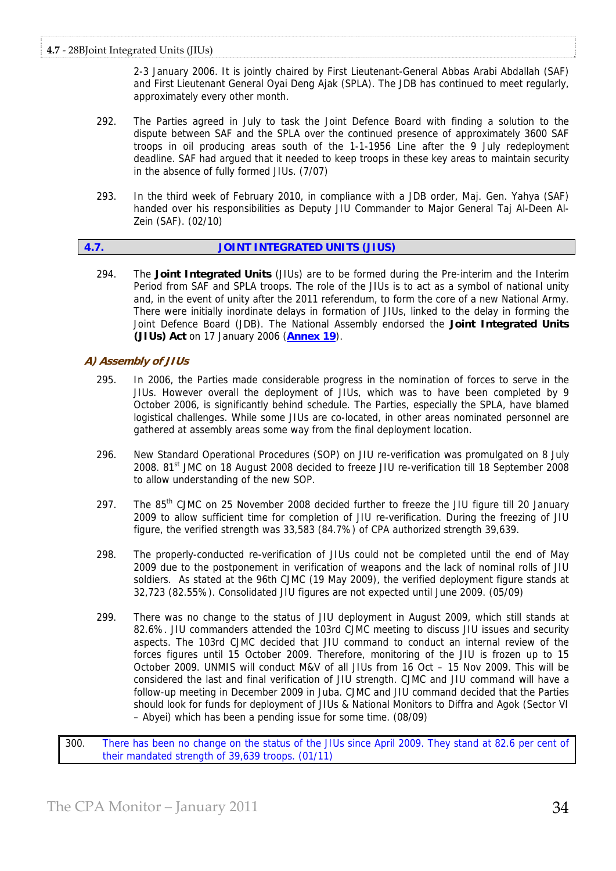2-3 January 2006. It is jointly chaired by First Lieutenant-General Abbas Arabi Abdallah (SAF) and First Lieutenant General Oyai Deng Ajak (SPLA). The JDB has continued to meet regularly, approximately every other month.

- 292. The Parties agreed in July to task the Joint Defence Board with finding a solution to the dispute between SAF and the SPLA over the continued presence of approximately 3600 SAF troops in oil producing areas south of the 1-1-1956 Line after the 9 July redeployment deadline. SAF had argued that it needed to keep troops in these key areas to maintain security in the absence of fully formed JIUs. (7/07)
- 293. In the third week of February 2010, in compliance with a JDB order, Maj. Gen. Yahya (SAF) handed over his responsibilities as Deputy JIU Commander to Major General Taj Al-Deen Al-Zein (SAF). (02/10)

294. The **Joint Integrated Units** (JIUs) are to be formed during the Pre-interim and the Interim Period from SAF and SPLA troops. The role of the JIUs is to act as a symbol of national unity and, in the event of unity after the 2011 referendum, to form the core of a new National Army. There were initially inordinate delays in formation of JIUs, linked to the delay in forming the Joint Defence Board (JDB). The National Assembly endorsed the **Joint Integrated Units (JIUs) Act** on 17 January 2006 (**Annex 19**).

# **A) Assembly of JIUs**

- 295. In 2006, the Parties made considerable progress in the nomination of forces to serve in the JIUs. However overall the deployment of JIUs, which was to have been completed by 9 October 2006, is significantly behind schedule. The Parties, especially the SPLA, have blamed logistical challenges. While some JIUs are co-located, in other areas nominated personnel are gathered at assembly areas some way from the final deployment location.
- 296. New Standard Operational Procedures (SOP) on JIU re-verification was promulgated on 8 July 2008. 81<sup>st</sup> JMC on 18 August 2008 decided to freeze JIU re-verification till 18 September 2008 to allow understanding of the new SOP.
- 297. The 85<sup>th</sup> CJMC on 25 November 2008 decided further to freeze the JIU figure till 20 January 2009 to allow sufficient time for completion of JIU re-verification. During the freezing of JIU figure, the verified strength was 33,583 (84.7%) of CPA authorized strength 39,639.
- 298. The properly-conducted re-verification of JIUs could not be completed until the end of May 2009 due to the postponement in verification of weapons and the lack of nominal rolls of JIU soldiers. As stated at the 96th CJMC (19 May 2009), the verified deployment figure stands at 32,723 (82.55%). Consolidated JIU figures are not expected until June 2009. (05/09)
- 299. There was no change to the status of JIU deployment in August 2009, which still stands at 82.6%. JIU commanders attended the 103rd CJMC meeting to discuss JIU issues and security aspects. The 103rd CJMC decided that JIU command to conduct an internal review of the forces figures until 15 October 2009. Therefore, monitoring of the JIU is frozen up to 15 October 2009. UNMIS will conduct M&V of all JIUs from 16 Oct – 15 Nov 2009. This will be considered the last and final verification of JIU strength. CJMC and JIU command will have a follow-up meeting in December 2009 in Juba. CJMC and JIU command decided that the Parties should look for funds for deployment of JIUs & National Monitors to Diffra and Agok (Sector VI – Abyei) which has been a pending issue for some time. (08/09)
- 300. There has been no change on the status of the JIUs since April 2009. They stand at 82.6 per cent of their mandated strength of 39,639 troops. (01/11)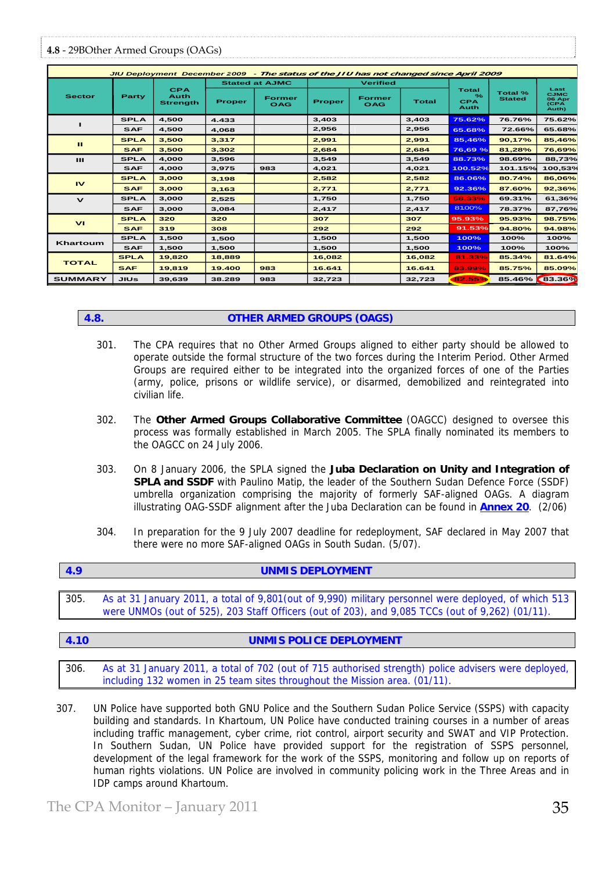# **4.8** ‐ 29BOther Armed Groups (OAGs)

| JIU Deployment December 2009 - The status of the JIU has not changed since April 2009 |             |                                              |                       |                             |                 |                             |              |                                            |                                 |                                                |
|---------------------------------------------------------------------------------------|-------------|----------------------------------------------|-----------------------|-----------------------------|-----------------|-----------------------------|--------------|--------------------------------------------|---------------------------------|------------------------------------------------|
| <b>Sector</b>                                                                         | Party       | <b>CPA</b><br><b>Auth</b><br><b>Strength</b> | <b>Stated at AJMC</b> |                             | <b>Verified</b> |                             |              |                                            |                                 |                                                |
|                                                                                       |             |                                              | <b>Proper</b>         | <b>Former</b><br><b>OAG</b> | <b>Proper</b>   | <b>Former</b><br><b>OAG</b> | <b>Total</b> | <b>Total</b><br>$\%$<br><b>CPA</b><br>Auth | <b>Total %</b><br><b>Stated</b> | Last<br><b>CJMC</b><br>06 Apr<br>(CPA<br>Auth) |
|                                                                                       | <b>SPLA</b> | 4,500                                        | 4.433                 |                             | 3,403           |                             | 3,403        | 75.62%                                     | 76.76%                          | 75.62%                                         |
|                                                                                       | <b>SAF</b>  | 4.500                                        | 4,068                 |                             | 2,956           |                             | 2,956        | 65.68%                                     | 72.66%                          | 65.68%                                         |
| ш                                                                                     | <b>SPLA</b> | 3.500                                        | 3.317                 |                             | 2.991           |                             | 2.991        | 85.46%                                     | 90.17%                          | 85.46%                                         |
|                                                                                       | <b>SAF</b>  | 3,500                                        | 3,302                 |                             | 2.684           |                             | 2.684        | 76,69 %                                    | 81,28%                          | 76,69%                                         |
| $\mathbf{H}$                                                                          | <b>SPLA</b> | 4.000                                        | 3.596                 |                             | 3.549           |                             | 3.549        | 88.73%                                     | 98.69%                          | 88,73%                                         |
|                                                                                       | <b>SAF</b>  | 4,000                                        | 3,975                 | 983                         | 4,021           |                             | 4,021        | 100.52%                                    | 101.15%                         | 100,53%                                        |
| <b>IV</b>                                                                             | <b>SPLA</b> | 3.000                                        | 3,198                 |                             | 2,582           |                             | 2.582        | 86.06%                                     | 80.74%                          | 86,06%                                         |
|                                                                                       | <b>SAF</b>  | 3,000                                        | 3,163                 |                             | 2,771           |                             | 2,771        | 92.36%                                     | 87.60%                          | 92,36%                                         |
| $\mathbf v$                                                                           | <b>SPLA</b> | 3.000                                        | 2,525                 |                             | 1,750           |                             | 1.750        | 58.33%                                     | 69.31%                          | 61,36%                                         |
|                                                                                       | <b>SAF</b>  | 3.000                                        | 3,084                 |                             | 2.417           |                             | 2.417        | 81.00%                                     | 78.37%                          | 87.76%                                         |
| V <sub>1</sub>                                                                        | <b>SPLA</b> | 320                                          | 320                   |                             | 307             |                             | 307          | 95.93%                                     | 95.93%                          | 98.75%                                         |
|                                                                                       | <b>SAF</b>  | 319                                          | 308                   |                             | 292             |                             | 292          | 91.53%                                     | 94.80%                          | 94.98%                                         |
| Khartoum                                                                              | <b>SPLA</b> | 1,500                                        | 1,500                 |                             | 1,500           |                             | 1,500        | 100%                                       | 100%                            | 100%                                           |
|                                                                                       | <b>SAF</b>  | 1,500                                        | 1,500                 |                             | 1.500           |                             | 1.500        | 100%                                       | 100%                            | 100%                                           |
| <b>TOTAL</b>                                                                          | <b>SPLA</b> | 19,820                                       | 18,889                |                             | 16.082          |                             | 16.082       | 81.33%                                     | 85.34%                          | 81.64%                                         |
|                                                                                       | <b>SAF</b>  | 19,819                                       | 19.400                | 983                         | 16.641          |                             | 16.641       | 83.99%                                     | 85.75%                          | 85.09%                                         |
| <b>SUMMARY</b>                                                                        | <b>JIUs</b> | 39,639                                       | 38.289                | 983                         | 32,723          |                             | 32,723       | 82.55%                                     | 85.46% 83.36%                   |                                                |

# **4.8. OTHER ARMED GROUPS (OAGS)**

- 301. The CPA requires that no Other Armed Groups aligned to either party should be allowed to operate outside the formal structure of the two forces during the Interim Period. Other Armed Groups are required either to be integrated into the organized forces of one of the Parties (army, police, prisons or wildlife service), or disarmed, demobilized and reintegrated into civilian life.
- 302. The **Other Armed Groups Collaborative Committee** (OAGCC) designed to oversee this process was formally established in March 2005. The SPLA finally nominated its members to the OAGCC on 24 July 2006.
- 303. On 8 January 2006, the SPLA signed the **Juba Declaration on Unity and Integration of SPLA and SSDF** with Paulino Matip, the leader of the Southern Sudan Defence Force (SSDF) umbrella organization comprising the majority of formerly SAF-aligned OAGs. A diagram illustrating OAG-SSDF alignment after the Juba Declaration can be found in **Annex 20**. (2/06)
- 304. In preparation for the 9 July 2007 deadline for redeployment, SAF declared in May 2007 that there were no more SAF-aligned OAGs in South Sudan. (5/07).

| $\blacksquare$ | <b>UNMIS DEPLOYMENT</b> |
|----------------|-------------------------|
|                |                         |

305. As at 31 January 2011, a total of 9,801(out of 9,990) military personnel were deployed, of which 513 were UNMOs (out of 525), 203 Staff Officers (out of 203), and 9,085 TCCs (out of 9,262) (01/11).

# **4.10 UNMIS POLICE DEPLOYMENT**

306. As at 31 January 2011, a total of 702 (out of 715 authorised strength) police advisers were deployed, including 132 women in 25 team sites throughout the Mission area. (01/11).

307. UN Police have supported both GNU Police and the Southern Sudan Police Service (SSPS) with capacity building and standards. In Khartoum, UN Police have conducted training courses in a number of areas including traffic management, cyber crime, riot control, airport security and SWAT and VIP Protection. In Southern Sudan, UN Police have provided support for the registration of SSPS personnel, development of the legal framework for the work of the SSPS, monitoring and follow up on reports of human rights violations. UN Police are involved in community policing work in the Three Areas and in IDP camps around Khartoum.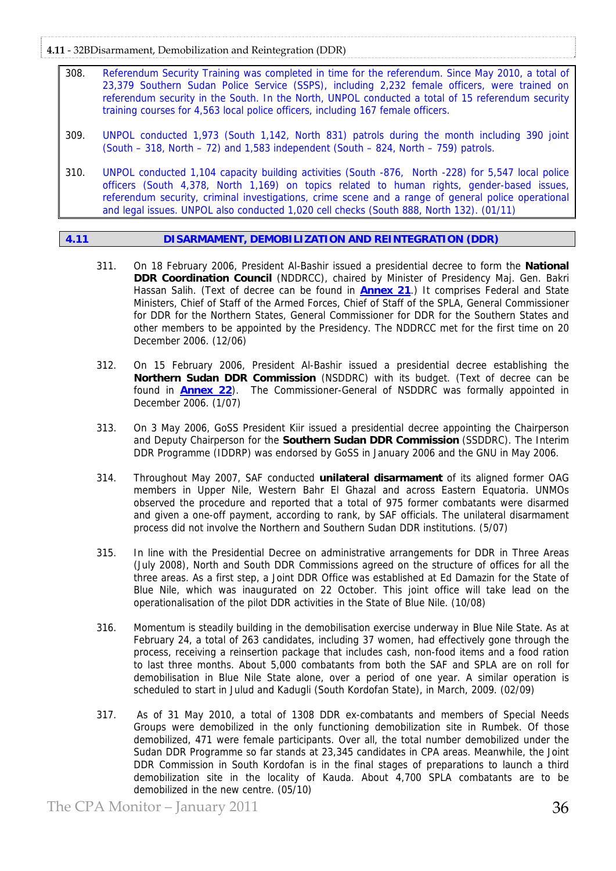**4.11** ‐ 32BDisarmament, Demobilization and Reintegration (DDR)

- 308. Referendum Security Training was completed in time for the referendum. Since May 2010, a total of 23,379 Southern Sudan Police Service (SSPS), including 2,232 female officers, were trained on referendum security in the South. In the North, UNPOL conducted a total of 15 referendum security training courses for 4,563 local police officers, including 167 female officers.
- 309. UNPOL conducted 1,973 (South 1,142, North 831) patrols during the month including 390 joint  $(South - 318, North - 72)$  and 1,583 independent  $(South - 824, North - 759)$  patrols.
- 310. UNPOL conducted 1,104 capacity building activities (South -876, North -228) for 5,547 local police officers (South 4,378, North 1,169) on topics related to human rights, gender-based issues, referendum security, criminal investigations, crime scene and a range of general police operational and legal issues. UNPOL also conducted 1,020 cell checks (South 888, North 132). (01/11)

# **4.11 DISARMAMENT, DEMOBILIZATION AND REINTEGRATION (DDR)**

- 311. On 18 February 2006, President Al-Bashir issued a presidential decree to form the **National DDR Coordination Council** (NDDRCC), chaired by Minister of Presidency Maj. Gen. Bakri Hassan Salih. (Text of decree can be found in **Annex 21**.) It comprises Federal and State Ministers, Chief of Staff of the Armed Forces, Chief of Staff of the SPLA, General Commissioner for DDR for the Northern States, General Commissioner for DDR for the Southern States and other members to be appointed by the Presidency. The NDDRCC met for the first time on 20 December 2006. (12/06)
- 312. On 15 February 2006, President Al-Bashir issued a presidential decree establishing the **Northern Sudan DDR Commission** (NSDDRC) with its budget. (Text of decree can be found in **Annex 22**). The Commissioner-General of NSDDRC was formally appointed in December 2006. (1/07)
- 313. On 3 May 2006, GoSS President Kiir issued a presidential decree appointing the Chairperson and Deputy Chairperson for the **Southern Sudan DDR Commission** (SSDDRC). The Interim DDR Programme (IDDRP) was endorsed by GoSS in January 2006 and the GNU in May 2006.
- 314. Throughout May 2007, SAF conducted **unilateral disarmament** of its aligned former OAG members in Upper Nile, Western Bahr El Ghazal and across Eastern Equatoria. UNMOs observed the procedure and reported that a total of 975 former combatants were disarmed and given a one-off payment, according to rank, by SAF officials. The unilateral disarmament process did not involve the Northern and Southern Sudan DDR institutions. (5/07)
- 315. In line with the Presidential Decree on administrative arrangements for DDR in Three Areas (July 2008), North and South DDR Commissions agreed on the structure of offices for all the three areas. As a first step, a Joint DDR Office was established at Ed Damazin for the State of Blue Nile, which was inaugurated on 22 October. This joint office will take lead on the operationalisation of the pilot DDR activities in the State of Blue Nile. (10/08)
- 316. Momentum is steadily building in the demobilisation exercise underway in Blue Nile State. As at February 24, a total of 263 candidates, including 37 women, had effectively gone through the process, receiving a reinsertion package that includes cash, non-food items and a food ration to last three months. About 5,000 combatants from both the SAF and SPLA are on roll for demobilisation in Blue Nile State alone, over a period of one year. A similar operation is scheduled to start in Julud and Kadugli (South Kordofan State), in March, 2009. (02/09)
- 317. As of 31 May 2010, a total of 1308 DDR ex-combatants and members of Special Needs Groups were demobilized in the only functioning demobilization site in Rumbek. Of those demobilized, 471 were female participants. Over all, the total number demobilized under the Sudan DDR Programme so far stands at 23,345 candidates in CPA areas. Meanwhile, the Joint DDR Commission in South Kordofan is in the final stages of preparations to launch a third demobilization site in the locality of Kauda. About 4,700 SPLA combatants are to be demobilized in the new centre. (05/10)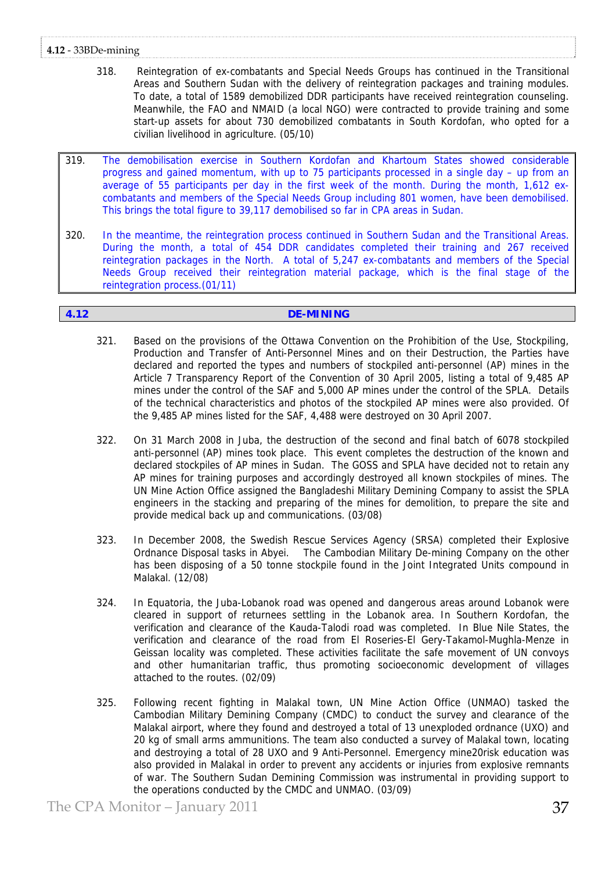# **4.12** ‐ 33BDe‐mining

- 318. Reintegration of ex-combatants and Special Needs Groups has continued in the Transitional Areas and Southern Sudan with the delivery of reintegration packages and training modules. To date, a total of 1589 demobilized DDR participants have received reintegration counseling. Meanwhile, the FAO and NMAID (a local NGO) were contracted to provide training and some start-up assets for about 730 demobilized combatants in South Kordofan, who opted for a civilian livelihood in agriculture. (05/10)
- 319. The demobilisation exercise in Southern Kordofan and Khartoum States showed considerable progress and gained momentum, with up to 75 participants processed in a single day – up from an average of 55 participants per day in the first week of the month. During the month, 1,612 excombatants and members of the Special Needs Group including 801 women, have been demobilised. This brings the total figure to 39,117 demobilised so far in CPA areas in Sudan.
- 320. In the meantime, the reintegration process continued in Southern Sudan and the Transitional Areas. During the month, a total of 454 DDR candidates completed their training and 267 received reintegration packages in the North. A total of 5,247 ex-combatants and members of the Special Needs Group received their reintegration material package, which is the final stage of the reintegration process.(01/11)

# **4.12 DE-MINING**

- 321. Based on the provisions of the Ottawa Convention on the Prohibition of the Use, Stockpiling, Production and Transfer of Anti-Personnel Mines and on their Destruction, the Parties have declared and reported the types and numbers of stockpiled anti-personnel (AP) mines in the Article 7 Transparency Report of the Convention of 30 April 2005, listing a total of 9,485 AP mines under the control of the SAF and 5,000 AP mines under the control of the SPLA. Details of the technical characteristics and photos of the stockpiled AP mines were also provided. Of the 9,485 AP mines listed for the SAF, 4,488 were destroyed on 30 April 2007.
- 322. On 31 March 2008 in Juba, the destruction of the second and final batch of 6078 stockpiled anti-personnel (AP) mines took place. This event completes the destruction of the known and declared stockpiles of AP mines in Sudan. The GOSS and SPLA have decided not to retain any AP mines for training purposes and accordingly destroyed all known stockpiles of mines. The UN Mine Action Office assigned the Bangladeshi Military Demining Company to assist the SPLA engineers in the stacking and preparing of the mines for demolition, to prepare the site and provide medical back up and communications. (03/08)
- 323. In December 2008, the Swedish Rescue Services Agency (SRSA) completed their Explosive Ordnance Disposal tasks in Abyei. The Cambodian Military De-mining Company on the other has been disposing of a 50 tonne stockpile found in the Joint Integrated Units compound in Malakal. (12/08)
- 324. In Equatoria, the Juba-Lobanok road was opened and dangerous areas around Lobanok were cleared in support of returnees settling in the Lobanok area. In Southern Kordofan, the verification and clearance of the Kauda-Talodi road was completed. In Blue Nile States, the verification and clearance of the road from El Roseries-El Gery-Takamol-Mughla-Menze in Geissan locality was completed. These activities facilitate the safe movement of UN convoys and other humanitarian traffic, thus promoting socioeconomic development of villages attached to the routes. (02/09)
- 325. Following recent fighting in Malakal town, UN Mine Action Office (UNMAO) tasked the Cambodian Military Demining Company (CMDC) to conduct the survey and clearance of the Malakal airport, where they found and destroyed a total of 13 unexploded ordnance (UXO) and 20 kg of small arms ammunitions. The team also conducted a survey of Malakal town, locating and destroying a total of 28 UXO and 9 Anti-Personnel. Emergency mine20risk education was also provided in Malakal in order to prevent any accidents or injuries from explosive remnants of war. The Southern Sudan Demining Commission was instrumental in providing support to the operations conducted by the CMDC and UNMAO. (03/09)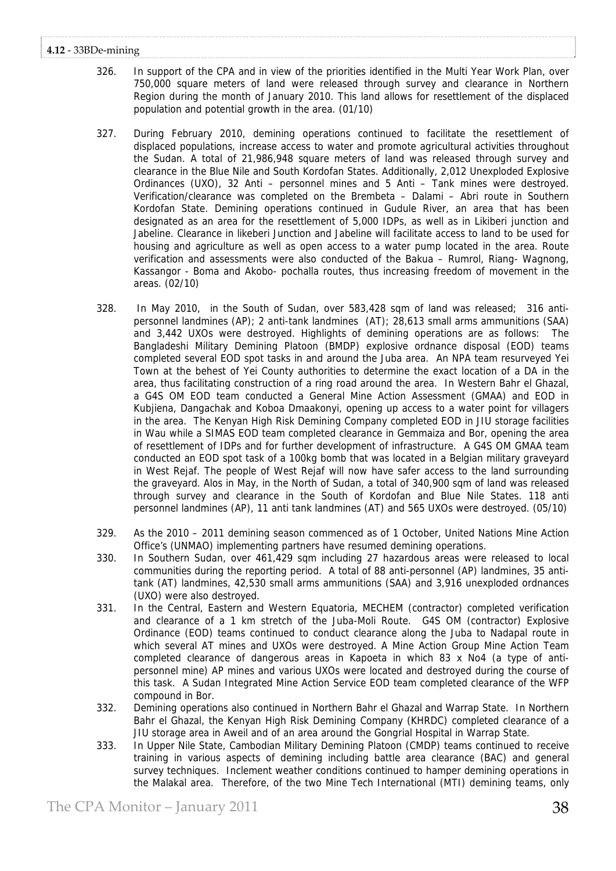# **4.12** ‐ 33BDe‐mining

- 326. In support of the CPA and in view of the priorities identified in the Multi Year Work Plan, over 750,000 square meters of land were released through survey and clearance in Northern Region during the month of January 2010. This land allows for resettlement of the displaced population and potential growth in the area. (01/10)
- 327. During February 2010, demining operations continued to facilitate the resettlement of displaced populations, increase access to water and promote agricultural activities throughout the Sudan. A total of 21,986,948 square meters of land was released through survey and clearance in the Blue Nile and South Kordofan States. Additionally, 2,012 Unexploded Explosive Ordinances (UXO), 32 Anti – personnel mines and 5 Anti – Tank mines were destroyed. Verification/clearance was completed on the Brembeta – Dalami – Abri route in Southern Kordofan State. Demining operations continued in Gudule River, an area that has been designated as an area for the resettlement of 5,000 IDPs, as well as in Likiberi junction and Jabeline. Clearance in likeberi Junction and Jabeline will facilitate access to land to be used for housing and agriculture as well as open access to a water pump located in the area. Route verification and assessments were also conducted of the Bakua – Rumrol, Riang- Wagnong, Kassangor - Boma and Akobo- pochalla routes, thus increasing freedom of movement in the areas. (02/10)
- 328. In May 2010, in the South of Sudan, over 583,428 sqm of land was released; 316 antipersonnel landmines (AP); 2 anti-tank landmines (AT); 28,613 small arms ammunitions (SAA) and 3,442 UXOs were destroyed. Highlights of demining operations are as follows: The Bangladeshi Military Demining Platoon (BMDP) explosive ordnance disposal (EOD) teams completed several EOD spot tasks in and around the Juba area. An NPA team resurveyed Yei Town at the behest of Yei County authorities to determine the exact location of a DA in the area, thus facilitating construction of a ring road around the area. In Western Bahr el Ghazal, a G4S OM EOD team conducted a General Mine Action Assessment (GMAA) and EOD in Kubjiena, Dangachak and Koboa Dmaakonyi, opening up access to a water point for villagers in the area. The Kenyan High Risk Demining Company completed EOD in JIU storage facilities in Wau while a SIMAS EOD team completed clearance in Gemmaiza and Bor, opening the area of resettlement of IDPs and for further development of infrastructure. A G4S OM GMAA team conducted an EOD spot task of a 100kg bomb that was located in a Belgian military graveyard in West Rejaf. The people of West Rejaf will now have safer access to the land surrounding the graveyard. Alos in May, in the North of Sudan, a total of 340,900 sqm of land was released through survey and clearance in the South of Kordofan and Blue Nile States. 118 anti personnel landmines (AP), 11 anti tank landmines (AT) and 565 UXOs were destroyed. (05/10)
- 329. As the 2010 2011 demining season commenced as of 1 October, United Nations Mine Action Office's (UNMAO) implementing partners have resumed demining operations.
- 330. In Southern Sudan, over 461,429 sqm including 27 hazardous areas were released to local communities during the reporting period. A total of 88 anti-personnel (AP) landmines, 35 antitank (AT) landmines, 42,530 small arms ammunitions (SAA) and 3,916 unexploded ordnances (UXO) were also destroyed.
- 331. In the Central, Eastern and Western Equatoria, MECHEM (contractor) completed verification and clearance of a 1 km stretch of the Juba-Moli Route. G4S OM (contractor) Explosive Ordinance (EOD) teams continued to conduct clearance along the Juba to Nadapal route in which several AT mines and UXOs were destroyed. A Mine Action Group Mine Action Team completed clearance of dangerous areas in Kapoeta in which 83 x No4 (a type of antipersonnel mine) AP mines and various UXOs were located and destroyed during the course of this task. A Sudan Integrated Mine Action Service EOD team completed clearance of the WFP compound in Bor.
- 332. Demining operations also continued in Northern Bahr el Ghazal and Warrap State. In Northern Bahr el Ghazal, the Kenyan High Risk Demining Company (KHRDC) completed clearance of a JIU storage area in Aweil and of an area around the Gongrial Hospital in Warrap State.
- 333. In Upper Nile State, Cambodian Military Demining Platoon (CMDP) teams continued to receive training in various aspects of demining including battle area clearance (BAC) and general survey techniques. Inclement weather conditions continued to hamper demining operations in the Malakal area. Therefore, of the two Mine Tech International (MTI) demining teams, only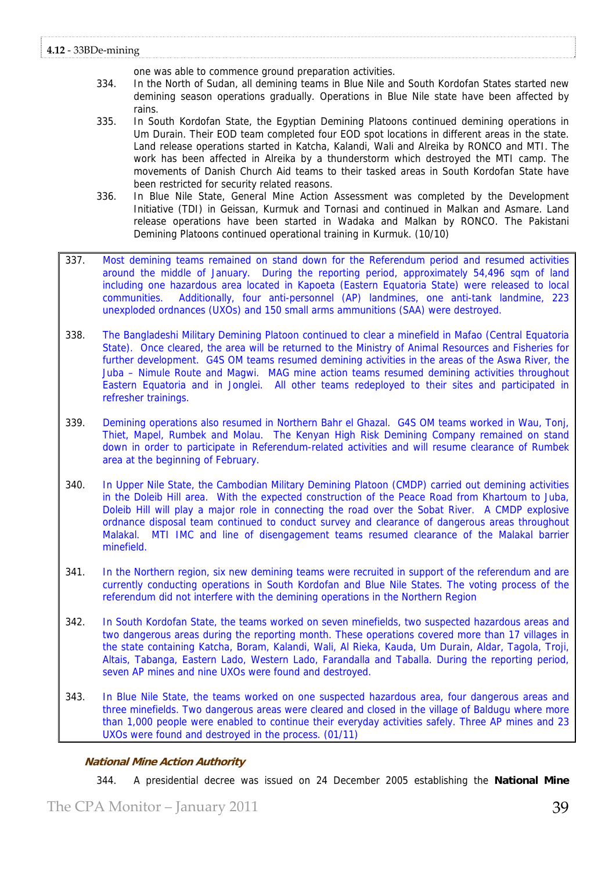one was able to commence ground preparation activities.

- 334. In the North of Sudan, all demining teams in Blue Nile and South Kordofan States started new demining season operations gradually. Operations in Blue Nile state have been affected by rains.
- 335. In South Kordofan State, the Egyptian Demining Platoons continued demining operations in Um Durain. Their EOD team completed four EOD spot locations in different areas in the state. Land release operations started in Katcha, Kalandi, Wali and Alreika by RONCO and MTI. The work has been affected in Alreika by a thunderstorm which destroyed the MTI camp. The movements of Danish Church Aid teams to their tasked areas in South Kordofan State have been restricted for security related reasons.
- 336. In Blue Nile State, General Mine Action Assessment was completed by the Development Initiative (TDI) in Geissan, Kurmuk and Tornasi and continued in Malkan and Asmare. Land release operations have been started in Wadaka and Malkan by RONCO. The Pakistani Demining Platoons continued operational training in Kurmuk. (10/10)
- 337. Most demining teams remained on stand down for the Referendum period and resumed activities around the middle of January. During the reporting period, approximately 54,496 sqm of land including one hazardous area located in Kapoeta (Eastern Equatoria State) were released to local communities. Additionally, four anti-personnel (AP) landmines, one anti-tank landmine, 223 unexploded ordnances (UXOs) and 150 small arms ammunitions (SAA) were destroyed.
- 338. The Bangladeshi Military Demining Platoon continued to clear a minefield in Mafao (Central Equatoria State). Once cleared, the area will be returned to the Ministry of Animal Resources and Fisheries for further development. G4S OM teams resumed demining activities in the areas of the Aswa River, the Juba – Nimule Route and Magwi. MAG mine action teams resumed demining activities throughout Eastern Equatoria and in Jonglei. All other teams redeployed to their sites and participated in refresher trainings.
- 339. Demining operations also resumed in Northern Bahr el Ghazal. G4S OM teams worked in Wau, Tonj, Thiet, Mapel, Rumbek and Molau. The Kenyan High Risk Demining Company remained on stand down in order to participate in Referendum-related activities and will resume clearance of Rumbek area at the beginning of February.
- 340. In Upper Nile State, the Cambodian Military Demining Platoon (CMDP) carried out demining activities in the Doleib Hill area. With the expected construction of the Peace Road from Khartoum to Juba, Doleib Hill will play a major role in connecting the road over the Sobat River. A CMDP explosive ordnance disposal team continued to conduct survey and clearance of dangerous areas throughout Malakal. MTI IMC and line of disengagement teams resumed clearance of the Malakal barrier minefield.
- 341. In the Northern region, six new demining teams were recruited in support of the referendum and are currently conducting operations in South Kordofan and Blue Nile States. The voting process of the referendum did not interfere with the demining operations in the Northern Region
- 342. In South Kordofan State, the teams worked on seven minefields, two suspected hazardous areas and two dangerous areas during the reporting month. These operations covered more than 17 villages in the state containing Katcha, Boram, Kalandi, Wali, Al Rieka, Kauda, Um Durain, Aldar, Tagola, Troji, Altais, Tabanga, Eastern Lado, Western Lado, Farandalla and Taballa. During the reporting period, seven AP mines and nine UXOs were found and destroyed.
- 343. In Blue Nile State, the teams worked on one suspected hazardous area, four dangerous areas and three minefields. Two dangerous areas were cleared and closed in the village of Baldugu where more than 1,000 people were enabled to continue their everyday activities safely. Three AP mines and 23 UXOs were found and destroyed in the process. (01/11)

# **National Mine Action Authority**

344. A presidential decree was issued on 24 December 2005 establishing the **National Mine**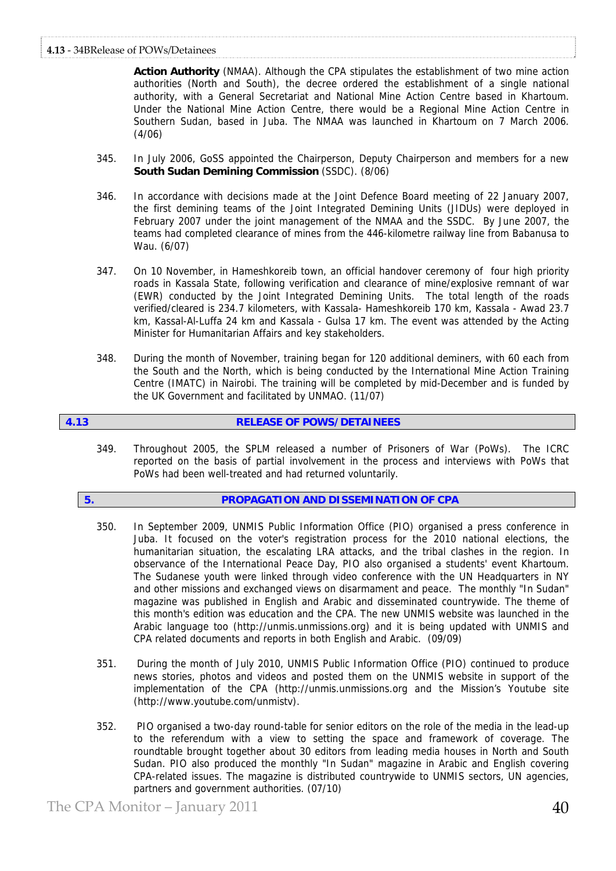**Action Authority** (NMAA). Although the CPA stipulates the establishment of two mine action authorities (North and South), the decree ordered the establishment of a single national authority, with a General Secretariat and National Mine Action Centre based in Khartoum. Under the National Mine Action Centre, there would be a Regional Mine Action Centre in Southern Sudan, based in Juba. The NMAA was launched in Khartoum on 7 March 2006. (4/06)

- 345. In July 2006, GoSS appointed the Chairperson, Deputy Chairperson and members for a new **South Sudan Demining Commission** (SSDC). (8/06)
- 346. In accordance with decisions made at the Joint Defence Board meeting of 22 January 2007, the first demining teams of the Joint Integrated Demining Units (JIDUs) were deployed in February 2007 under the joint management of the NMAA and the SSDC. By June 2007, the teams had completed clearance of mines from the 446-kilometre railway line from Babanusa to Wau. (6/07)
- 347. On 10 November, in Hameshkoreib town, an official handover ceremony of four high priority roads in Kassala State, following verification and clearance of mine/explosive remnant of war (EWR) conducted by the Joint Integrated Demining Units. The total length of the roads verified/cleared is 234.7 kilometers, with Kassala- Hameshkoreib 170 km, Kassala - Awad 23.7 km, Kassal-Al-Luffa 24 km and Kassala - Gulsa 17 km. The event was attended by the Acting Minister for Humanitarian Affairs and key stakeholders.
- 348. During the month of November, training began for 120 additional deminers, with 60 each from the South and the North, which is being conducted by the International Mine Action Training Centre (IMATC) in Nairobi. The training will be completed by mid-December and is funded by the UK Government and facilitated by UNMAO. (11/07)

# **4.13 RELEASE OF POWS/DETAINEES**

349. Throughout 2005, the SPLM released a number of Prisoners of War (PoWs). The ICRC reported on the basis of partial involvement in the process and interviews with PoWs that PoWs had been well-treated and had returned voluntarily.

# **5. PROPAGATION AND DISSEMINATION OF CPA**

- 350. In September 2009, UNMIS Public Information Office (PIO) organised a press conference in Juba. It focused on the voter's registration process for the 2010 national elections, the humanitarian situation, the escalating LRA attacks, and the tribal clashes in the region. In observance of the International Peace Day, PIO also organised a students' event Khartoum. The Sudanese youth were linked through video conference with the UN Headquarters in NY and other missions and exchanged views on disarmament and peace. The monthly "In Sudan" magazine was published in English and Arabic and disseminated countrywide. The theme of this month's edition was education and the CPA. The new UNMIS website was launched in the Arabic language too (http://unmis.unmissions.org) and it is being updated with UNMIS and CPA related documents and reports in both English and Arabic. (09/09)
- 351. During the month of July 2010, UNMIS Public Information Office (PIO) continued to produce news stories, photos and videos and posted them on the UNMIS website in support of the implementation of the CPA ([http://unmis.unmissions.org](http://unmis.unmissions.org/) and the Mission's Youtube site [\(http://www.youtube.com/unmistv](http://www.youtube.com/unmistv)).
- 352. PIO organised a two-day round-table for senior editors on the role of the media in the lead-up to the referendum with a view to setting the space and framework of coverage. The roundtable brought together about 30 editors from leading media houses in North and South Sudan. PIO also produced the monthly "In Sudan" magazine in Arabic and English covering CPA-related issues. The magazine is distributed countrywide to UNMIS sectors, UN agencies, partners and government authorities. (07/10)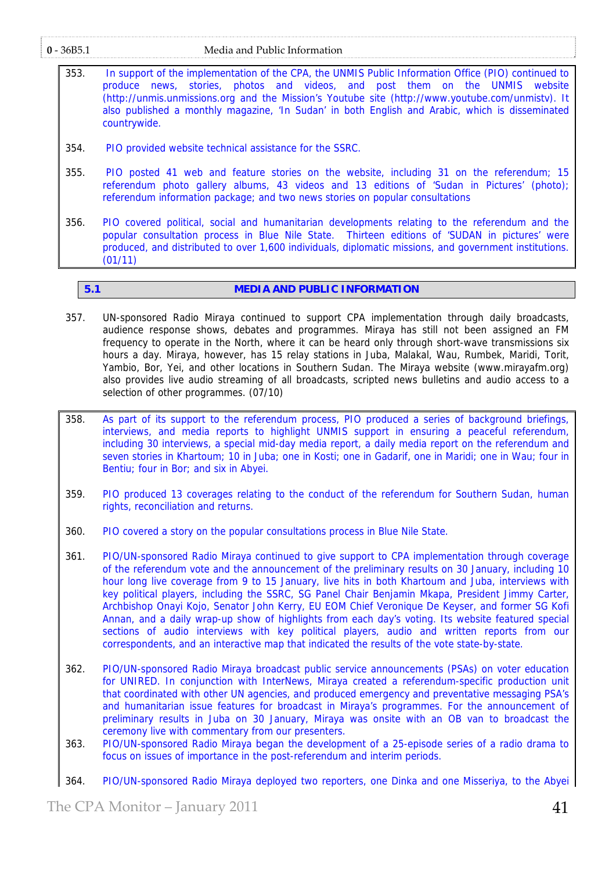- 353. In support of the implementation of the CPA, the UNMIS Public Information Office (PIO) continued to produce news, stories, photos and videos, and post them on the UNMIS website [\(http://unmis.unmissions.org](http://unmis.unmissions.org/) and the Mission's Youtube site [\(http://www.youtube.com/unmistv](http://www.youtube.com/unmistv)). It also published a monthly magazine, 'In Sudan' in both English and Arabic, which is disseminated countrywide.
- 354. PIO provided website technical assistance for the SSRC.
- 355. PIO posted 41 web and feature stories on the website, including 31 on the referendum; 15 referendum photo gallery albums, 43 videos and 13 editions of 'Sudan in Pictures' (photo); referendum information package; and two news stories on popular consultations
- 356. PIO covered political, social and humanitarian developments relating to the referendum and the popular consultation process in Blue Nile State. Thirteen editions of 'SUDAN in pictures' were produced, and distributed to over 1,600 individuals, diplomatic missions, and government institutions. (01/11)

# **5.1** MEDIA AND PUBLIC INFORMATION

- 357. UN-sponsored Radio Miraya continued to support CPA implementation through daily broadcasts, audience response shows, debates and programmes. Miraya has still not been assigned an FM frequency to operate in the North, where it can be heard only through short-wave transmissions six hours a day. Miraya, however, has 15 relay stations in Juba, Malakal, Wau, Rumbek, Maridi, Torit, Yambio, Bor, Yei, and other locations in Southern Sudan. The Miraya website (www.mirayafm.org) also provides live audio streaming of all broadcasts, scripted news bulletins and audio access to a selection of other programmes. (07/10)
- 358. As part of its support to the referendum process, PIO produced a series of background briefings, interviews, and media reports to highlight UNMIS support in ensuring a peaceful referendum, including 30 interviews, a special mid-day media report, a daily media report on the referendum and seven stories in Khartoum; 10 in Juba; one in Kosti; one in Gadarif, one in Maridi; one in Wau; four in Bentiu; four in Bor; and six in Abyei.
- 359. PIO produced 13 coverages relating to the conduct of the referendum for Southern Sudan, human rights, reconciliation and returns.
- 360. PIO covered a story on the popular consultations process in Blue Nile State.
- 361. PIO/UN-sponsored Radio Miraya continued to give support to CPA implementation through coverage of the referendum vote and the announcement of the preliminary results on 30 January, including 10 hour long live coverage from 9 to 15 January, live hits in both Khartoum and Juba, interviews with key political players, including the SSRC, SG Panel Chair Benjamin Mkapa, President Jimmy Carter, Archbishop Onayi Kojo, Senator John Kerry, EU EOM Chief Veronique De Keyser, and former SG Kofi Annan, and a daily wrap-up show of highlights from each day's voting. Its website featured special sections of audio interviews with key political players, audio and written reports from our correspondents, and an interactive map that indicated the results of the vote state-by-state.
- 362. PIO/UN-sponsored Radio Miraya broadcast public service announcements (PSAs) on voter education for UNIRED. In conjunction with InterNews, Miraya created a referendum-specific production unit that coordinated with other UN agencies, and produced emergency and preventative messaging PSA's and humanitarian issue features for broadcast in Miraya's programmes. For the announcement of preliminary results in Juba on 30 January, Miraya was onsite with an OB van to broadcast the ceremony live with commentary from our presenters.
- 363. PIO/UN-sponsored Radio Miraya began the development of a 25-episode series of a radio drama to focus on issues of importance in the post-referendum and interim periods.
- 364. PIO/UN-sponsored Radio Miraya deployed two reporters, one Dinka and one Misseriya, to the Abyei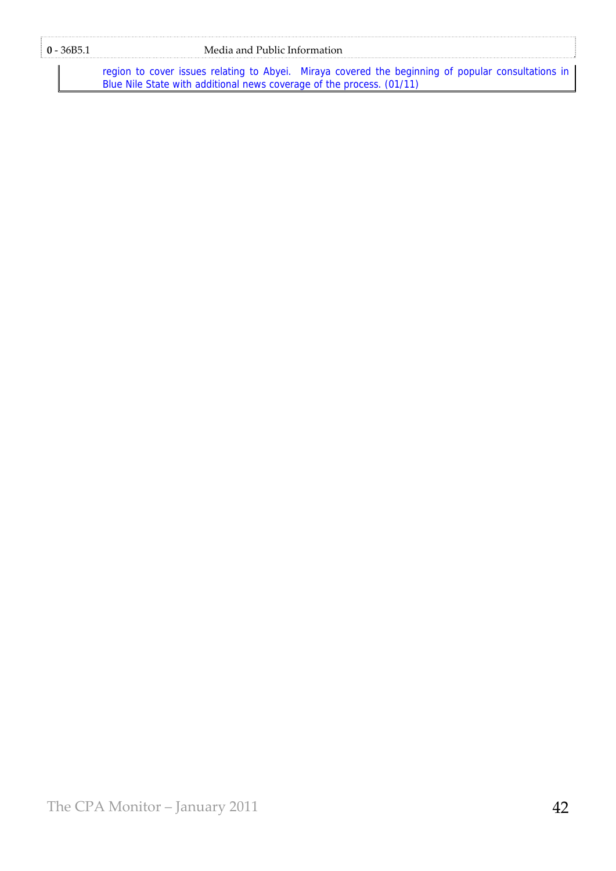# **0** - 36B5.1 Media and Public Information

region to cover issues relating to Abyei. Miraya covered the beginning of popular consultations in Blue Nile State with additional news coverage of the process. (01/11)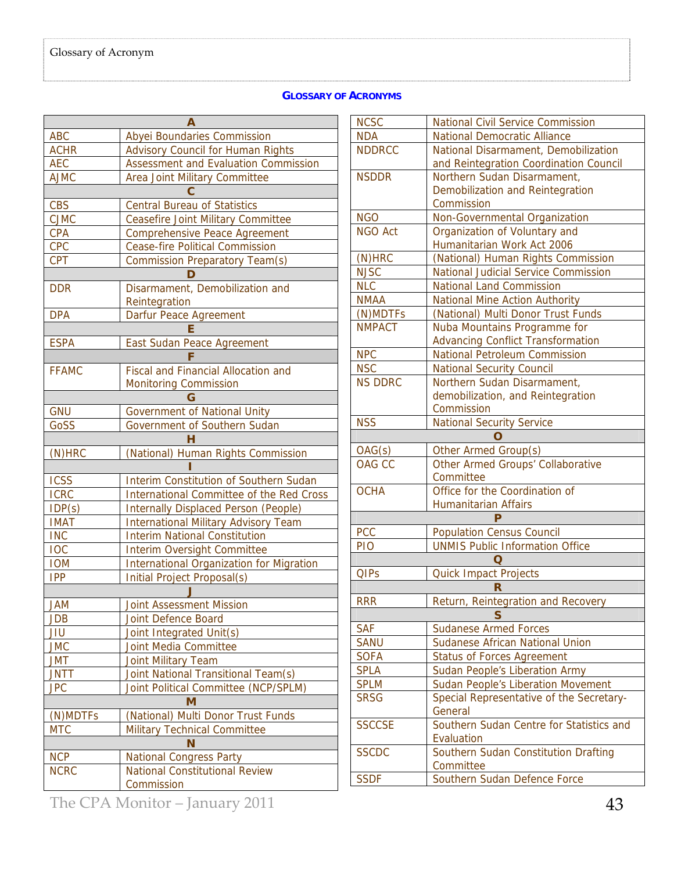# **GLOSSARY OF ACRONYMS**

| А            |                                                 |  |  |  |  |
|--------------|-------------------------------------------------|--|--|--|--|
| <b>ABC</b>   | Abyei Boundaries Commission                     |  |  |  |  |
| <b>ACHR</b>  | <b>Advisory Council for Human Rights</b>        |  |  |  |  |
| <b>AEC</b>   | Assessment and Evaluation Commission            |  |  |  |  |
| <b>AJMC</b>  | Area Joint Military Committee                   |  |  |  |  |
|              |                                                 |  |  |  |  |
| <b>CBS</b>   | <b>Central Bureau of Statistics</b>             |  |  |  |  |
| <b>CJMC</b>  | <b>Ceasefire Joint Military Committee</b>       |  |  |  |  |
| <b>CPA</b>   | <b>Comprehensive Peace Agreement</b>            |  |  |  |  |
| <b>CPC</b>   | <b>Cease-fire Political Commission</b>          |  |  |  |  |
| <b>CPT</b>   | <b>Commission Preparatory Team(s)</b>           |  |  |  |  |
|              | D                                               |  |  |  |  |
| <b>DDR</b>   | Disarmament, Demobilization and                 |  |  |  |  |
|              | Reintegration                                   |  |  |  |  |
| <b>DPA</b>   | Darfur Peace Agreement                          |  |  |  |  |
|              | F                                               |  |  |  |  |
| <b>ESPA</b>  | East Sudan Peace Agreement                      |  |  |  |  |
|              |                                                 |  |  |  |  |
| <b>FFAMC</b> | <b>Fiscal and Financial Allocation and</b>      |  |  |  |  |
|              | <b>Monitoring Commission</b>                    |  |  |  |  |
|              | G                                               |  |  |  |  |
| <b>GNU</b>   | <b>Government of National Unity</b>             |  |  |  |  |
| GoSS         | Government of Southern Sudan                    |  |  |  |  |
|              | н                                               |  |  |  |  |
| $(N)$ HRC    | (National) Human Rights Commission              |  |  |  |  |
|              |                                                 |  |  |  |  |
| <b>ICSS</b>  | Interim Constitution of Southern Sudan          |  |  |  |  |
| <b>ICRC</b>  | <b>International Committee of the Red Cross</b> |  |  |  |  |
| IDP(s)       | <b>Internally Displaced Person (People)</b>     |  |  |  |  |
| <b>IMAT</b>  | <b>International Military Advisory Team</b>     |  |  |  |  |
| <b>INC</b>   | <b>Interim National Constitution</b>            |  |  |  |  |
| <b>IOC</b>   | <b>Interim Oversight Committee</b>              |  |  |  |  |
| <b>IOM</b>   | <b>International Organization for Migration</b> |  |  |  |  |
| <b>IPP</b>   | Initial Project Proposal(s)                     |  |  |  |  |
|              |                                                 |  |  |  |  |
| <b>JAM</b>   | <b>Joint Assessment Mission</b>                 |  |  |  |  |
| JDB          | Joint Defence Board                             |  |  |  |  |
| JIU          | Joint Integrated Unit(s)                        |  |  |  |  |
| <b>JMC</b>   | Joint Media Committee                           |  |  |  |  |
| <b>JMT</b>   | <b>Joint Military Team</b>                      |  |  |  |  |
| <b>JNTT</b>  | Joint National Transitional Team(s)             |  |  |  |  |
| <b>JPC</b>   | Joint Political Committee (NCP/SPLM)            |  |  |  |  |
| M            |                                                 |  |  |  |  |
| (N)MDTFs     | (National) Multi Donor Trust Funds              |  |  |  |  |
| <b>MTC</b>   | <b>Military Technical Committee</b>             |  |  |  |  |
| N            |                                                 |  |  |  |  |
| <b>NCP</b>   | <b>National Congress Party</b>                  |  |  |  |  |
| <b>NCRC</b>  | <b>National Constitutional Review</b>           |  |  |  |  |
|              | Commission                                      |  |  |  |  |
|              |                                                 |  |  |  |  |

| <b>NCSC</b>                                    | <b>National Civil Service Commission</b>    |  |  |  |
|------------------------------------------------|---------------------------------------------|--|--|--|
| <b>NDA</b>                                     | <b>National Democratic Alliance</b>         |  |  |  |
| <b>NDDRCC</b>                                  | National Disarmament, Demobilization        |  |  |  |
|                                                | and Reintegration Coordination Council      |  |  |  |
| <b>NSDDR</b>                                   | Northern Sudan Disarmament,                 |  |  |  |
|                                                | Demobilization and Reintegration            |  |  |  |
|                                                | Commission                                  |  |  |  |
| <b>NGO</b>                                     | Non-Governmental Organization               |  |  |  |
| <b>NGO Act</b>                                 | Organization of Voluntary and               |  |  |  |
|                                                | Humanitarian Work Act 2006                  |  |  |  |
| $(N)$ HRC                                      | (National) Human Rights Commission          |  |  |  |
| <b>NJSC</b>                                    | National Judicial Service Commission        |  |  |  |
| <b>NLC</b>                                     | <b>National Land Commission</b>             |  |  |  |
| <b>NMAA</b>                                    | <b>National Mine Action Authority</b>       |  |  |  |
| (N)MDTFs                                       | (National) Multi Donor Trust Funds          |  |  |  |
| <b>NMPACT</b>                                  | Nuba Mountains Programme for                |  |  |  |
|                                                | <b>Advancing Conflict Transformation</b>    |  |  |  |
| <b>NPC</b>                                     | <b>National Petroleum Commission</b>        |  |  |  |
| <b>NSC</b>                                     | <b>National Security Council</b>            |  |  |  |
| <b>NS DDRC</b>                                 | Northern Sudan Disarmament,                 |  |  |  |
|                                                | demobilization, and Reintegration           |  |  |  |
|                                                | Commission                                  |  |  |  |
| <b>NSS</b><br><b>National Security Service</b> |                                             |  |  |  |
|                                                | റ                                           |  |  |  |
| OAG(s)                                         | Other Armed Group(s)                        |  |  |  |
| <b>OAG CC</b>                                  | Other Armed Groups' Collaborative           |  |  |  |
| <b>OCHA</b>                                    | Committee<br>Office for the Coordination of |  |  |  |
|                                                | <b>Humanitarian Affairs</b>                 |  |  |  |
|                                                | Þ                                           |  |  |  |
| <b>PCC</b>                                     | <b>Population Census Council</b>            |  |  |  |
| PIO                                            | <b>UNMIS Public Information Office</b>      |  |  |  |
|                                                | O                                           |  |  |  |
| <b>QIPs</b>                                    | <b>Quick Impact Projects</b>                |  |  |  |
| R                                              |                                             |  |  |  |
| <b>RRR</b>                                     | Return, Reintegration and Recovery          |  |  |  |
| S                                              |                                             |  |  |  |
| <b>SAF</b>                                     | <b>Sudanese Armed Forces</b>                |  |  |  |
| <b>SANU</b>                                    | <b>Sudanese African National Union</b>      |  |  |  |
| <b>SOFA</b>                                    | <b>Status of Forces Agreement</b>           |  |  |  |
| <b>SPLA</b>                                    | <b>Sudan People's Liberation Army</b>       |  |  |  |
| <b>SPLM</b>                                    | <b>Sudan People's Liberation Movement</b>   |  |  |  |
| <b>SRSG</b>                                    | Special Representative of the Secretary-    |  |  |  |
|                                                | General                                     |  |  |  |
| <b>SSCCSE</b>                                  | Southern Sudan Centre for Statistics and    |  |  |  |
|                                                | Evaluation                                  |  |  |  |
| <b>SSCDC</b>                                   | Southern Sudan Constitution Drafting        |  |  |  |
|                                                | Committee                                   |  |  |  |
| <b>SSDF</b>                                    | Southern Sudan Defence Force                |  |  |  |